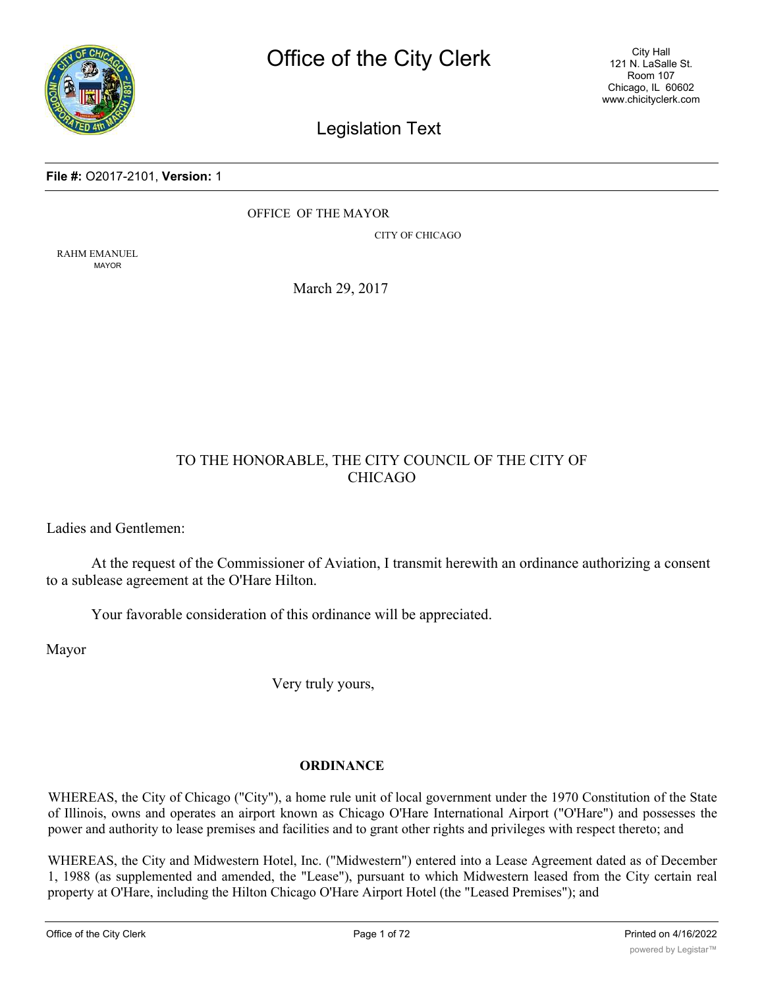

City Hall 121 N. LaSalle St. Room 107 Chicago, IL 60602 www.chicityclerk.com

# Legislation Text

#### **File #:** O2017-2101, **Version:** 1

OFFICE OF THE MAYOR

CITY OF CHICAGO

RAHM EMANUEL MAYOR

March 29, 2017

# TO THE HONORABLE, THE CITY COUNCIL OF THE CITY OF CHICAGO

Ladies and Gentlemen:

At the request of the Commissioner of Aviation, I transmit herewith an ordinance authorizing a consent to a sublease agreement at the O'Hare Hilton.

Your favorable consideration of this ordinance will be appreciated.

Mayor

Very truly yours,

# **ORDINANCE**

WHEREAS, the City of Chicago ("City"), a home rule unit of local government under the 1970 Constitution of the State of Illinois, owns and operates an airport known as Chicago O'Hare International Airport ("O'Hare") and possesses the power and authority to lease premises and facilities and to grant other rights and privileges with respect thereto; and

WHEREAS, the City and Midwestern Hotel, Inc. ("Midwestern") entered into a Lease Agreement dated as of December 1, 1988 (as supplemented and amended, the "Lease"), pursuant to which Midwestern leased from the City certain real property at O'Hare, including the Hilton Chicago O'Hare Airport Hotel (the "Leased Premises"); and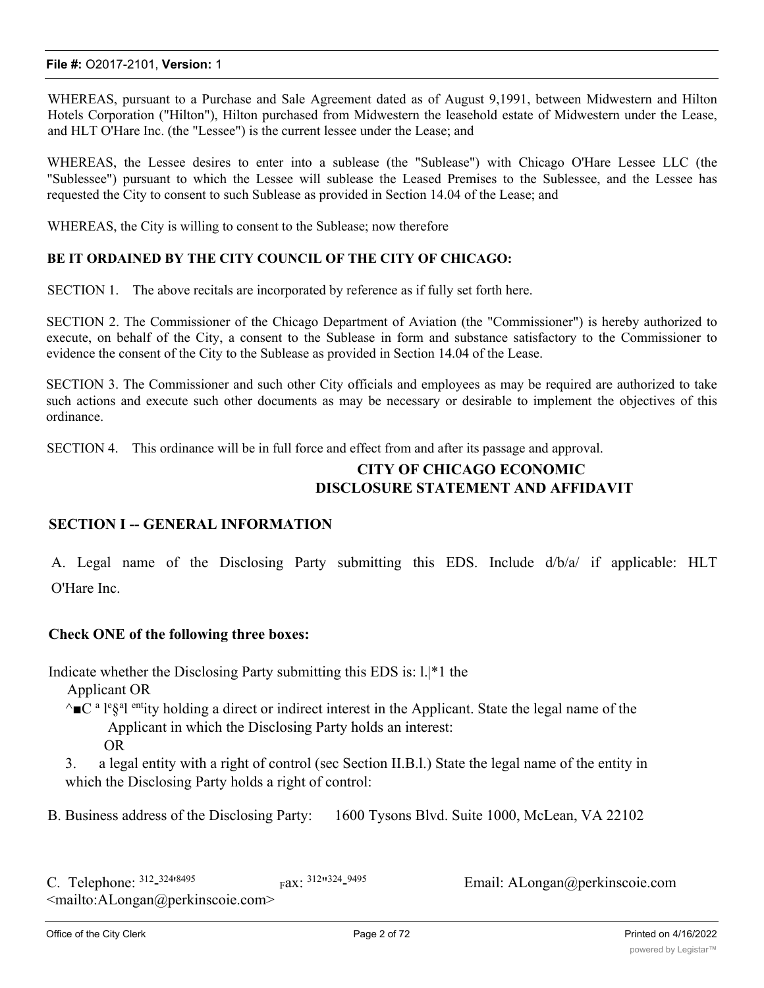WHEREAS, pursuant to a Purchase and Sale Agreement dated as of August 9,1991, between Midwestern and Hilton Hotels Corporation ("Hilton"), Hilton purchased from Midwestern the leasehold estate of Midwestern under the Lease, and HLT O'Hare Inc. (the "Lessee") is the current lessee under the Lease; and

WHEREAS, the Lessee desires to enter into a sublease (the "Sublease") with Chicago O'Hare Lessee LLC (the "Sublessee") pursuant to which the Lessee will sublease the Leased Premises to the Sublessee, and the Lessee has requested the City to consent to such Sublease as provided in Section 14.04 of the Lease; and

WHEREAS, the City is willing to consent to the Sublease; now therefore

# **BE IT ORDAINED BY THE CITY COUNCIL OF THE CITY OF CHICAGO:**

SECTION 1. The above recitals are incorporated by reference as if fully set forth here.

SECTION 2. The Commissioner of the Chicago Department of Aviation (the "Commissioner") is hereby authorized to execute, on behalf of the City, a consent to the Sublease in form and substance satisfactory to the Commissioner to evidence the consent of the City to the Sublease as provided in Section 14.04 of the Lease.

SECTION 3. The Commissioner and such other City officials and employees as may be required are authorized to take such actions and execute such other documents as may be necessary or desirable to implement the objectives of this ordinance.

SECTION 4. This ordinance will be in full force and effect from and after its passage and approval.

# **CITY OF CHICAGO ECONOMIC DISCLOSURE STATEMENT AND AFFIDAVIT**

# **SECTION I -- GENERAL INFORMATION**

A. Legal name of the Disclosing Party submitting this EDS. Include d/b/a/ if applicable: HLT O'Hare Inc.

# **Check ONE of the following three boxes:**

Indicate whether the Disclosing Party submitting this EDS is: l.|\*1 the

Applicant OR

- $\sim$  $\blacksquare$ C<sup>a</sup> l<sup>e</sup>§<sup>a</sup>l entity holding a direct or indirect interest in the Applicant. State the legal name of the Applicant in which the Disclosing Party holds an interest: OR
- 3. a legal entity with a right of control (sec Section II.B.l.) State the legal name of the entity in which the Disclosing Party holds a right of control:

B. Business address of the Disclosing Party: 1600 Tysons Blvd. Suite 1000, McLean, VA 22102

Email: ALongan@perkinscoie.com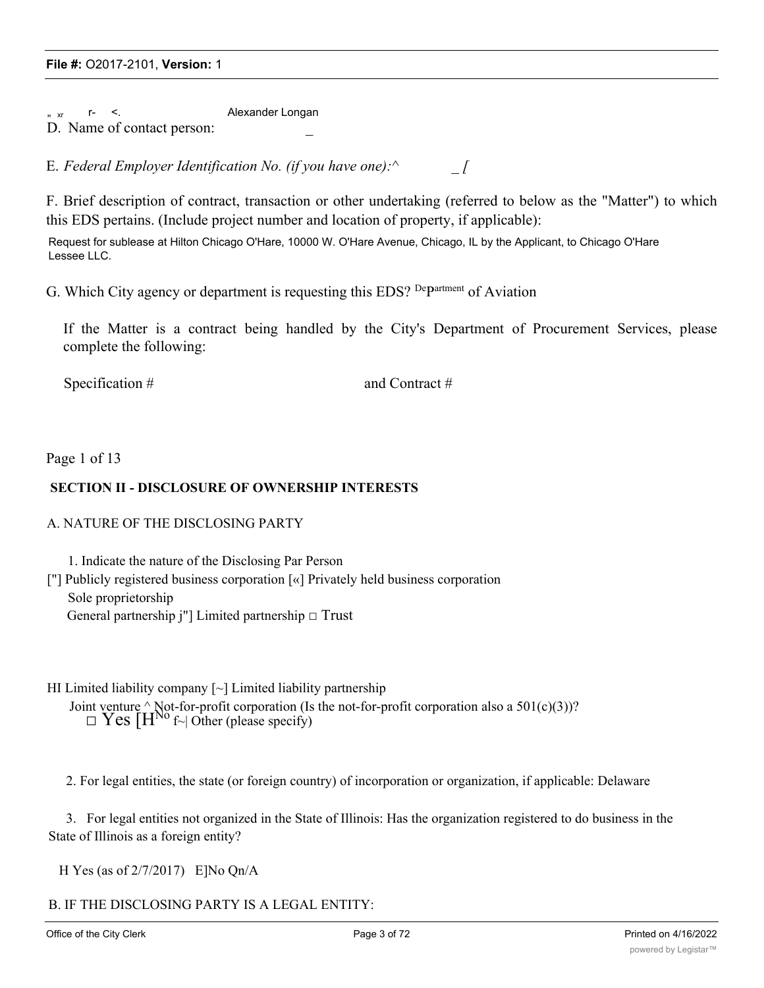" xr r- <. Alexander Longan D. Name of contact person:

E. *Federal Employer Identification No. (if you have one):^ \_ [*

F. Brief description of contract, transaction or other undertaking (referred to below as the "Matter") to which this EDS pertains. (Include project number and location of property, if applicable):

Request for sublease at Hilton Chicago O'Hare, 10000 W. O'Hare Avenue, Chicago, IL by the Applicant, to Chicago O'Hare Lessee LLC.

G. Which City agency or department is requesting this EDS? Department of Aviation

If the Matter is a contract being handled by the City's Department of Procurement Services, please complete the following:

Specification # and Contract #

Page 1 of 13

# **SECTION II - DISCLOSURE OF OWNERSHIP INTERESTS**

# A. NATURE OF THE DISCLOSING PARTY

1. Indicate the nature of the Disclosing Par Person

["] Publicly registered business corporation [«] Privately held business corporation Sole proprietorship General partnership j"] Limited partnership  $\Box$  Trust

HI Limited liability company  $\lceil \sim \rceil$  Limited liability partnership

Joint venture  $\land$  Not-for-profit corporation (Is the not-for-profit corporation also a 501(c)(3))?  $\square$  Yes  $[H^{No} f \sim]$  Other (please specify)

2. For legal entities, the state (or foreign country) of incorporation or organization, if applicable: Delaware

3. For legal entities not organized in the State of Illinois: Has the organization registered to do business in the State of Illinois as a foreign entity?

H Yes (as of 2/7/2017) E]No Qn/A

B. IF THE DISCLOSING PARTY IS A LEGAL ENTITY: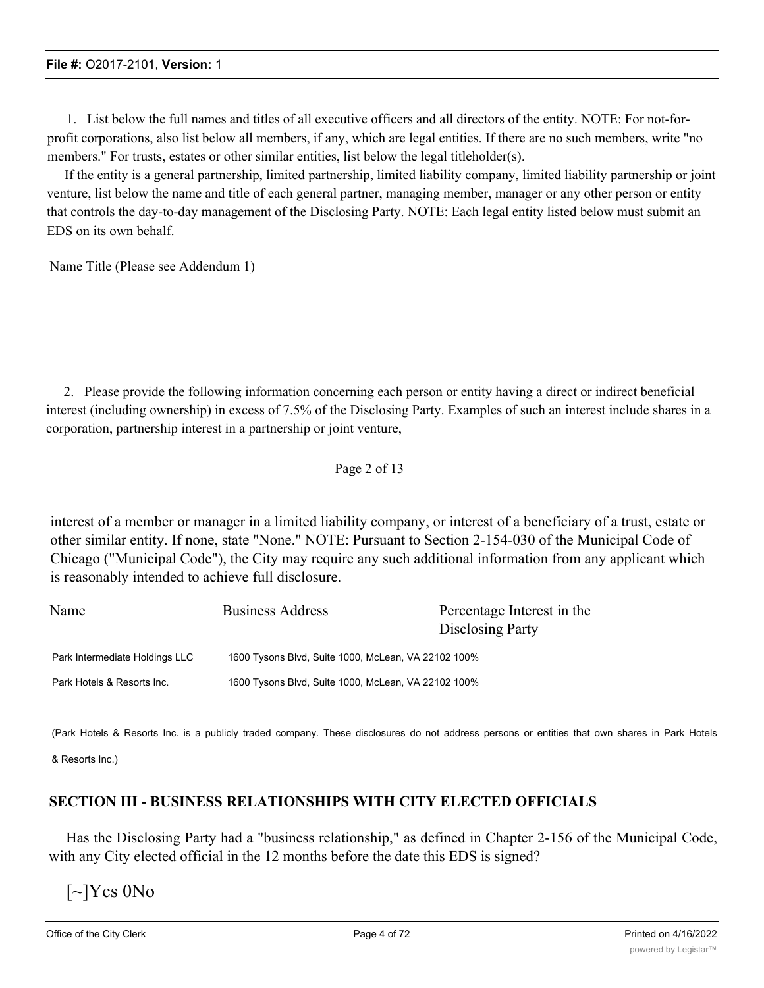1. List below the full names and titles of all executive officers and all directors of the entity. NOTE: For not-forprofit corporations, also list below all members, if any, which are legal entities. If there are no such members, write "no members." For trusts, estates or other similar entities, list below the legal titleholder(s).

If the entity is a general partnership, limited partnership, limited liability company, limited liability partnership or joint venture, list below the name and title of each general partner, managing member, manager or any other person or entity that controls the day-to-day management of the Disclosing Party. NOTE: Each legal entity listed below must submit an EDS on its own behalf.

Name Title (Please see Addendum 1)

2. Please provide the following information concerning each person or entity having a direct or indirect beneficial interest (including ownership) in excess of 7.5% of the Disclosing Party. Examples of such an interest include shares in a corporation, partnership interest in a partnership or joint venture,

# Page 2 of 13

interest of a member or manager in a limited liability company, or interest of a beneficiary of a trust, estate or other similar entity. If none, state "None." NOTE: Pursuant to Section 2-154-030 of the Municipal Code of Chicago ("Municipal Code"), the City may require any such additional information from any applicant which is reasonably intended to achieve full disclosure.

| Name                           | <b>Business Address</b>                             | Percentage Interest in the<br>Disclosing Party |
|--------------------------------|-----------------------------------------------------|------------------------------------------------|
| Park Intermediate Holdings LLC | 1600 Tysons Blvd, Suite 1000, McLean, VA 22102 100% |                                                |
| Park Hotels & Resorts Inc.     | 1600 Tysons Blvd, Suite 1000, McLean, VA 22102 100% |                                                |

(Park Hotels & Resorts Inc. is a publicly traded company. These disclosures do not address persons or entities that own shares in Park Hotels

& Resorts Inc.)

# **SECTION III - BUSINESS RELATIONSHIPS WITH CITY ELECTED OFFICIALS**

Has the Disclosing Party had a "business relationship," as defined in Chapter 2-156 of the Municipal Code, with any City elected official in the 12 months before the date this EDS is signed?

 $\lceil \sim \rceil$ Ycs  $0$ No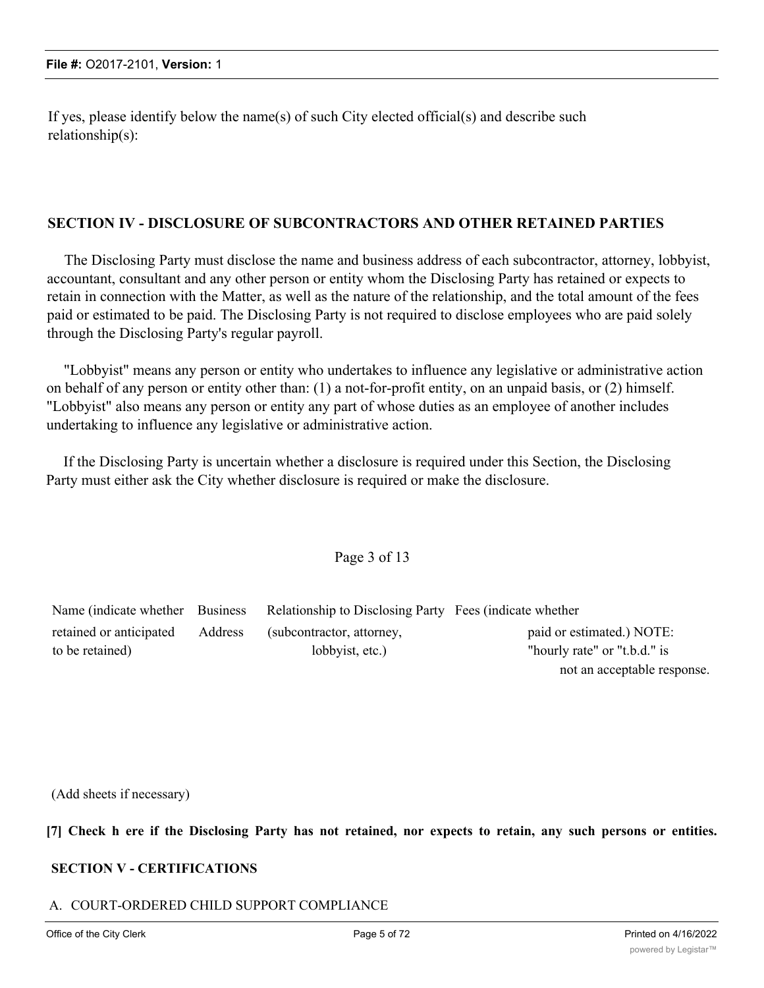If yes, please identify below the name(s) of such City elected official(s) and describe such relationship(s):

# **SECTION IV - DISCLOSURE OF SUBCONTRACTORS AND OTHER RETAINED PARTIES**

The Disclosing Party must disclose the name and business address of each subcontractor, attorney, lobbyist, accountant, consultant and any other person or entity whom the Disclosing Party has retained or expects to retain in connection with the Matter, as well as the nature of the relationship, and the total amount of the fees paid or estimated to be paid. The Disclosing Party is not required to disclose employees who are paid solely through the Disclosing Party's regular payroll.

"Lobbyist" means any person or entity who undertakes to influence any legislative or administrative action on behalf of any person or entity other than: (1) a not-for-profit entity, on an unpaid basis, or (2) himself. "Lobbyist" also means any person or entity any part of whose duties as an employee of another includes undertaking to influence any legislative or administrative action.

If the Disclosing Party is uncertain whether a disclosure is required under this Section, the Disclosing Party must either ask the City whether disclosure is required or make the disclosure.

Page 3 of 13

|                         |         | Name (indicate whether Business Relationship to Disclosing Party Fees (indicate whether |                              |
|-------------------------|---------|-----------------------------------------------------------------------------------------|------------------------------|
| retained or anticipated | Address | (subcontractor, attorney,                                                               | paid or estimated.) NOTE:    |
| to be retained)         |         | lobbyist, etc.)                                                                         | "hourly rate" or "t.b.d." is |

(Add sheets if necessary)

[7] Check h ere if the Disclosing Party has not retained, nor expects to retain, any such persons or entities.

# **SECTION V - CERTIFICATIONS**

# A. COURT-ORDERED CHILD SUPPORT COMPLIANCE

not an acceptable response.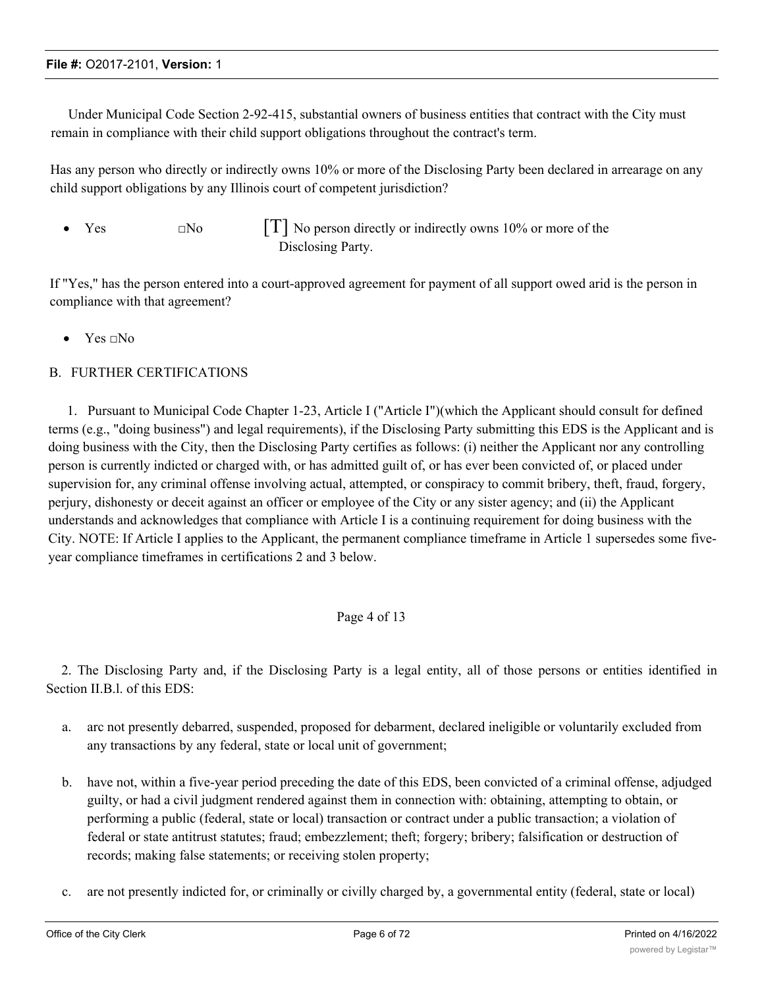Under Municipal Code Section 2-92-415, substantial owners of business entities that contract with the City must remain in compliance with their child support obligations throughout the contract's term.

Has any person who directly or indirectly owns 10% or more of the Disclosing Party been declared in arrearage on any child support obligations by any Illinois court of competent jurisdiction?

Yes  $\Box$  No  $\Box$  No person directly or indirectly owns 10% or more of the Disclosing Party.

If "Yes," has the person entered into a court-approved agreement for payment of all support owed arid is the person in compliance with that agreement?

• Yes  $\neg$  No

# B. FURTHER CERTIFICATIONS

1. Pursuant to Municipal Code Chapter 1-23, Article I ("Article I")(which the Applicant should consult for defined terms (e.g., "doing business") and legal requirements), if the Disclosing Party submitting this EDS is the Applicant and is doing business with the City, then the Disclosing Party certifies as follows: (i) neither the Applicant nor any controlling person is currently indicted or charged with, or has admitted guilt of, or has ever been convicted of, or placed under supervision for, any criminal offense involving actual, attempted, or conspiracy to commit bribery, theft, fraud, forgery, perjury, dishonesty or deceit against an officer or employee of the City or any sister agency; and (ii) the Applicant understands and acknowledges that compliance with Article I is a continuing requirement for doing business with the City. NOTE: If Article I applies to the Applicant, the permanent compliance timeframe in Article 1 supersedes some fiveyear compliance timeframes in certifications 2 and 3 below.

# Page 4 of 13

2. The Disclosing Party and, if the Disclosing Party is a legal entity, all of those persons or entities identified in Section II.B.l. of this EDS:

- a. arc not presently debarred, suspended, proposed for debarment, declared ineligible or voluntarily excluded from any transactions by any federal, state or local unit of government;
- b. have not, within a five-year period preceding the date of this EDS, been convicted of a criminal offense, adjudged guilty, or had a civil judgment rendered against them in connection with: obtaining, attempting to obtain, or performing a public (federal, state or local) transaction or contract under a public transaction; a violation of federal or state antitrust statutes; fraud; embezzlement; theft; forgery; bribery; falsification or destruction of records; making false statements; or receiving stolen property;
- c. are not presently indicted for, or criminally or civilly charged by, a governmental entity (federal, state or local)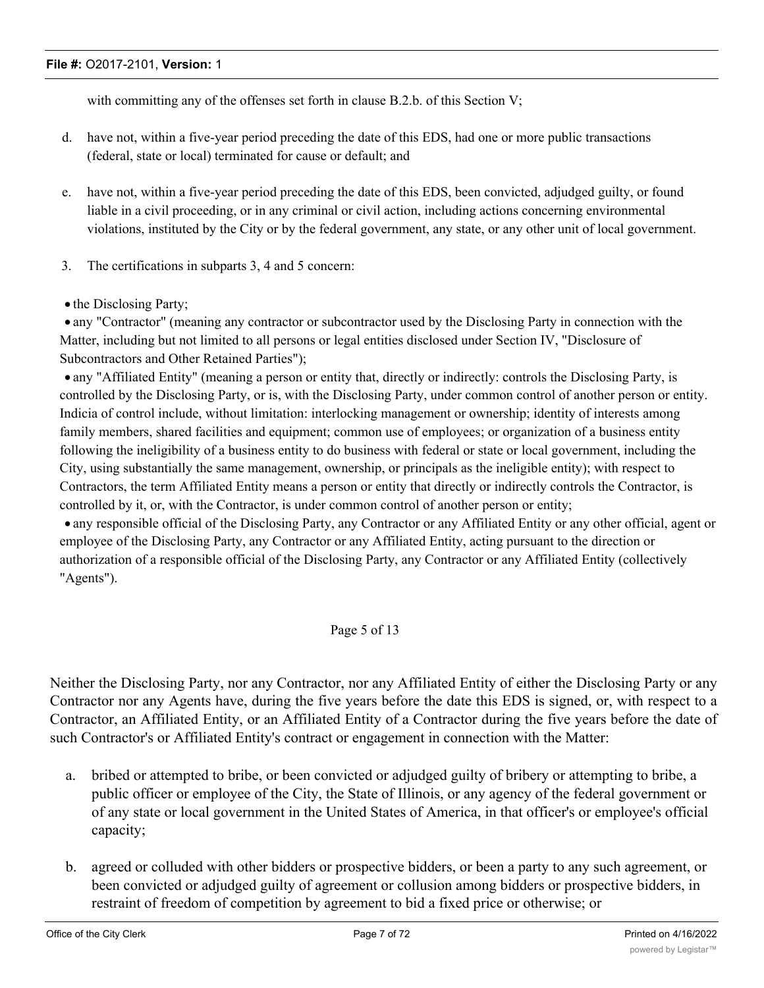with committing any of the offenses set forth in clause B.2.b. of this Section V;

- d. have not, within a five-year period preceding the date of this EDS, had one or more public transactions (federal, state or local) terminated for cause or default; and
- e. have not, within a five-year period preceding the date of this EDS, been convicted, adjudged guilty, or found liable in a civil proceeding, or in any criminal or civil action, including actions concerning environmental violations, instituted by the City or by the federal government, any state, or any other unit of local government.
- 3. The certifications in subparts 3, 4 and 5 concern:
- the Disclosing Party;

· any "Contractor" (meaning any contractor or subcontractor used by the Disclosing Party in connection with the Matter, including but not limited to all persons or legal entities disclosed under Section IV, "Disclosure of Subcontractors and Other Retained Parties");

· any "Affiliated Entity" (meaning a person or entity that, directly or indirectly: controls the Disclosing Party, is controlled by the Disclosing Party, or is, with the Disclosing Party, under common control of another person or entity. Indicia of control include, without limitation: interlocking management or ownership; identity of interests among family members, shared facilities and equipment; common use of employees; or organization of a business entity following the ineligibility of a business entity to do business with federal or state or local government, including the City, using substantially the same management, ownership, or principals as the ineligible entity); with respect to Contractors, the term Affiliated Entity means a person or entity that directly or indirectly controls the Contractor, is controlled by it, or, with the Contractor, is under common control of another person or entity;

· any responsible official of the Disclosing Party, any Contractor or any Affiliated Entity or any other official, agent or employee of the Disclosing Party, any Contractor or any Affiliated Entity, acting pursuant to the direction or authorization of a responsible official of the Disclosing Party, any Contractor or any Affiliated Entity (collectively "Agents").

# Page 5 of 13

Neither the Disclosing Party, nor any Contractor, nor any Affiliated Entity of either the Disclosing Party or any Contractor nor any Agents have, during the five years before the date this EDS is signed, or, with respect to a Contractor, an Affiliated Entity, or an Affiliated Entity of a Contractor during the five years before the date of such Contractor's or Affiliated Entity's contract or engagement in connection with the Matter:

- a. bribed or attempted to bribe, or been convicted or adjudged guilty of bribery or attempting to bribe, a public officer or employee of the City, the State of Illinois, or any agency of the federal government or of any state or local government in the United States of America, in that officer's or employee's official capacity;
- b. agreed or colluded with other bidders or prospective bidders, or been a party to any such agreement, or been convicted or adjudged guilty of agreement or collusion among bidders or prospective bidders, in restraint of freedom of competition by agreement to bid a fixed price or otherwise; or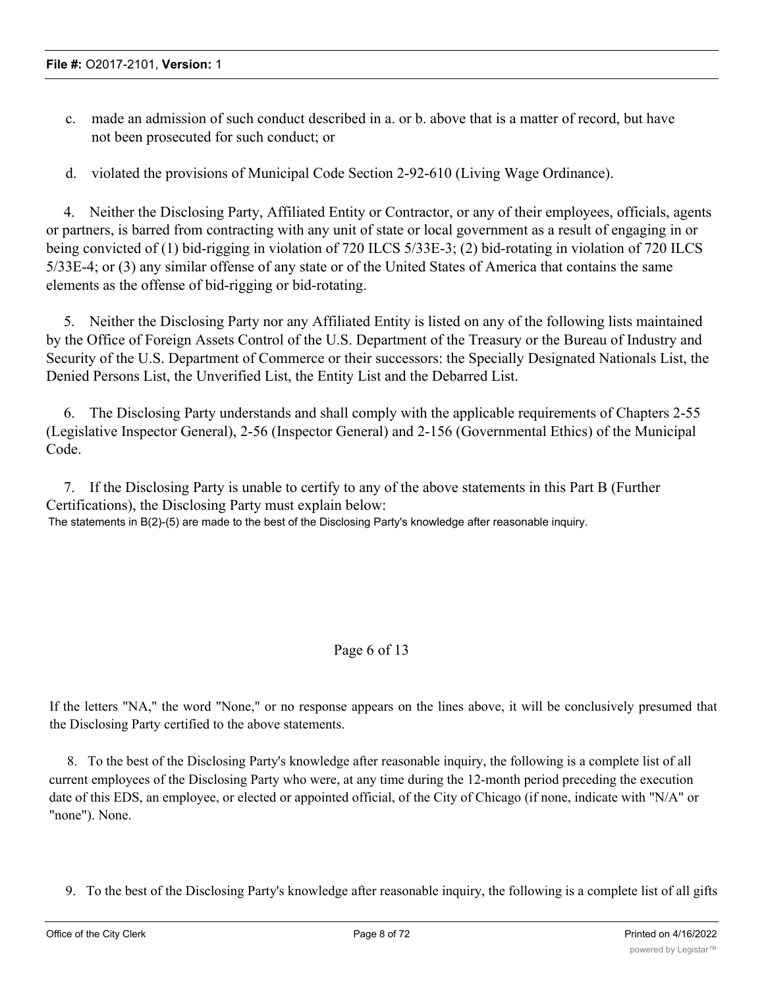- c. made an admission of such conduct described in a. or b. above that is a matter of record, but have not been prosecuted for such conduct; or
- d. violated the provisions of Municipal Code Section 2-92-610 (Living Wage Ordinance).

4. Neither the Disclosing Party, Affiliated Entity or Contractor, or any of their employees, officials, agents or partners, is barred from contracting with any unit of state or local government as a result of engaging in or being convicted of (1) bid-rigging in violation of 720 ILCS 5/33E-3; (2) bid-rotating in violation of 720 ILCS 5/33E-4; or (3) any similar offense of any state or of the United States of America that contains the same elements as the offense of bid-rigging or bid-rotating.

5. Neither the Disclosing Party nor any Affiliated Entity is listed on any of the following lists maintained by the Office of Foreign Assets Control of the U.S. Department of the Treasury or the Bureau of Industry and Security of the U.S. Department of Commerce or their successors: the Specially Designated Nationals List, the Denied Persons List, the Unverified List, the Entity List and the Debarred List.

6. The Disclosing Party understands and shall comply with the applicable requirements of Chapters 2-55 (Legislative Inspector General), 2-56 (Inspector General) and 2-156 (Governmental Ethics) of the Municipal Code.

7. If the Disclosing Party is unable to certify to any of the above statements in this Part B (Further Certifications), the Disclosing Party must explain below: The statements in B(2)-(5) are made to the best of the Disclosing Party's knowledge after reasonable inquiry.

# Page 6 of 13

If the letters "NA," the word "None," or no response appears on the lines above, it will be conclusively presumed that the Disclosing Party certified to the above statements.

8. To the best of the Disclosing Party's knowledge after reasonable inquiry, the following is a complete list of all current employees of the Disclosing Party who were, at any time during the 12-month period preceding the execution date of this EDS, an employee, or elected or appointed official, of the City of Chicago (if none, indicate with "N/A" or "none"). None.

9. To the best of the Disclosing Party's knowledge after reasonable inquiry, the following is a complete list of all gifts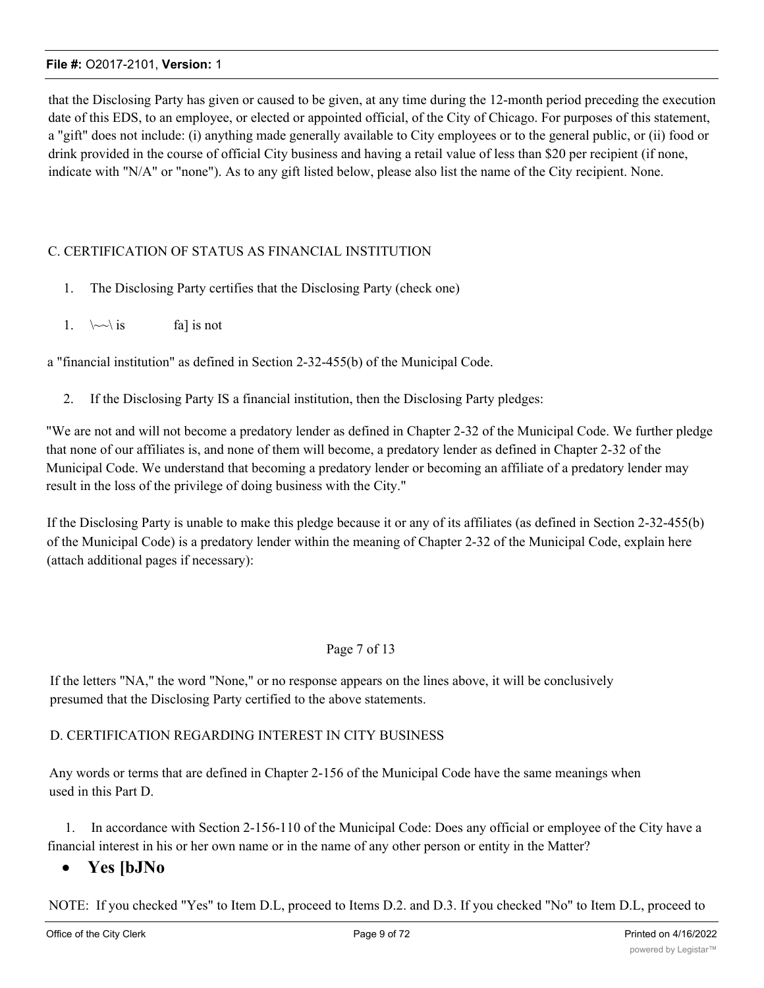that the Disclosing Party has given or caused to be given, at any time during the 12-month period preceding the execution date of this EDS, to an employee, or elected or appointed official, of the City of Chicago. For purposes of this statement, a "gift" does not include: (i) anything made generally available to City employees or to the general public, or (ii) food or drink provided in the course of official City business and having a retail value of less than \$20 per recipient (if none, indicate with "N/A" or "none"). As to any gift listed below, please also list the name of the City recipient. None.

# C. CERTIFICATION OF STATUS AS FINANCIAL INSTITUTION

- 1. The Disclosing Party certifies that the Disclosing Party (check one)
- 1.  $\sim \iota$  is fall is not

a "financial institution" as defined in Section 2-32-455(b) of the Municipal Code.

2. If the Disclosing Party IS a financial institution, then the Disclosing Party pledges:

"We are not and will not become a predatory lender as defined in Chapter 2-32 of the Municipal Code. We further pledge that none of our affiliates is, and none of them will become, a predatory lender as defined in Chapter 2-32 of the Municipal Code. We understand that becoming a predatory lender or becoming an affiliate of a predatory lender may result in the loss of the privilege of doing business with the City."

If the Disclosing Party is unable to make this pledge because it or any of its affiliates (as defined in Section 2-32-455(b) of the Municipal Code) is a predatory lender within the meaning of Chapter 2-32 of the Municipal Code, explain here (attach additional pages if necessary):

# Page 7 of 13

If the letters "NA," the word "None," or no response appears on the lines above, it will be conclusively presumed that the Disclosing Party certified to the above statements.

# D. CERTIFICATION REGARDING INTEREST IN CITY BUSINESS

Any words or terms that are defined in Chapter 2-156 of the Municipal Code have the same meanings when used in this Part D.

1. In accordance with Section 2-156-110 of the Municipal Code: Does any official or employee of the City have a financial interest in his or her own name or in the name of any other person or entity in the Matter?

# · **Yes [bJNo**

NOTE: If you checked "Yes" to Item D.L, proceed to Items D.2. and D.3. If you checked "No" to Item D.L, proceed to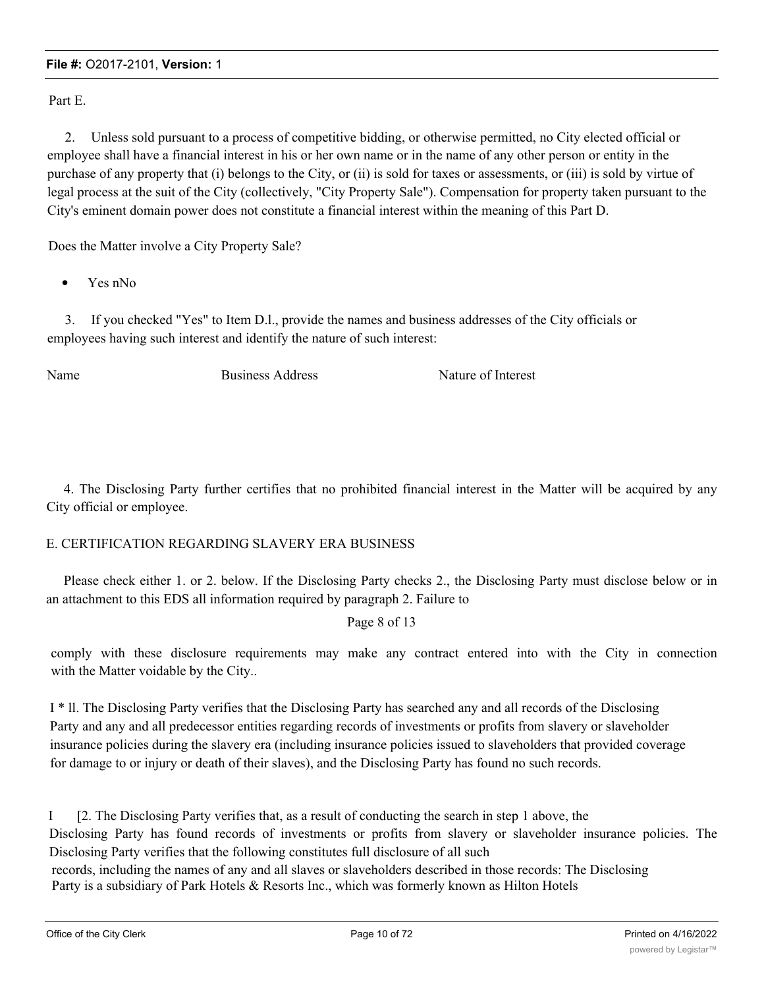Part E.

2. Unless sold pursuant to a process of competitive bidding, or otherwise permitted, no City elected official or employee shall have a financial interest in his or her own name or in the name of any other person or entity in the purchase of any property that (i) belongs to the City, or (ii) is sold for taxes or assessments, or (iii) is sold by virtue of legal process at the suit of the City (collectively, "City Property Sale"). Compensation for property taken pursuant to the City's eminent domain power does not constitute a financial interest within the meaning of this Part D.

Does the Matter involve a City Property Sale?

Yes nNo

3. If you checked "Yes" to Item D.l., provide the names and business addresses of the City officials or employees having such interest and identify the nature of such interest:

Name Business Address Nature of Interest

4. The Disclosing Party further certifies that no prohibited financial interest in the Matter will be acquired by any City official or employee.

# E. CERTIFICATION REGARDING SLAVERY ERA BUSINESS

Please check either 1. or 2. below. If the Disclosing Party checks 2., the Disclosing Party must disclose below or in an attachment to this EDS all information required by paragraph 2. Failure to

Page 8 of 13

comply with these disclosure requirements may make any contract entered into with the City in connection with the Matter voidable by the City..

I \* ll. The Disclosing Party verifies that the Disclosing Party has searched any and all records of the Disclosing Party and any and all predecessor entities regarding records of investments or profits from slavery or slaveholder insurance policies during the slavery era (including insurance policies issued to slaveholders that provided coverage for damage to or injury or death of their slaves), and the Disclosing Party has found no such records.

I [2. The Disclosing Party verifies that, as a result of conducting the search in step 1 above, the Disclosing Party has found records of investments or profits from slavery or slaveholder insurance policies. The Disclosing Party verifies that the following constitutes full disclosure of all such records, including the names of any and all slaves or slaveholders described in those records: The Disclosing Party is a subsidiary of Park Hotels & Resorts Inc., which was formerly known as Hilton Hotels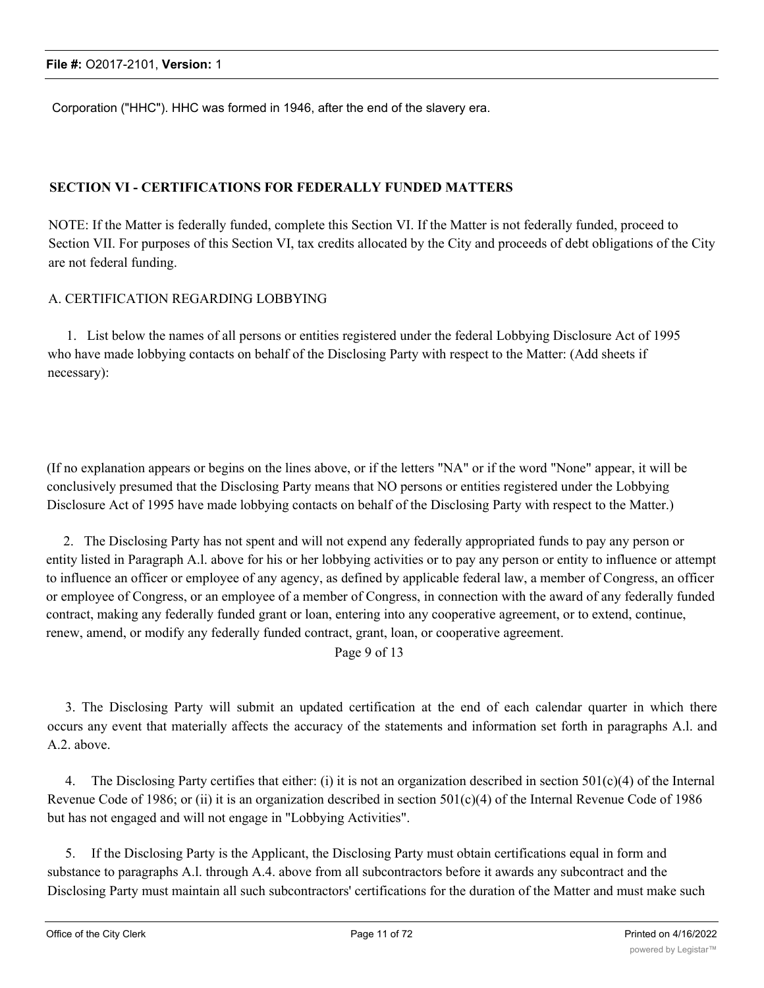Corporation ("HHC"). HHC was formed in 1946, after the end of the slavery era.

# **SECTION VI - CERTIFICATIONS FOR FEDERALLY FUNDED MATTERS**

NOTE: If the Matter is federally funded, complete this Section VI. If the Matter is not federally funded, proceed to Section VII. For purposes of this Section VI, tax credits allocated by the City and proceeds of debt obligations of the City are not federal funding.

# A. CERTIFICATION REGARDING LOBBYING

1. List below the names of all persons or entities registered under the federal Lobbying Disclosure Act of 1995 who have made lobbying contacts on behalf of the Disclosing Party with respect to the Matter: (Add sheets if necessary):

(If no explanation appears or begins on the lines above, or if the letters "NA" or if the word "None" appear, it will be conclusively presumed that the Disclosing Party means that NO persons or entities registered under the Lobbying Disclosure Act of 1995 have made lobbying contacts on behalf of the Disclosing Party with respect to the Matter.)

2. The Disclosing Party has not spent and will not expend any federally appropriated funds to pay any person or entity listed in Paragraph A.l. above for his or her lobbying activities or to pay any person or entity to influence or attempt to influence an officer or employee of any agency, as defined by applicable federal law, a member of Congress, an officer or employee of Congress, or an employee of a member of Congress, in connection with the award of any federally funded contract, making any federally funded grant or loan, entering into any cooperative agreement, or to extend, continue, renew, amend, or modify any federally funded contract, grant, loan, or cooperative agreement.

Page 9 of 13

3. The Disclosing Party will submit an updated certification at the end of each calendar quarter in which there occurs any event that materially affects the accuracy of the statements and information set forth in paragraphs A.l. and A.2. above.

4. The Disclosing Party certifies that either: (i) it is not an organization described in section 501(c)(4) of the Internal Revenue Code of 1986; or (ii) it is an organization described in section  $501(c)(4)$  of the Internal Revenue Code of 1986 but has not engaged and will not engage in "Lobbying Activities".

5. If the Disclosing Party is the Applicant, the Disclosing Party must obtain certifications equal in form and substance to paragraphs A.l. through A.4. above from all subcontractors before it awards any subcontract and the Disclosing Party must maintain all such subcontractors' certifications for the duration of the Matter and must make such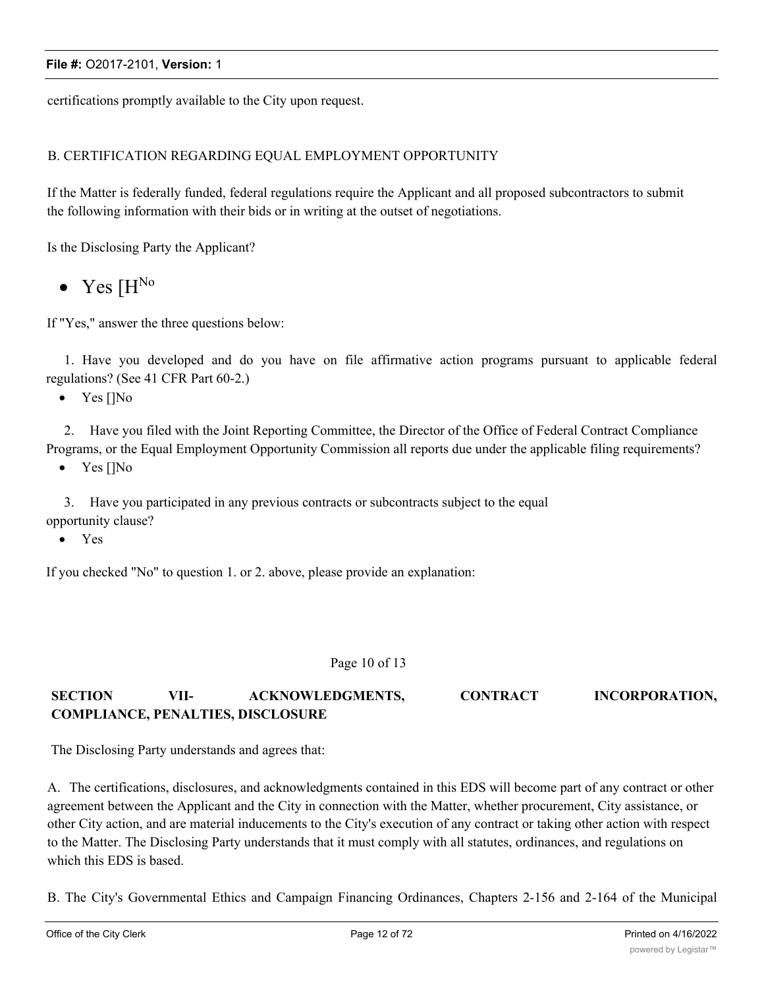certifications promptly available to the City upon request.

# B. CERTIFICATION REGARDING EQUAL EMPLOYMENT OPPORTUNITY

If the Matter is federally funded, federal regulations require the Applicant and all proposed subcontractors to submit the following information with their bids or in writing at the outset of negotiations.

Is the Disclosing Party the Applicant?

• Yes  $[H<sup>No</sup>]$ 

If "Yes," answer the three questions below:

1. Have you developed and do you have on file affirmative action programs pursuant to applicable federal regulations? (See 41 CFR Part 60-2.)

• Yes []No

2. Have you filed with the Joint Reporting Committee, the Director of the Office of Federal Contract Compliance Programs, or the Equal Employment Opportunity Commission all reports due under the applicable filing requirements?

• Yes []No

3. Have you participated in any previous contracts or subcontracts subject to the equal opportunity clause?

· Yes

If you checked "No" to question 1. or 2. above, please provide an explanation:

#### Page 10 of 13

# **SECTION VII- ACKNOWLEDGMENTS, CONTRACT INCORPORATION, COMPLIANCE, PENALTIES, DISCLOSURE**

The Disclosing Party understands and agrees that:

A. The certifications, disclosures, and acknowledgments contained in this EDS will become part of any contract or other agreement between the Applicant and the City in connection with the Matter, whether procurement, City assistance, or other City action, and are material inducements to the City's execution of any contract or taking other action with respect to the Matter. The Disclosing Party understands that it must comply with all statutes, ordinances, and regulations on which this EDS is based.

B. The City's Governmental Ethics and Campaign Financing Ordinances, Chapters 2-156 and 2-164 of the Municipal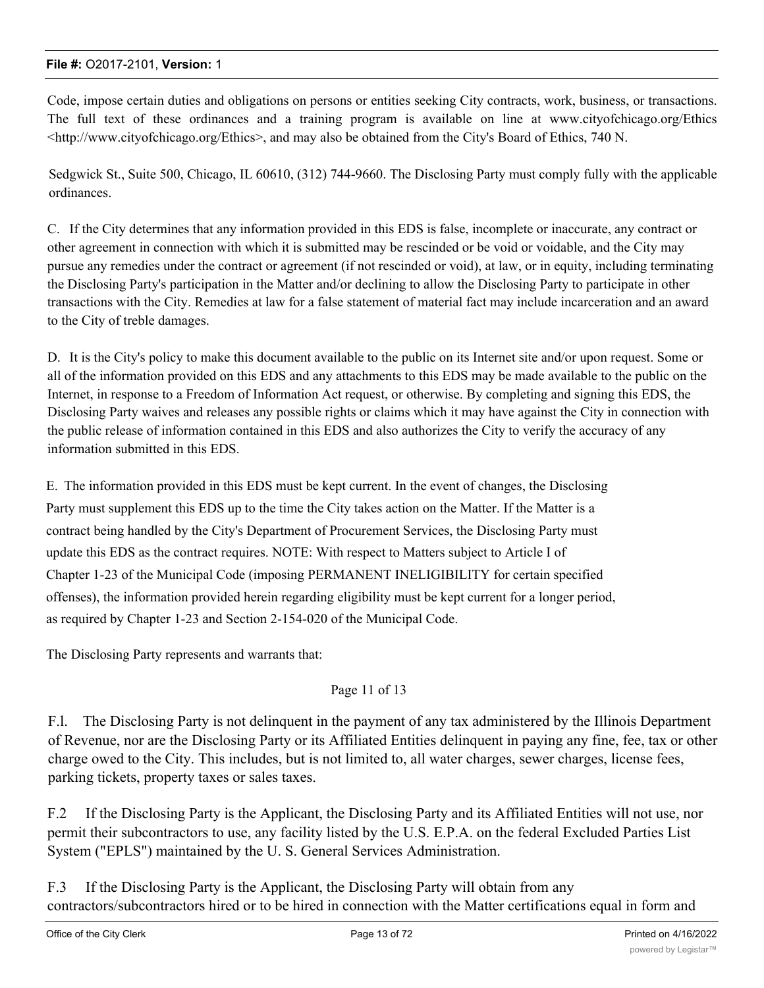Code, impose certain duties and obligations on persons or entities seeking City contracts, work, business, or transactions. The full text of these ordinances and a training program is available on line at www.cityofchicago.org/Ethics <http://www.cityofchicago.org/Ethics>, and may also be obtained from the City's Board of Ethics, 740 N.

Sedgwick St., Suite 500, Chicago, IL 60610, (312) 744-9660. The Disclosing Party must comply fully with the applicable ordinances.

C. If the City determines that any information provided in this EDS is false, incomplete or inaccurate, any contract or other agreement in connection with which it is submitted may be rescinded or be void or voidable, and the City may pursue any remedies under the contract or agreement (if not rescinded or void), at law, or in equity, including terminating the Disclosing Party's participation in the Matter and/or declining to allow the Disclosing Party to participate in other transactions with the City. Remedies at law for a false statement of material fact may include incarceration and an award to the City of treble damages.

D. It is the City's policy to make this document available to the public on its Internet site and/or upon request. Some or all of the information provided on this EDS and any attachments to this EDS may be made available to the public on the Internet, in response to a Freedom of Information Act request, or otherwise. By completing and signing this EDS, the Disclosing Party waives and releases any possible rights or claims which it may have against the City in connection with the public release of information contained in this EDS and also authorizes the City to verify the accuracy of any information submitted in this EDS.

E. The information provided in this EDS must be kept current. In the event of changes, the Disclosing Party must supplement this EDS up to the time the City takes action on the Matter. If the Matter is a contract being handled by the City's Department of Procurement Services, the Disclosing Party must update this EDS as the contract requires. NOTE: With respect to Matters subject to Article I of Chapter 1-23 of the Municipal Code (imposing PERMANENT INELIGIBILITY for certain specified offenses), the information provided herein regarding eligibility must be kept current for a longer period, as required by Chapter 1-23 and Section 2-154-020 of the Municipal Code.

The Disclosing Party represents and warrants that:

# Page 11 of 13

F.l. The Disclosing Party is not delinquent in the payment of any tax administered by the Illinois Department of Revenue, nor are the Disclosing Party or its Affiliated Entities delinquent in paying any fine, fee, tax or other charge owed to the City. This includes, but is not limited to, all water charges, sewer charges, license fees, parking tickets, property taxes or sales taxes.

F.2 If the Disclosing Party is the Applicant, the Disclosing Party and its Affiliated Entities will not use, nor permit their subcontractors to use, any facility listed by the U.S. E.P.A. on the federal Excluded Parties List System ("EPLS") maintained by the U. S. General Services Administration.

F.3 If the Disclosing Party is the Applicant, the Disclosing Party will obtain from any contractors/subcontractors hired or to be hired in connection with the Matter certifications equal in form and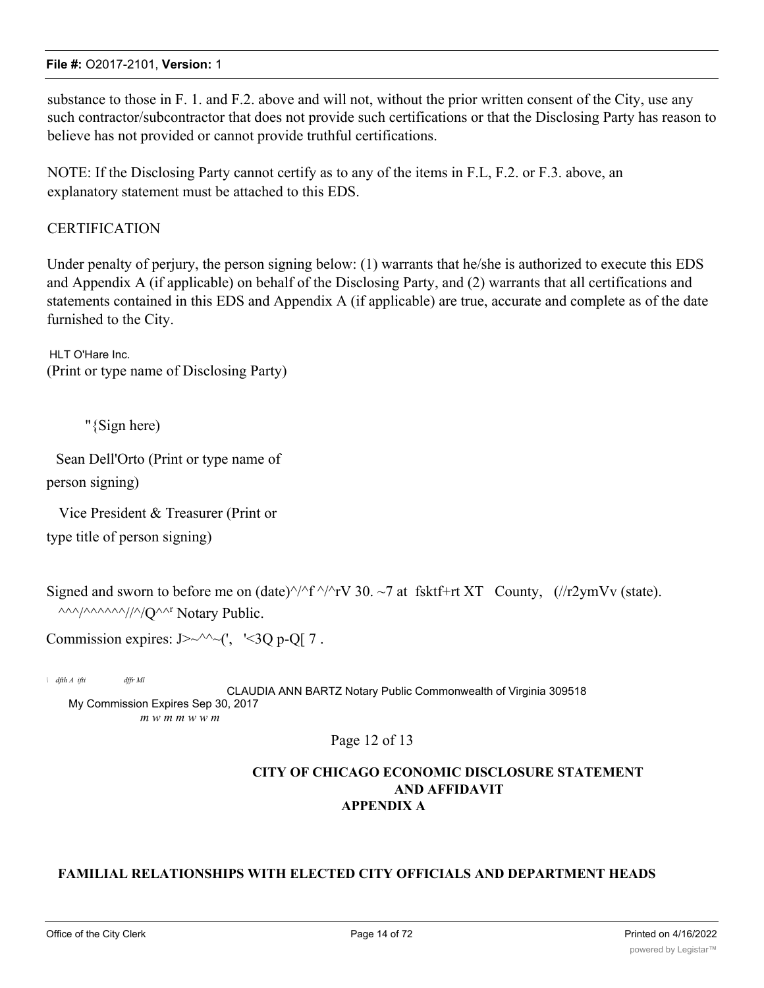substance to those in F. 1. and F.2. above and will not, without the prior written consent of the City, use any such contractor/subcontractor that does not provide such certifications or that the Disclosing Party has reason to believe has not provided or cannot provide truthful certifications.

NOTE: If the Disclosing Party cannot certify as to any of the items in F.L, F.2. or F.3. above, an explanatory statement must be attached to this EDS.

# **CERTIFICATION**

Under penalty of perjury, the person signing below: (1) warrants that he/she is authorized to execute this EDS and Appendix A (if applicable) on behalf of the Disclosing Party, and (2) warrants that all certifications and statements contained in this EDS and Appendix A (if applicable) are true, accurate and complete as of the date furnished to the City.

HI T O'Hare Inc. (Print or type name of Disclosing Party)

"{Sign here)

Sean Dell'Orto (Print or type name of person signing)

Vice President & Treasurer (Print or type title of person signing)

Signed and sworn to before me on (date) $\frac{\gamma}{f} \frac{\gamma}{v}$  30. ~7 at fsktf+rt XT County, (//r2ymVv (state).  $\wedge\wedge\wedge/\wedge\wedge\wedge\wedge\wedge/\wedge/\wedge Q$  Notary Public.

Commission expires:  $J > \sqrt{2}$  (', '<30 p-O[ 7.

*\ dfth A ifti dffr Ml* CLAUDIA ANN BARTZ Notary Public Commonwealth of Virginia 309518 My Commission Expires Sep 30, 2017 *m w m m w w m*

# Page 12 of 13

# **CITY OF CHICAGO ECONOMIC DISCLOSURE STATEMENT AND AFFIDAVIT APPENDIX A**

# **FAMILIAL RELATIONSHIPS WITH ELECTED CITY OFFICIALS AND DEPARTMENT HEADS**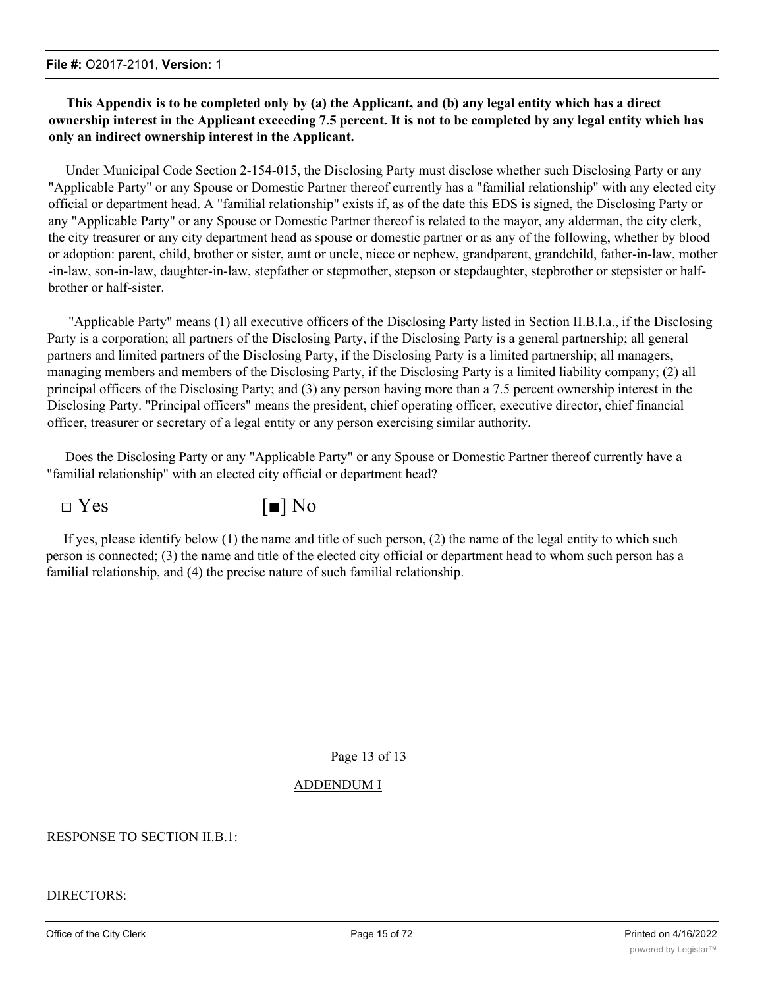# **This Appendix is to be completed only by (a) the Applicant, and (b) any legal entity which has a direct ownership interest in the Applicant exceeding 7.5 percent. It is not to be completed by any legal entity which has only an indirect ownership interest in the Applicant.**

Under Municipal Code Section 2-154-015, the Disclosing Party must disclose whether such Disclosing Party or any "Applicable Party" or any Spouse or Domestic Partner thereof currently has a "familial relationship" with any elected city official or department head. A "familial relationship" exists if, as of the date this EDS is signed, the Disclosing Party or any "Applicable Party" or any Spouse or Domestic Partner thereof is related to the mayor, any alderman, the city clerk, the city treasurer or any city department head as spouse or domestic partner or as any of the following, whether by blood or adoption: parent, child, brother or sister, aunt or uncle, niece or nephew, grandparent, grandchild, father-in-law, mother -in-law, son-in-law, daughter-in-law, stepfather or stepmother, stepson or stepdaughter, stepbrother or stepsister or halfbrother or half-sister.

"Applicable Party" means (1) all executive officers of the Disclosing Party listed in Section II.B.l.a., if the Disclosing Party is a corporation; all partners of the Disclosing Party, if the Disclosing Party is a general partnership; all general partners and limited partners of the Disclosing Party, if the Disclosing Party is a limited partnership; all managers, managing members and members of the Disclosing Party, if the Disclosing Party is a limited liability company; (2) all principal officers of the Disclosing Party; and (3) any person having more than a 7.5 percent ownership interest in the Disclosing Party. "Principal officers" means the president, chief operating officer, executive director, chief financial officer, treasurer or secretary of a legal entity or any person exercising similar authority.

Does the Disclosing Party or any "Applicable Party" or any Spouse or Domestic Partner thereof currently have a "familial relationship" with an elected city official or department head?



If yes, please identify below (1) the name and title of such person, (2) the name of the legal entity to which such person is connected; (3) the name and title of the elected city official or department head to whom such person has a familial relationship, and (4) the precise nature of such familial relationship.

Page 13 of 13

# ADDENDUM I

# RESPONSE TO SECTION II.B.1:

DIRECTORS: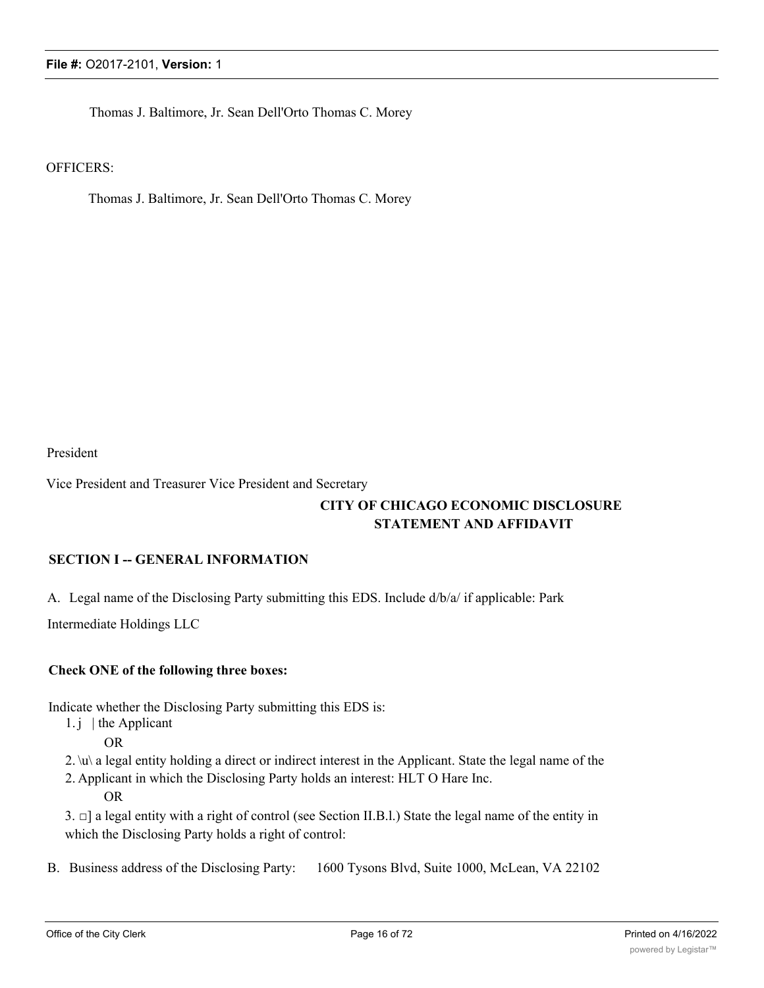Thomas J. Baltimore, Jr. Sean Dell'Orto Thomas C. Morey

# OFFICERS:

Thomas J. Baltimore, Jr. Sean Dell'Orto Thomas C. Morey

President

Vice President and Treasurer Vice President and Secretary

# **CITY OF CHICAGO ECONOMIC DISCLOSURE STATEMENT AND AFFIDAVIT**

# **SECTION I -- GENERAL INFORMATION**

A. Legal name of the Disclosing Party submitting this EDS. Include d/b/a/ if applicable: Park

Intermediate Holdings LLC

# **Check ONE of the following three boxes:**

Indicate whether the Disclosing Party submitting this EDS is:

- 1. j  $\vert$  the Applicant
	- OR
- 2. \u\ a legal entity holding a direct or indirect interest in the Applicant. State the legal name of the
- 2. Applicant in which the Disclosing Party holds an interest: HLT O Hare Inc. OR

3. □] a legal entity with a right of control (see Section II.B.l.) State the legal name of the entity in which the Disclosing Party holds a right of control:

B. Business address of the Disclosing Party: 1600 Tysons Blvd, Suite 1000, McLean, VA 22102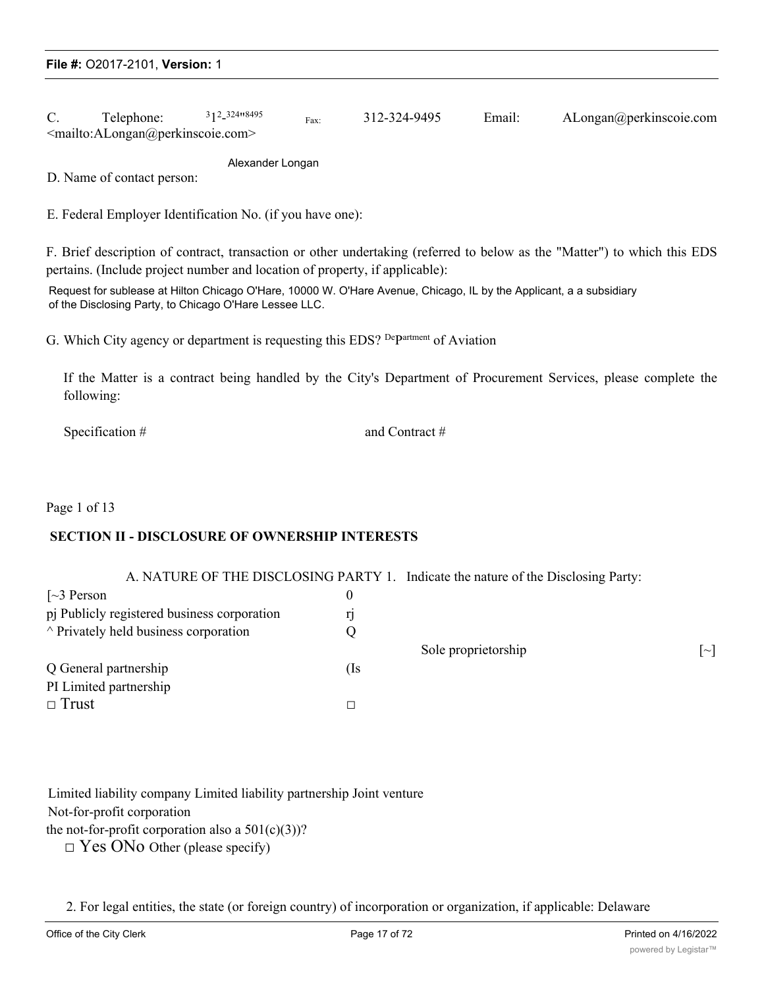C. Telephone: 12 - 324"8495 Fax: 312-324-9495 Email: ALongan@perkinscoie.com <mailto:ALongan@perkinscoie.com>

Alexander Longan

D. Name of contact person:

E. Federal Employer Identification No. (if you have one):

F. Brief description of contract, transaction or other undertaking (referred to below as the "Matter") to which this EDS pertains. (Include project number and location of property, if applicable):

Request for sublease at Hilton Chicago O'Hare, 10000 W. O'Hare Avenue, Chicago, IL by the Applicant, a a subsidiary of the Disclosing Party, to Chicago O'Hare Lessee LLC.

G. Which City agency or department is requesting this EDS? Department of Aviation

If the Matter is a contract being handled by the City's Department of Procurement Services, please complete the following:

Specification # and Contract #

Page 1 of 13

# **SECTION II - DISCLOSURE OF OWNERSHIP INTERESTS**

A. NATURE OF THE DISCLOSING PARTY 1. Indicate the nature of the Disclosing Party:

| $\lceil 3$ Person                           |     |                     |        |
|---------------------------------------------|-----|---------------------|--------|
| pj Publicly registered business corporation |     |                     |        |
| $\land$ Privately held business corporation |     |                     |        |
|                                             |     | Sole proprietorship | $\sim$ |
| Q General partnership                       | (Is |                     |        |
| PI Limited partnership                      |     |                     |        |
| $\Box$ Trust                                |     |                     |        |

Limited liability company Limited liability partnership Joint venture Not-for-profit corporation the not-for-profit corporation also a  $501(c)(3)$ ?

 $\square$  Yes ONo Other (please specify)

2. For legal entities, the state (or foreign country) of incorporation or organization, if applicable: Delaware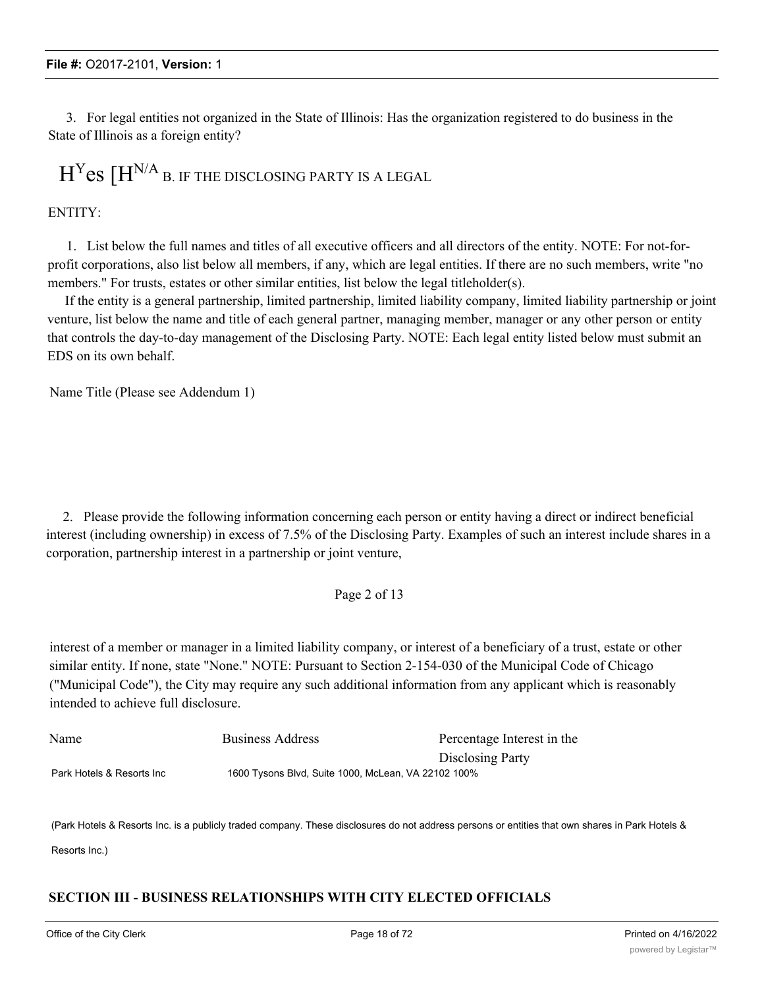3. For legal entities not organized in the State of Illinois: Has the organization registered to do business in the State of Illinois as a foreign entity?

# $H<sup>Y</sup>$ es  $[H<sup>N/A</sup>$  b. If the disclosing party is a legal

### ENTITY:

1. List below the full names and titles of all executive officers and all directors of the entity. NOTE: For not-forprofit corporations, also list below all members, if any, which are legal entities. If there are no such members, write "no members." For trusts, estates or other similar entities, list below the legal titleholder(s).

If the entity is a general partnership, limited partnership, limited liability company, limited liability partnership or joint venture, list below the name and title of each general partner, managing member, manager or any other person or entity that controls the day-to-day management of the Disclosing Party. NOTE: Each legal entity listed below must submit an EDS on its own behalf.

Name Title (Please see Addendum 1)

2. Please provide the following information concerning each person or entity having a direct or indirect beneficial interest (including ownership) in excess of 7.5% of the Disclosing Party. Examples of such an interest include shares in a corporation, partnership interest in a partnership or joint venture,

# Page 2 of 13

interest of a member or manager in a limited liability company, or interest of a beneficiary of a trust, estate or other similar entity. If none, state "None." NOTE: Pursuant to Section 2-154-030 of the Municipal Code of Chicago ("Municipal Code"), the City may require any such additional information from any applicant which is reasonably intended to achieve full disclosure.

| Name                      | Business Address                                    | Percentage Interest in the |
|---------------------------|-----------------------------------------------------|----------------------------|
|                           |                                                     | Disclosing Party           |
| Park Hotels & Resorts Inc | 1600 Tysons Blvd, Suite 1000, McLean, VA 22102 100% |                            |

(Park Hotels & Resorts Inc. is a publicly traded company. These disclosures do not address persons or entities that own shares in Park Hotels &

Resorts Inc.)

# **SECTION III - BUSINESS RELATIONSHIPS WITH CITY ELECTED OFFICIALS**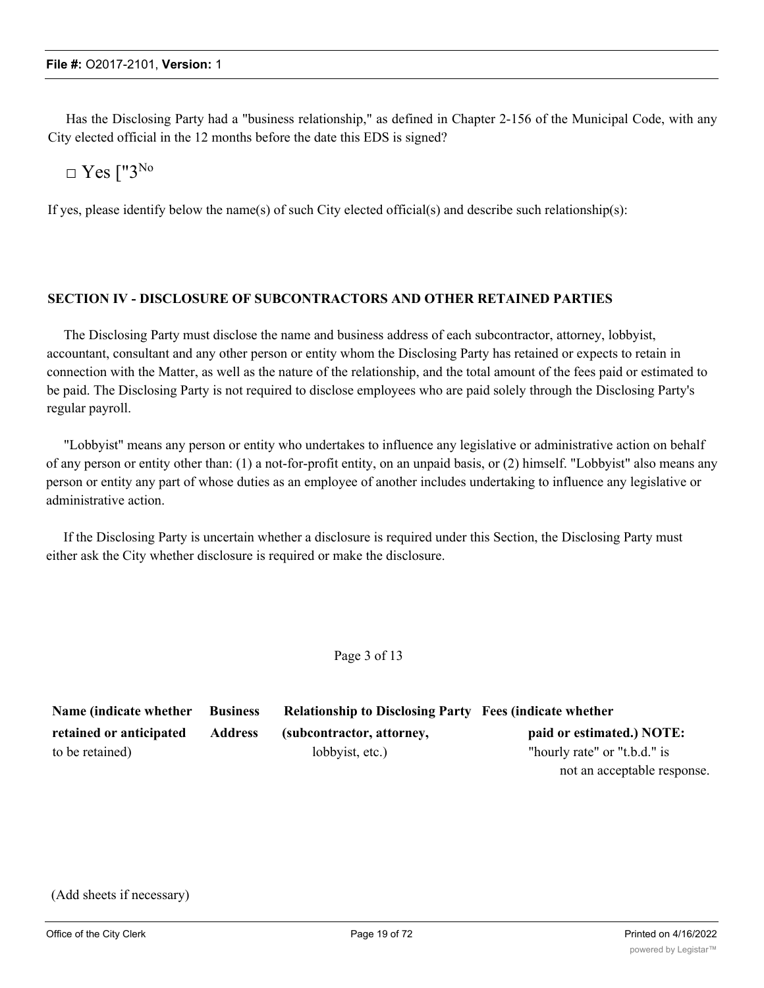Has the Disclosing Party had a "business relationship," as defined in Chapter 2-156 of the Municipal Code, with any City elected official in the 12 months before the date this EDS is signed?

# $\Box$  Yes ["3<sup>No</sup>

If yes, please identify below the name(s) of such City elected official(s) and describe such relationship(s):

# **SECTION IV - DISCLOSURE OF SUBCONTRACTORS AND OTHER RETAINED PARTIES**

The Disclosing Party must disclose the name and business address of each subcontractor, attorney, lobbyist, accountant, consultant and any other person or entity whom the Disclosing Party has retained or expects to retain in connection with the Matter, as well as the nature of the relationship, and the total amount of the fees paid or estimated to be paid. The Disclosing Party is not required to disclose employees who are paid solely through the Disclosing Party's regular payroll.

"Lobbyist" means any person or entity who undertakes to influence any legislative or administrative action on behalf of any person or entity other than: (1) a not-for-profit entity, on an unpaid basis, or (2) himself. "Lobbyist" also means any person or entity any part of whose duties as an employee of another includes undertaking to influence any legislative or administrative action.

If the Disclosing Party is uncertain whether a disclosure is required under this Section, the Disclosing Party must either ask the City whether disclosure is required or make the disclosure.

Page 3 of 13

| Name (indicate whether  | <b>Business</b> | <b>Relationship to Disclosing Party Fees (indicate whether</b> |                              |
|-------------------------|-----------------|----------------------------------------------------------------|------------------------------|
| retained or anticipated | <b>Address</b>  | (subcontractor, attorney,                                      | paid or estimated.) NOTE:    |
| to be retained)         |                 | lobbyist, etc.)                                                | "hourly rate" or "t.b.d." is |
|                         |                 |                                                                | not an acceptable response.  |

```
(Add sheets if necessary)
```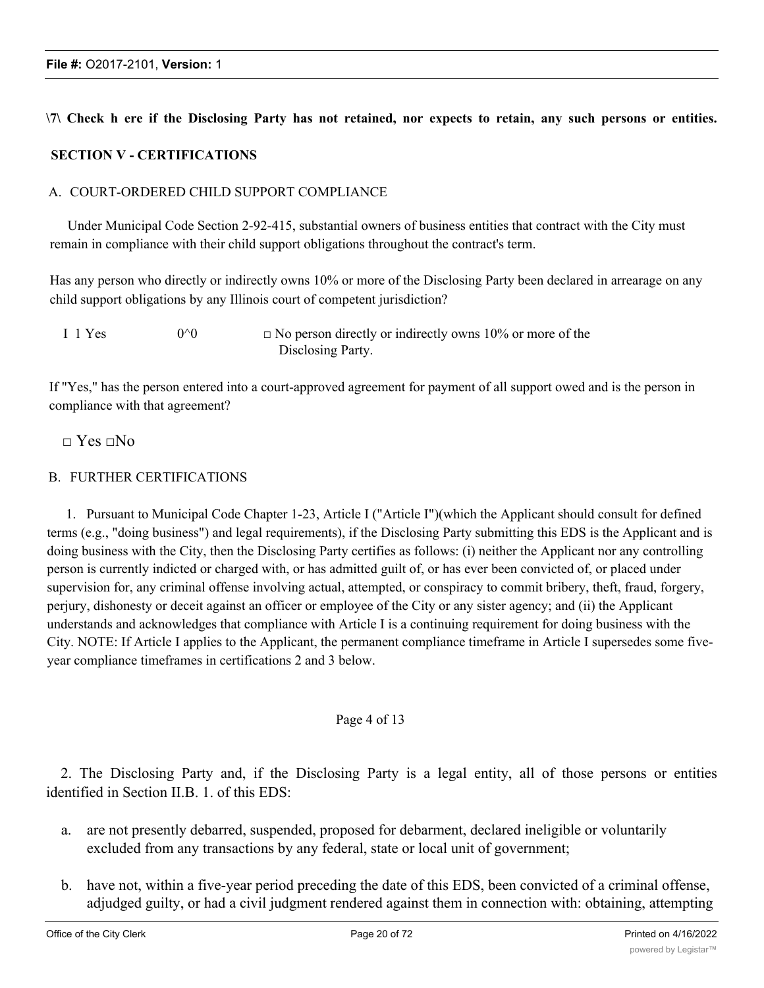# \7\ Check h ere if the Disclosing Party has not retained, nor expects to retain, any such persons or entities.

# **SECTION V - CERTIFICATIONS**

# A. COURT-ORDERED CHILD SUPPORT COMPLIANCE

Under Municipal Code Section 2-92-415, substantial owners of business entities that contract with the City must remain in compliance with their child support obligations throughout the contract's term.

Has any person who directly or indirectly owns 10% or more of the Disclosing Party been declared in arrearage on any child support obligations by any Illinois court of competent jurisdiction?

| I 1 Yes | $0^{\wedge}0$ | $\Box$ No person directly or indirectly owns 10% or more of the |
|---------|---------------|-----------------------------------------------------------------|
|         |               | Disclosing Party.                                               |

If "Yes," has the person entered into a court-approved agreement for payment of all support owed and is the person in compliance with that agreement?

# $\Box$  Yes  $\Box$ No

# B. FURTHER CERTIFICATIONS

1. Pursuant to Municipal Code Chapter 1-23, Article I ("Article I")(which the Applicant should consult for defined terms (e.g., "doing business") and legal requirements), if the Disclosing Party submitting this EDS is the Applicant and is doing business with the City, then the Disclosing Party certifies as follows: (i) neither the Applicant nor any controlling person is currently indicted or charged with, or has admitted guilt of, or has ever been convicted of, or placed under supervision for, any criminal offense involving actual, attempted, or conspiracy to commit bribery, theft, fraud, forgery, perjury, dishonesty or deceit against an officer or employee of the City or any sister agency; and (ii) the Applicant understands and acknowledges that compliance with Article I is a continuing requirement for doing business with the City. NOTE: If Article I applies to the Applicant, the permanent compliance timeframe in Article I supersedes some fiveyear compliance timeframes in certifications 2 and 3 below.

# Page 4 of 13

2. The Disclosing Party and, if the Disclosing Party is a legal entity, all of those persons or entities identified in Section II.B. 1. of this EDS:

- a. are not presently debarred, suspended, proposed for debarment, declared ineligible or voluntarily excluded from any transactions by any federal, state or local unit of government;
- b. have not, within a five-year period preceding the date of this EDS, been convicted of a criminal offense, adjudged guilty, or had a civil judgment rendered against them in connection with: obtaining, attempting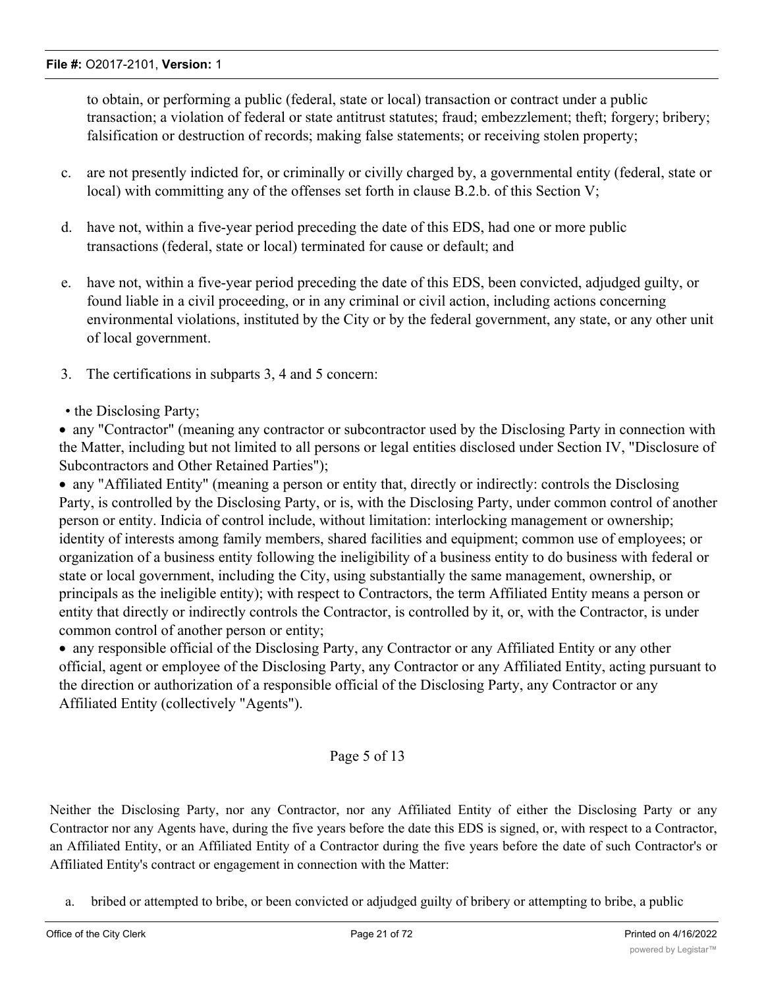to obtain, or performing a public (federal, state or local) transaction or contract under a public transaction; a violation of federal or state antitrust statutes; fraud; embezzlement; theft; forgery; bribery; falsification or destruction of records; making false statements; or receiving stolen property;

- c. are not presently indicted for, or criminally or civilly charged by, a governmental entity (federal, state or local) with committing any of the offenses set forth in clause B.2.b. of this Section V;
- d. have not, within a five-year period preceding the date of this EDS, had one or more public transactions (federal, state or local) terminated for cause or default; and
- e. have not, within a five-year period preceding the date of this EDS, been convicted, adjudged guilty, or found liable in a civil proceeding, or in any criminal or civil action, including actions concerning environmental violations, instituted by the City or by the federal government, any state, or any other unit of local government.
- 3. The certifications in subparts 3, 4 and 5 concern:

# • the Disclosing Party;

· any "Contractor" (meaning any contractor or subcontractor used by the Disclosing Party in connection with the Matter, including but not limited to all persons or legal entities disclosed under Section IV, "Disclosure of Subcontractors and Other Retained Parties");

· any "Affiliated Entity" (meaning a person or entity that, directly or indirectly: controls the Disclosing Party, is controlled by the Disclosing Party, or is, with the Disclosing Party, under common control of another person or entity. Indicia of control include, without limitation: interlocking management or ownership; identity of interests among family members, shared facilities and equipment; common use of employees; or organization of a business entity following the ineligibility of a business entity to do business with federal or state or local government, including the City, using substantially the same management, ownership, or principals as the ineligible entity); with respect to Contractors, the term Affiliated Entity means a person or entity that directly or indirectly controls the Contractor, is controlled by it, or, with the Contractor, is under common control of another person or entity;

· any responsible official of the Disclosing Party, any Contractor or any Affiliated Entity or any other official, agent or employee of the Disclosing Party, any Contractor or any Affiliated Entity, acting pursuant to the direction or authorization of a responsible official of the Disclosing Party, any Contractor or any Affiliated Entity (collectively "Agents").

# Page 5 of 13

Neither the Disclosing Party, nor any Contractor, nor any Affiliated Entity of either the Disclosing Party or any Contractor nor any Agents have, during the five years before the date this EDS is signed, or, with respect to a Contractor, an Affiliated Entity, or an Affiliated Entity of a Contractor during the five years before the date of such Contractor's or Affiliated Entity's contract or engagement in connection with the Matter:

a. bribed or attempted to bribe, or been convicted or adjudged guilty of bribery or attempting to bribe, a public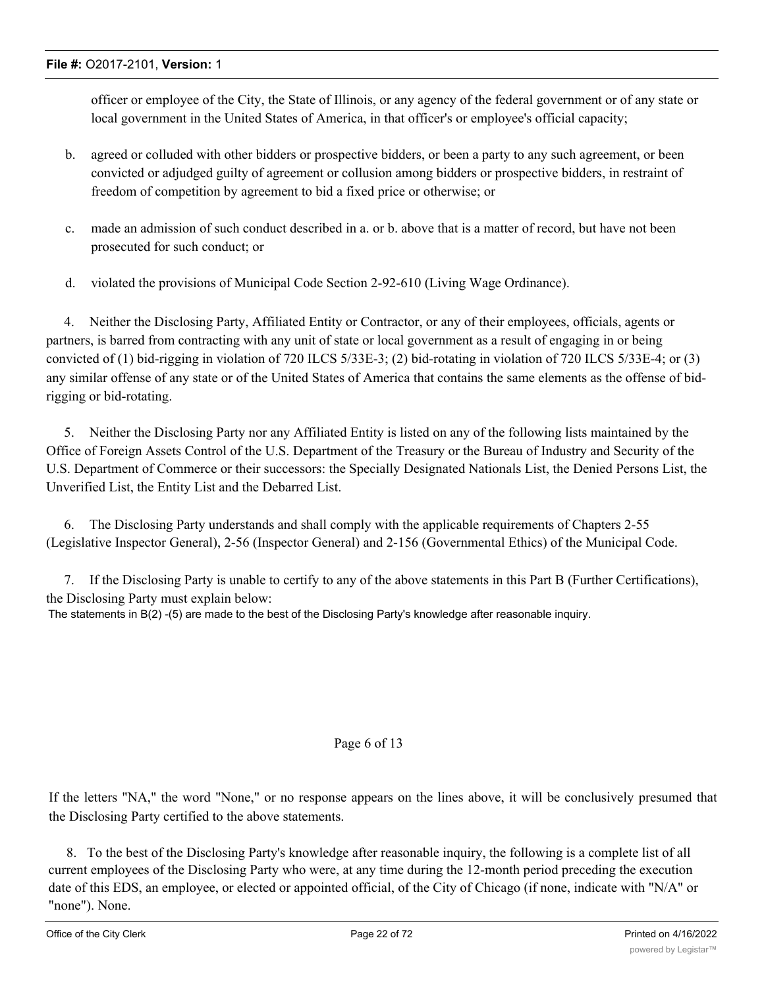officer or employee of the City, the State of Illinois, or any agency of the federal government or of any state or local government in the United States of America, in that officer's or employee's official capacity;

- b. agreed or colluded with other bidders or prospective bidders, or been a party to any such agreement, or been convicted or adjudged guilty of agreement or collusion among bidders or prospective bidders, in restraint of freedom of competition by agreement to bid a fixed price or otherwise; or
- c. made an admission of such conduct described in a. or b. above that is a matter of record, but have not been prosecuted for such conduct; or
- d. violated the provisions of Municipal Code Section 2-92-610 (Living Wage Ordinance).

4. Neither the Disclosing Party, Affiliated Entity or Contractor, or any of their employees, officials, agents or partners, is barred from contracting with any unit of state or local government as a result of engaging in or being convicted of (1) bid-rigging in violation of 720 ILCS 5/33E-3; (2) bid-rotating in violation of 720 ILCS 5/33E-4; or (3) any similar offense of any state or of the United States of America that contains the same elements as the offense of bidrigging or bid-rotating.

5. Neither the Disclosing Party nor any Affiliated Entity is listed on any of the following lists maintained by the Office of Foreign Assets Control of the U.S. Department of the Treasury or the Bureau of Industry and Security of the U.S. Department of Commerce or their successors: the Specially Designated Nationals List, the Denied Persons List, the Unverified List, the Entity List and the Debarred List.

6. The Disclosing Party understands and shall comply with the applicable requirements of Chapters 2-55 (Legislative Inspector General), 2-56 (Inspector General) and 2-156 (Governmental Ethics) of the Municipal Code.

7. If the Disclosing Party is unable to certify to any of the above statements in this Part B (Further Certifications), the Disclosing Party must explain below: The statements in B(2) -(5) are made to the best of the Disclosing Party's knowledge after reasonable inquiry.

#### Page 6 of 13

If the letters "NA," the word "None," or no response appears on the lines above, it will be conclusively presumed that the Disclosing Party certified to the above statements.

8. To the best of the Disclosing Party's knowledge after reasonable inquiry, the following is a complete list of all current employees of the Disclosing Party who were, at any time during the 12-month period preceding the execution date of this EDS, an employee, or elected or appointed official, of the City of Chicago (if none, indicate with "N/A" or "none"). None.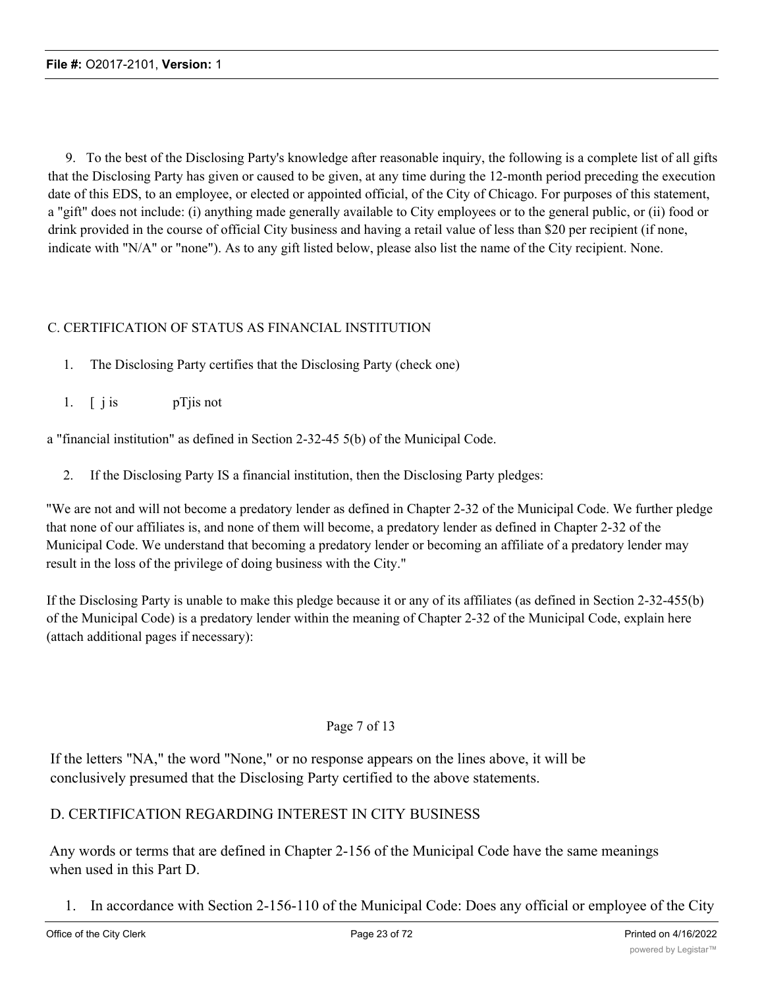9. To the best of the Disclosing Party's knowledge after reasonable inquiry, the following is a complete list of all gifts that the Disclosing Party has given or caused to be given, at any time during the 12-month period preceding the execution date of this EDS, to an employee, or elected or appointed official, of the City of Chicago. For purposes of this statement, a "gift" does not include: (i) anything made generally available to City employees or to the general public, or (ii) food or drink provided in the course of official City business and having a retail value of less than \$20 per recipient (if none, indicate with "N/A" or "none"). As to any gift listed below, please also list the name of the City recipient. None.

# C. CERTIFICATION OF STATUS AS FINANCIAL INSTITUTION

- 1. The Disclosing Party certifies that the Disclosing Party (check one)
- 1. [ j is pTjis not

a "financial institution" as defined in Section 2-32-45 5(b) of the Municipal Code.

2. If the Disclosing Party IS a financial institution, then the Disclosing Party pledges:

"We are not and will not become a predatory lender as defined in Chapter 2-32 of the Municipal Code. We further pledge that none of our affiliates is, and none of them will become, a predatory lender as defined in Chapter 2-32 of the Municipal Code. We understand that becoming a predatory lender or becoming an affiliate of a predatory lender may result in the loss of the privilege of doing business with the City."

If the Disclosing Party is unable to make this pledge because it or any of its affiliates (as defined in Section 2-32-455(b) of the Municipal Code) is a predatory lender within the meaning of Chapter 2-32 of the Municipal Code, explain here (attach additional pages if necessary):

# Page 7 of 13

If the letters "NA," the word "None," or no response appears on the lines above, it will be conclusively presumed that the Disclosing Party certified to the above statements.

# D. CERTIFICATION REGARDING INTEREST IN CITY BUSINESS

Any words or terms that are defined in Chapter 2-156 of the Municipal Code have the same meanings when used in this Part D.

1. In accordance with Section 2-156-110 of the Municipal Code: Does any official or employee of the City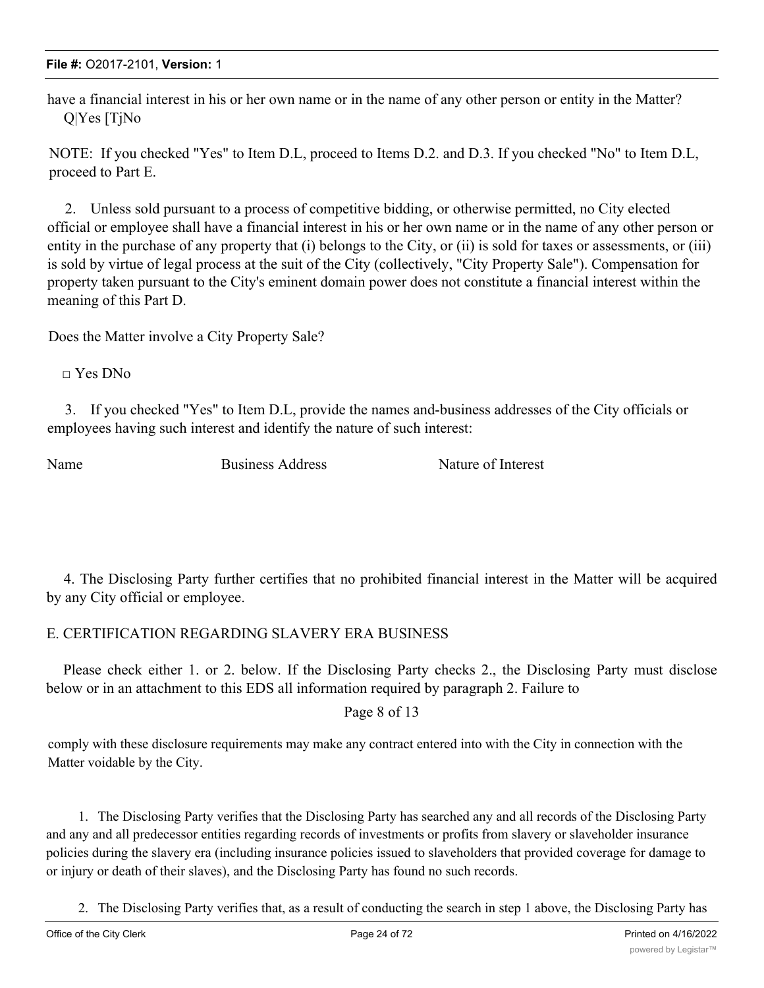have a financial interest in his or her own name or in the name of any other person or entity in the Matter? Q|Yes [TjNo

NOTE: If you checked "Yes" to Item D.L, proceed to Items D.2. and D.3. If you checked "No" to Item D.L, proceed to Part E.

2. Unless sold pursuant to a process of competitive bidding, or otherwise permitted, no City elected official or employee shall have a financial interest in his or her own name or in the name of any other person or entity in the purchase of any property that (i) belongs to the City, or (ii) is sold for taxes or assessments, or (iii) is sold by virtue of legal process at the suit of the City (collectively, "City Property Sale"). Compensation for property taken pursuant to the City's eminent domain power does not constitute a financial interest within the meaning of this Part D.

Does the Matter involve a City Property Sale?

 $\Box$  Yes DNo

3. If you checked "Yes" to Item D.L, provide the names and-business addresses of the City officials or employees having such interest and identify the nature of such interest:

Name Business Address Nature of Interest

4. The Disclosing Party further certifies that no prohibited financial interest in the Matter will be acquired by any City official or employee.

# E. CERTIFICATION REGARDING SLAVERY ERA BUSINESS

Please check either 1. or 2. below. If the Disclosing Party checks 2., the Disclosing Party must disclose below or in an attachment to this EDS all information required by paragraph 2. Failure to

Page 8 of 13

comply with these disclosure requirements may make any contract entered into with the City in connection with the Matter voidable by the City.

1. The Disclosing Party verifies that the Disclosing Party has searched any and all records of the Disclosing Party and any and all predecessor entities regarding records of investments or profits from slavery or slaveholder insurance policies during the slavery era (including insurance policies issued to slaveholders that provided coverage for damage to or injury or death of their slaves), and the Disclosing Party has found no such records.

2. The Disclosing Party verifies that, as a result of conducting the search in step 1 above, the Disclosing Party has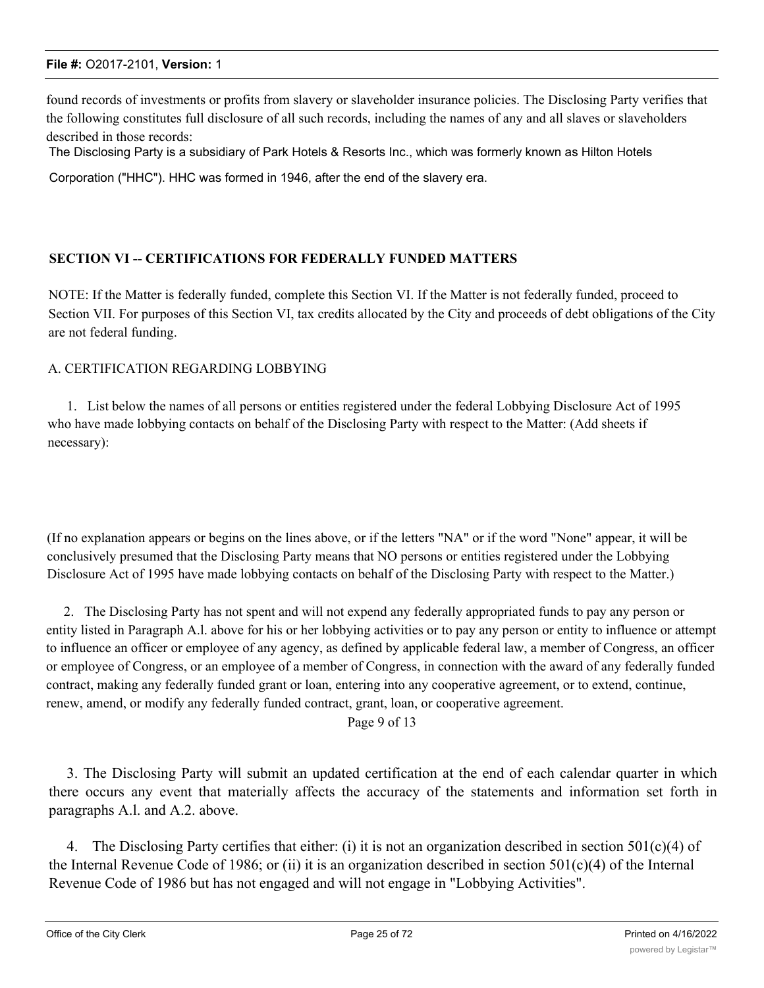found records of investments or profits from slavery or slaveholder insurance policies. The Disclosing Party verifies that the following constitutes full disclosure of all such records, including the names of any and all slaves or slaveholders described in those records:

The Disclosing Party is a subsidiary of Park Hotels & Resorts Inc., which was formerly known as Hilton Hotels

Corporation ("HHC"). HHC was formed in 1946, after the end of the slavery era.

# **SECTION VI -- CERTIFICATIONS FOR FEDERALLY FUNDED MATTERS**

NOTE: If the Matter is federally funded, complete this Section VI. If the Matter is not federally funded, proceed to Section VII. For purposes of this Section VI, tax credits allocated by the City and proceeds of debt obligations of the City are not federal funding.

# A. CERTIFICATION REGARDING LOBBYING

1. List below the names of all persons or entities registered under the federal Lobbying Disclosure Act of 1995 who have made lobbying contacts on behalf of the Disclosing Party with respect to the Matter: (Add sheets if necessary):

(If no explanation appears or begins on the lines above, or if the letters "NA" or if the word "None" appear, it will be conclusively presumed that the Disclosing Party means that NO persons or entities registered under the Lobbying Disclosure Act of 1995 have made lobbying contacts on behalf of the Disclosing Party with respect to the Matter.)

2. The Disclosing Party has not spent and will not expend any federally appropriated funds to pay any person or entity listed in Paragraph A.l. above for his or her lobbying activities or to pay any person or entity to influence or attempt to influence an officer or employee of any agency, as defined by applicable federal law, a member of Congress, an officer or employee of Congress, or an employee of a member of Congress, in connection with the award of any federally funded contract, making any federally funded grant or loan, entering into any cooperative agreement, or to extend, continue, renew, amend, or modify any federally funded contract, grant, loan, or cooperative agreement.

Page 9 of 13

3. The Disclosing Party will submit an updated certification at the end of each calendar quarter in which there occurs any event that materially affects the accuracy of the statements and information set forth in paragraphs A.l. and A.2. above.

4. The Disclosing Party certifies that either: (i) it is not an organization described in section  $501(c)(4)$  of the Internal Revenue Code of 1986; or (ii) it is an organization described in section 501(c)(4) of the Internal Revenue Code of 1986 but has not engaged and will not engage in "Lobbying Activities".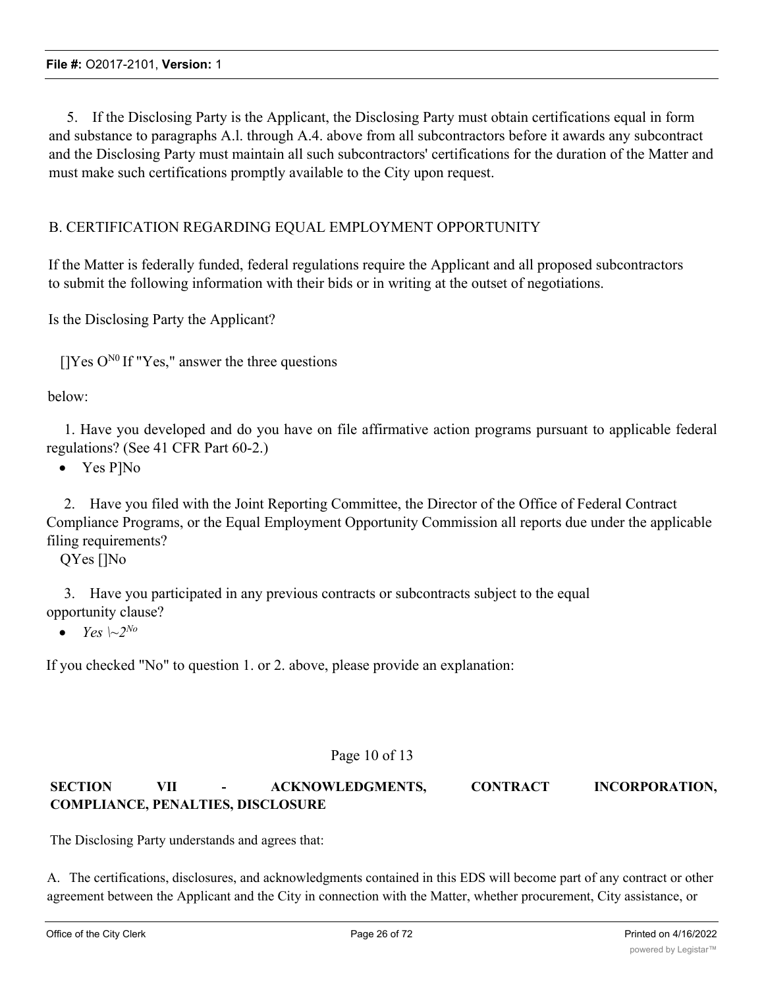5. If the Disclosing Party is the Applicant, the Disclosing Party must obtain certifications equal in form and substance to paragraphs A.l. through A.4. above from all subcontractors before it awards any subcontract and the Disclosing Party must maintain all such subcontractors' certifications for the duration of the Matter and must make such certifications promptly available to the City upon request.

# B. CERTIFICATION REGARDING EQUAL EMPLOYMENT OPPORTUNITY

If the Matter is federally funded, federal regulations require the Applicant and all proposed subcontractors to submit the following information with their bids or in writing at the outset of negotiations.

Is the Disclosing Party the Applicant?

 $[$  [Yes O<sup>N0</sup> If "Yes," answer the three questions

below:

1. Have you developed and do you have on file affirmative action programs pursuant to applicable federal regulations? (See 41 CFR Part 60-2.)

• Yes P]No

2. Have you filed with the Joint Reporting Committee, the Director of the Office of Federal Contract Compliance Programs, or the Equal Employment Opportunity Commission all reports due under the applicable filing requirements?

QYes []No

3. Have you participated in any previous contracts or subcontracts subject to the equal opportunity clause?

• *Yes*  $\sim 2^{N_o}$ 

If you checked "No" to question 1. or 2. above, please provide an explanation:

# Page 10 of 13

# **SECTION VII - ACKNOWLEDGMENTS, CONTRACT INCORPORATION, COMPLIANCE, PENALTIES, DISCLOSURE**

The Disclosing Party understands and agrees that:

A. The certifications, disclosures, and acknowledgments contained in this EDS will become part of any contract or other agreement between the Applicant and the City in connection with the Matter, whether procurement, City assistance, or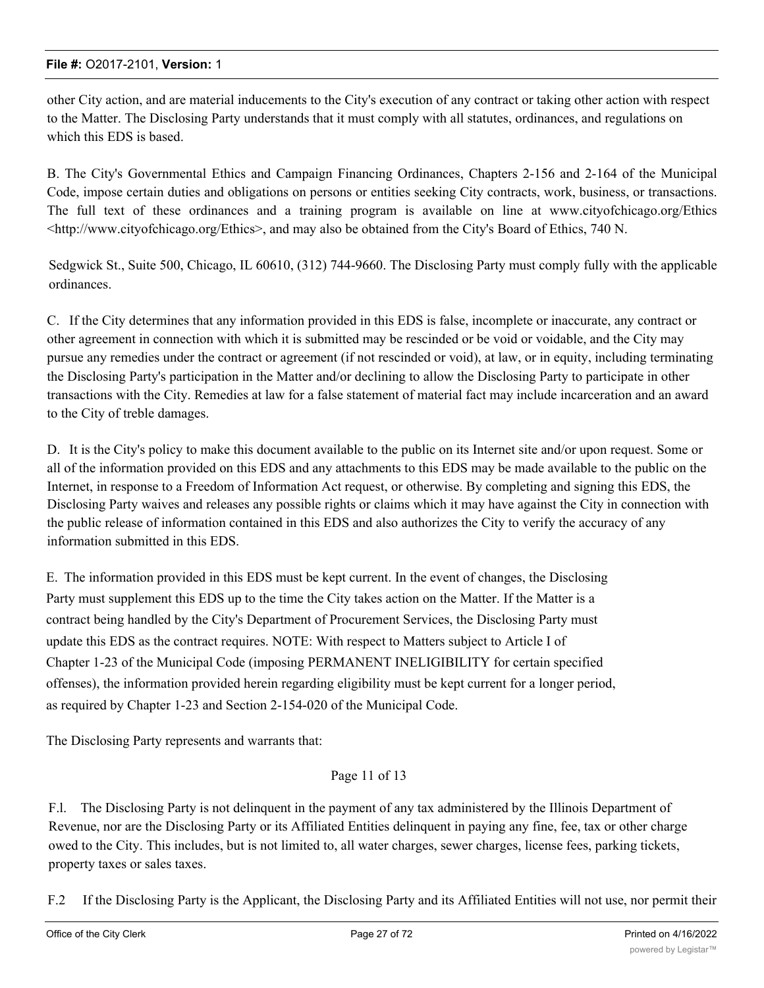other City action, and are material inducements to the City's execution of any contract or taking other action with respect to the Matter. The Disclosing Party understands that it must comply with all statutes, ordinances, and regulations on which this EDS is based.

B. The City's Governmental Ethics and Campaign Financing Ordinances, Chapters 2-156 and 2-164 of the Municipal Code, impose certain duties and obligations on persons or entities seeking City contracts, work, business, or transactions. The full text of these ordinances and a training program is available on line at www.cityofchicago.org/Ethics <http://www.cityofchicago.org/Ethics>, and may also be obtained from the City's Board of Ethics, 740 N.

Sedgwick St., Suite 500, Chicago, IL 60610, (312) 744-9660. The Disclosing Party must comply fully with the applicable ordinances.

C. If the City determines that any information provided in this EDS is false, incomplete or inaccurate, any contract or other agreement in connection with which it is submitted may be rescinded or be void or voidable, and the City may pursue any remedies under the contract or agreement (if not rescinded or void), at law, or in equity, including terminating the Disclosing Party's participation in the Matter and/or declining to allow the Disclosing Party to participate in other transactions with the City. Remedies at law for a false statement of material fact may include incarceration and an award to the City of treble damages.

D. It is the City's policy to make this document available to the public on its Internet site and/or upon request. Some or all of the information provided on this EDS and any attachments to this EDS may be made available to the public on the Internet, in response to a Freedom of Information Act request, or otherwise. By completing and signing this EDS, the Disclosing Party waives and releases any possible rights or claims which it may have against the City in connection with the public release of information contained in this EDS and also authorizes the City to verify the accuracy of any information submitted in this EDS.

E. The information provided in this EDS must be kept current. In the event of changes, the Disclosing Party must supplement this EDS up to the time the City takes action on the Matter. If the Matter is a contract being handled by the City's Department of Procurement Services, the Disclosing Party must update this EDS as the contract requires. NOTE: With respect to Matters subject to Article I of Chapter 1-23 of the Municipal Code (imposing PERMANENT INELIGIBILITY for certain specified offenses), the information provided herein regarding eligibility must be kept current for a longer period, as required by Chapter 1-23 and Section 2-154-020 of the Municipal Code.

The Disclosing Party represents and warrants that:

# Page 11 of 13

F.l. The Disclosing Party is not delinquent in the payment of any tax administered by the Illinois Department of Revenue, nor are the Disclosing Party or its Affiliated Entities delinquent in paying any fine, fee, tax or other charge owed to the City. This includes, but is not limited to, all water charges, sewer charges, license fees, parking tickets, property taxes or sales taxes.

F.2 If the Disclosing Party is the Applicant, the Disclosing Party and its Affiliated Entities will not use, nor permit their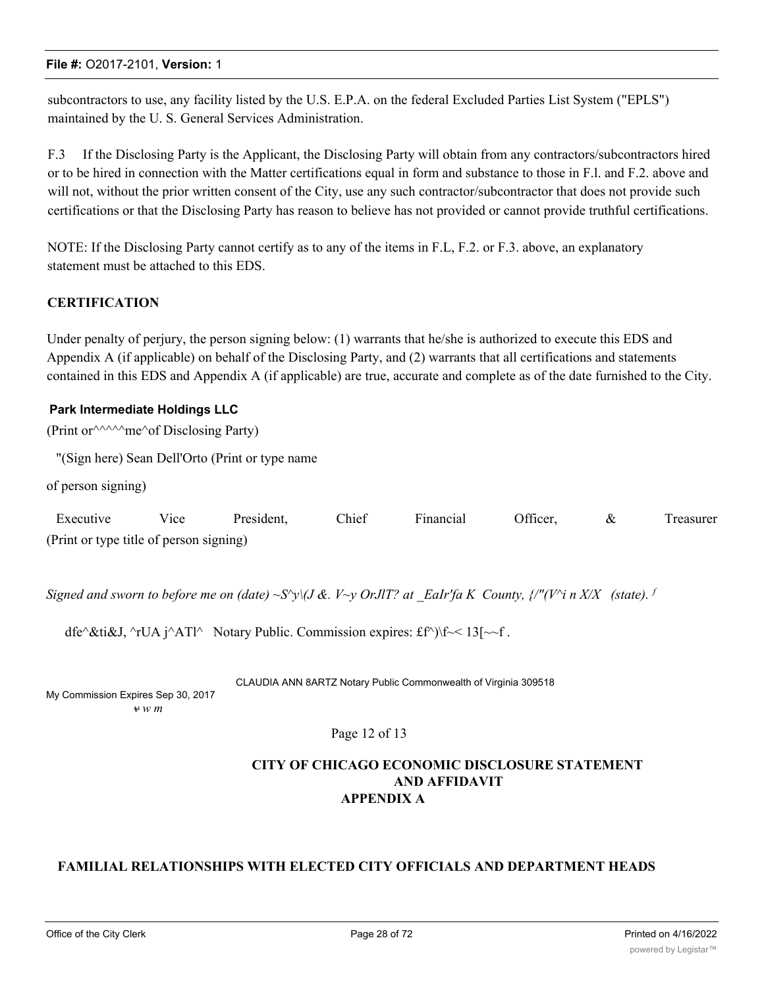subcontractors to use, any facility listed by the U.S. E.P.A. on the federal Excluded Parties List System ("EPLS") maintained by the U. S. General Services Administration.

F.3 If the Disclosing Party is the Applicant, the Disclosing Party will obtain from any contractors/subcontractors hired or to be hired in connection with the Matter certifications equal in form and substance to those in F.l. and F.2. above and will not, without the prior written consent of the City, use any such contractor/subcontractor that does not provide such certifications or that the Disclosing Party has reason to believe has not provided or cannot provide truthful certifications.

NOTE: If the Disclosing Party cannot certify as to any of the items in F.L, F.2. or F.3. above, an explanatory statement must be attached to this EDS.

# **CERTIFICATION**

Under penalty of perjury, the person signing below: (1) warrants that he/she is authorized to execute this EDS and Appendix A (if applicable) on behalf of the Disclosing Party, and (2) warrants that all certifications and statements contained in this EDS and Appendix A (if applicable) are true, accurate and complete as of the date furnished to the City.

#### **Park Intermediate Holdings LLC**

(Print or  $\land\land\land\land\land$  me $\land$  of Disclosing Party)

"(Sign here) Sean Dell'Orto (Print or type name

of person signing)

| Executive                               | Vice | President. | Chief | Financial | Officer, | Treasurer |
|-----------------------------------------|------|------------|-------|-----------|----------|-----------|
| (Print or type title of person signing) |      |            |       |           |          |           |

*Signed and sworn to before me on (date)*  $\sim S'$ y $\sqrt{J}$  &.  $V \sim y$  OrJIT? at EaIr'fa K County,  $\sqrt{I''}$  ( $V'$ i n X/X (state). <sup>*f*</sup>

dfe^&ti&J, ^rUA j^ATl^ Notary Public. Commission expires: £f^)\f \ \f \ 13[\pid \cdots \cdots \frac{1}{\cdots}}

CLAUDIA ANN 8ARTZ Notary Public Commonwealth of Virginia 309518

My Commission Expires Sep 30, 2017 *v w m*

# Page 12 of 13

# **CITY OF CHICAGO ECONOMIC DISCLOSURE STATEMENT AND AFFIDAVIT APPENDIX A**

# **FAMILIAL RELATIONSHIPS WITH ELECTED CITY OFFICIALS AND DEPARTMENT HEADS**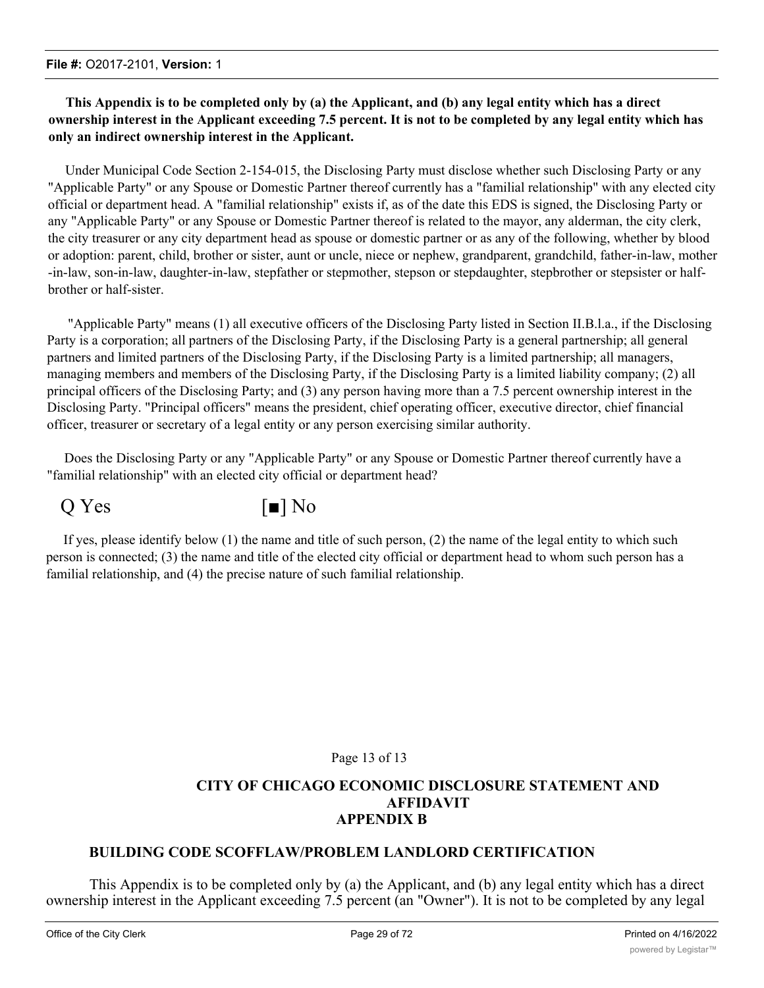# **This Appendix is to be completed only by (a) the Applicant, and (b) any legal entity which has a direct ownership interest in the Applicant exceeding 7.5 percent. It is not to be completed by any legal entity which has only an indirect ownership interest in the Applicant.**

Under Municipal Code Section 2-154-015, the Disclosing Party must disclose whether such Disclosing Party or any "Applicable Party" or any Spouse or Domestic Partner thereof currently has a "familial relationship" with any elected city official or department head. A "familial relationship" exists if, as of the date this EDS is signed, the Disclosing Party or any "Applicable Party" or any Spouse or Domestic Partner thereof is related to the mayor, any alderman, the city clerk, the city treasurer or any city department head as spouse or domestic partner or as any of the following, whether by blood or adoption: parent, child, brother or sister, aunt or uncle, niece or nephew, grandparent, grandchild, father-in-law, mother -in-law, son-in-law, daughter-in-law, stepfather or stepmother, stepson or stepdaughter, stepbrother or stepsister or halfbrother or half-sister.

"Applicable Party" means (1) all executive officers of the Disclosing Party listed in Section II.B.l.a., if the Disclosing Party is a corporation; all partners of the Disclosing Party, if the Disclosing Party is a general partnership; all general partners and limited partners of the Disclosing Party, if the Disclosing Party is a limited partnership; all managers, managing members and members of the Disclosing Party, if the Disclosing Party is a limited liability company; (2) all principal officers of the Disclosing Party; and (3) any person having more than a 7.5 percent ownership interest in the Disclosing Party. "Principal officers" means the president, chief operating officer, executive director, chief financial officer, treasurer or secretary of a legal entity or any person exercising similar authority.

Does the Disclosing Party or any "Applicable Party" or any Spouse or Domestic Partner thereof currently have a "familial relationship" with an elected city official or department head?



If yes, please identify below (1) the name and title of such person, (2) the name of the legal entity to which such person is connected; (3) the name and title of the elected city official or department head to whom such person has a familial relationship, and (4) the precise nature of such familial relationship.

# Page 13 of 13

# **CITY OF CHICAGO ECONOMIC DISCLOSURE STATEMENT AND AFFIDAVIT APPENDIX B**

# **BUILDING CODE SCOFFLAW/PROBLEM LANDLORD CERTIFICATION**

This Appendix is to be completed only by (a) the Applicant, and (b) any legal entity which has a direct ownership interest in the Applicant exceeding 7.5 percent (an "Owner"). It is not to be completed by any legal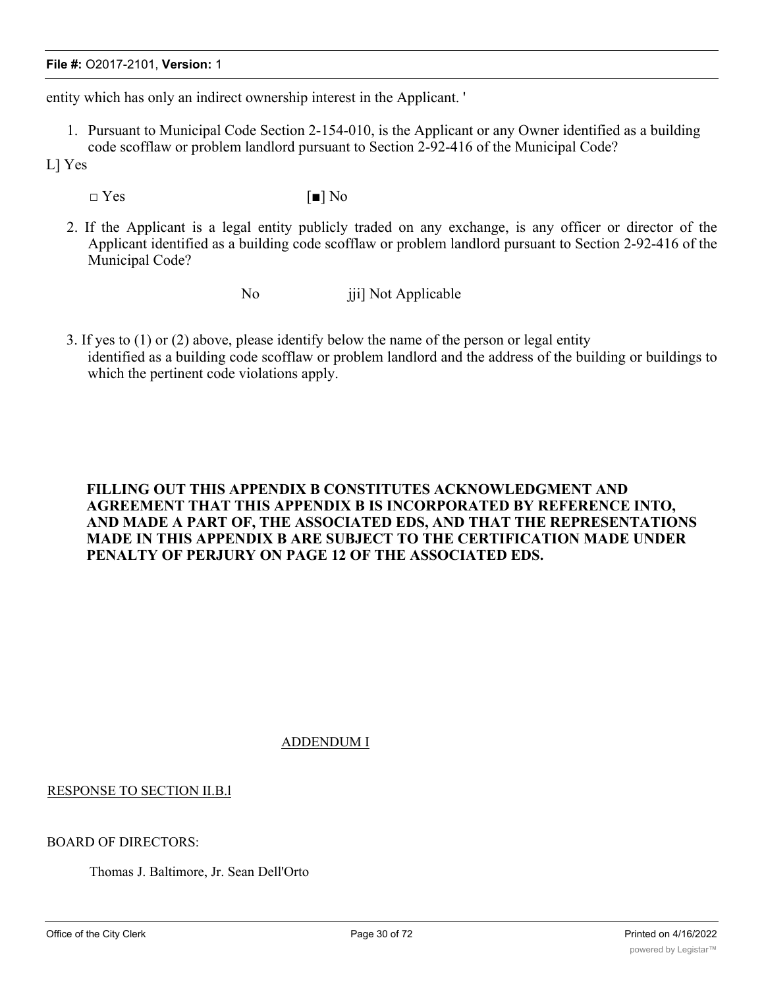entity which has only an indirect ownership interest in the Applicant. '

- 1. Pursuant to Municipal Code Section 2-154-010, is the Applicant or any Owner identified as a building code scofflaw or problem landlord pursuant to Section 2-92-416 of the Municipal Code?
- L] Yes
	- $\square$  Yes  $\lceil \blacksquare \rceil$  No
	- 2. If the Applicant is a legal entity publicly traded on any exchange, is any officer or director of the Applicant identified as a building code scofflaw or problem landlord pursuant to Section 2-92-416 of the Municipal Code?
		-

No jii] Not Applicable

3. If yes to (1) or (2) above, please identify below the name of the person or legal entity identified as a building code scofflaw or problem landlord and the address of the building or buildings to which the pertinent code violations apply.

# **FILLING OUT THIS APPENDIX B CONSTITUTES ACKNOWLEDGMENT AND AGREEMENT THAT THIS APPENDIX B IS INCORPORATED BY REFERENCE INTO, AND MADE A PART OF, THE ASSOCIATED EDS, AND THAT THE REPRESENTATIONS MADE IN THIS APPENDIX B ARE SUBJECT TO THE CERTIFICATION MADE UNDER PENALTY OF PERJURY ON PAGE 12 OF THE ASSOCIATED EDS.**

ADDENDUM I

# RESPONSE TO SECTION II.B.l

#### BOARD OF DIRECTORS:

Thomas J. Baltimore, Jr. Sean Dell'Orto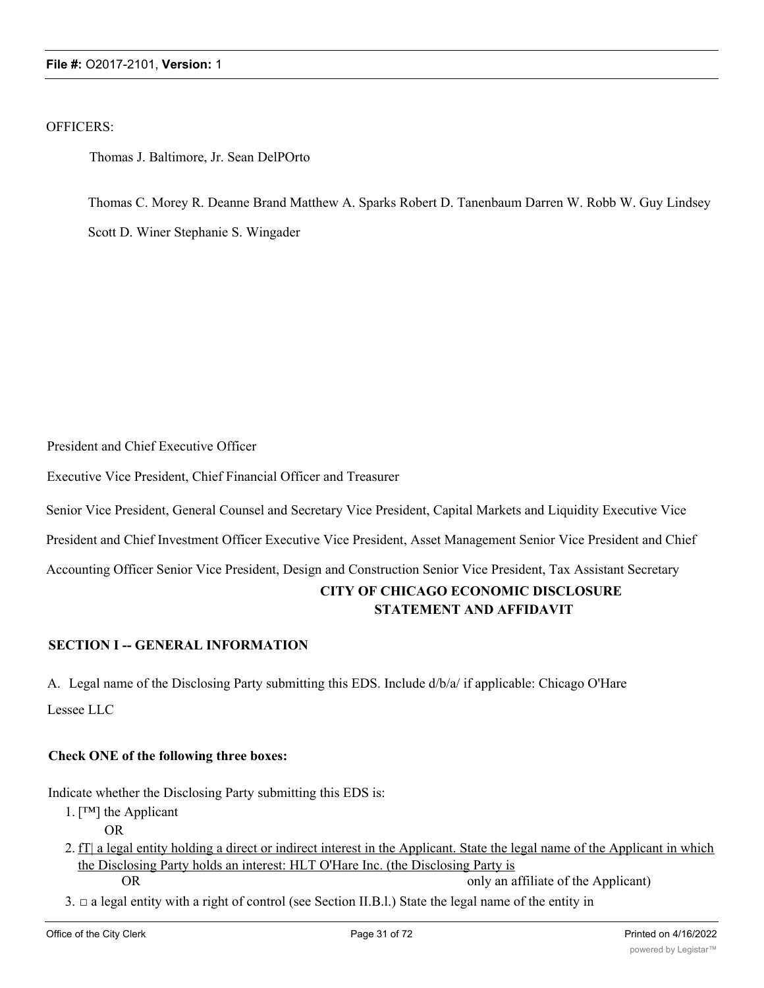OFFICERS:

Thomas J. Baltimore, Jr. Sean DelPOrto

Thomas C. Morey R. Deanne Brand Matthew A. Sparks Robert D. Tanenbaum Darren W. Robb W. Guy Lindsey Scott D. Winer Stephanie S. Wingader

President and Chief Executive Officer

Executive Vice President, Chief Financial Officer and Treasurer

Senior Vice President, General Counsel and Secretary Vice President, Capital Markets and Liquidity Executive Vice

President and Chief Investment Officer Executive Vice President, Asset Management Senior Vice President and Chief

Accounting Officer Senior Vice President, Design and Construction Senior Vice President, Tax Assistant Secretary

# **CITY OF CHICAGO ECONOMIC DISCLOSURE STATEMENT AND AFFIDAVIT**

# **SECTION I -- GENERAL INFORMATION**

A. Legal name of the Disclosing Party submitting this EDS. Include d/b/a/ if applicable: Chicago O'Hare Lessee LLC

# **Check ONE of the following three boxes:**

Indicate whether the Disclosing Party submitting this EDS is:

- 1. [™] the Applicant
	- OR
- 2. fT| a legal entity holding a direct or indirect interest in the Applicant. State the legal name of the Applicant in which the Disclosing Party holds an interest: HLT O'Hare Inc. (the Disclosing Party is OR only an affiliate of the Applicant
- $3. \Box$  a legal entity with a right of control (see Section II.B.l.) State the legal name of the entity in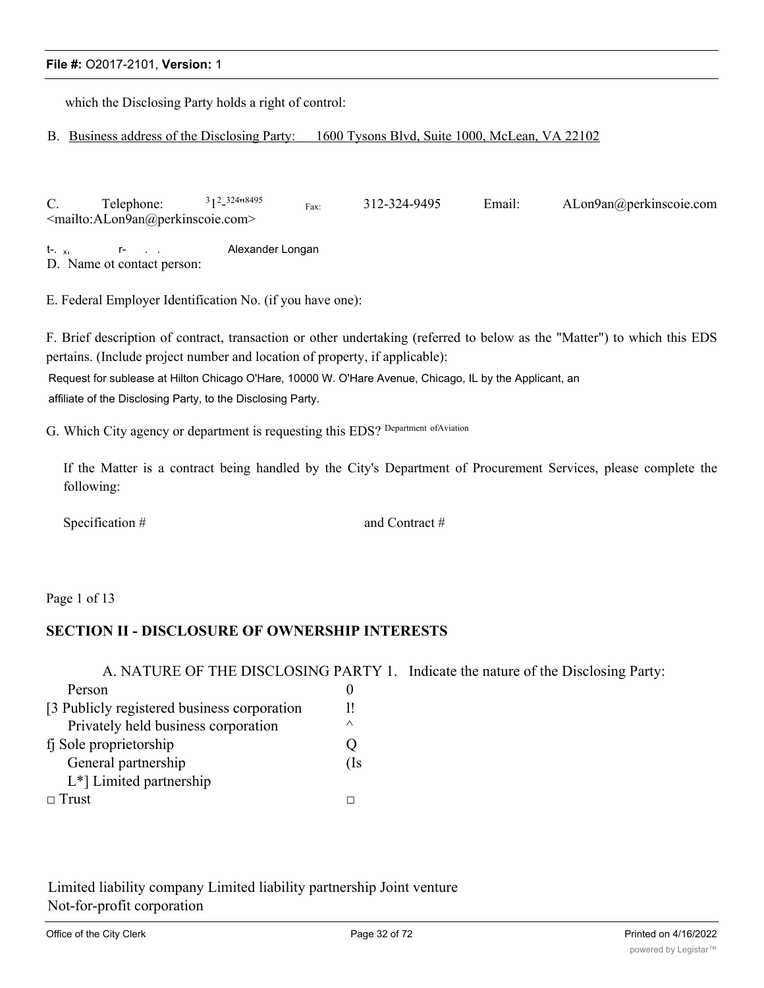which the Disclosing Party holds a right of control:

B. Business address of the Disclosing Party: 1600 Tysons Blvd, Suite 1000, McLean, VA 22102

C. Telephone: 12 - 324"8495 Fax: 312-324-9495 Email: ALon9an@perkinscoie.com <mailto:ALon9an@perkinscoie.com>

t-. x, T- . . Alexander Longan D. Name ot contact person:

E. Federal Employer Identification No. (if you have one):

F. Brief description of contract, transaction or other undertaking (referred to below as the "Matter") to which this EDS pertains. (Include project number and location of property, if applicable):

Request for sublease at Hilton Chicago O'Hare, 10000 W. O'Hare Avenue, Chicago, IL by the Applicant, an affiliate of the Disclosing Party, to the Disclosing Party.

G. Which City agency or department is requesting this EDS? Department ofAviation

If the Matter is a contract being handled by the City's Department of Procurement Services, please complete the following:

Specification # and Contract #

Page 1 of 13

# **SECTION II - DISCLOSURE OF OWNERSHIP INTERESTS**

|                                              |          | A. NATURE OF THE DISCLOSING PARTY 1. Indicate the nature of the Disclosing Party: |
|----------------------------------------------|----------|-----------------------------------------------------------------------------------|
| Person                                       | O        |                                                                                   |
| [3 Publicly registered business corporation] | 1!       |                                                                                   |
| Privately held business corporation          | $\wedge$ |                                                                                   |
| fj Sole proprietorship                       |          |                                                                                   |
| General partnership                          | (Is      |                                                                                   |
| $L^*$ ] Limited partnership                  |          |                                                                                   |
| $\Box$ Trust                                 |          |                                                                                   |

Limited liability company Limited liability partnership Joint venture Not-for-profit corporation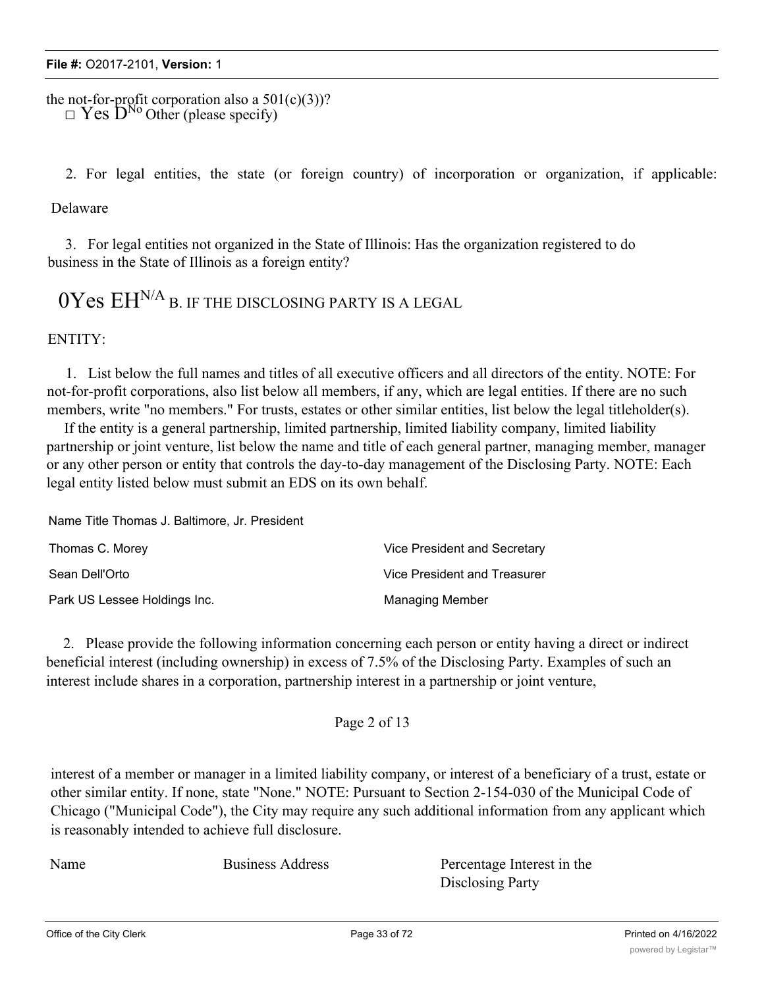the not-for-profit corporation also a  $501(c)(3)$ ?  $\overline{\mathbf{I}}$  Yes  $\mathbf{D}^{\text{No}}$  Other (please specify)

2. For legal entities, the state (or foreign country) of incorporation or organization, if applicable:

Delaware

3. For legal entities not organized in the State of Illinois: Has the organization registered to do business in the State of Illinois as a foreign entity?

 $0Y$ es  $EH^{N/A}$  B. IF THE DISCLOSING PARTY IS A LEGAL

ENTITY:

1. List below the full names and titles of all executive officers and all directors of the entity. NOTE: For not-for-profit corporations, also list below all members, if any, which are legal entities. If there are no such members, write "no members." For trusts, estates or other similar entities, list below the legal titleholder(s).

If the entity is a general partnership, limited partnership, limited liability company, limited liability partnership or joint venture, list below the name and title of each general partner, managing member, manager or any other person or entity that controls the day-to-day management of the Disclosing Party. NOTE: Each legal entity listed below must submit an EDS on its own behalf.

Name Title Thomas J. Baltimore, Jr. President

| Thomas C. Morey              | Vice President and Secretary |
|------------------------------|------------------------------|
| Sean Dell'Orto               | Vice President and Treasurer |
| Park US Lessee Holdings Inc. | <b>Managing Member</b>       |

2. Please provide the following information concerning each person or entity having a direct or indirect beneficial interest (including ownership) in excess of 7.5% of the Disclosing Party. Examples of such an interest include shares in a corporation, partnership interest in a partnership or joint venture,

Page 2 of 13

interest of a member or manager in a limited liability company, or interest of a beneficiary of a trust, estate or other similar entity. If none, state "None." NOTE: Pursuant to Section 2-154-030 of the Municipal Code of Chicago ("Municipal Code"), the City may require any such additional information from any applicant which is reasonably intended to achieve full disclosure.

Name Business Address Percentage Interest in the Disclosing Party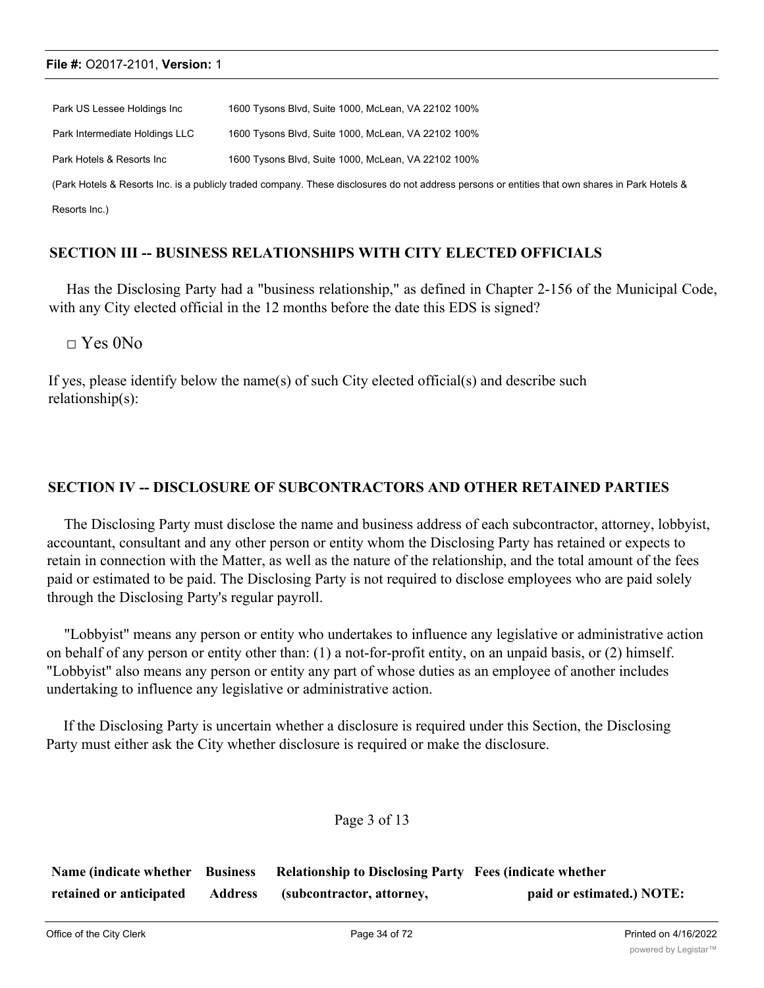| Park US Lessee Holdings Inc    | 1600 Tysons Blvd, Suite 1000, McLean, VA 22102 100%                                                                                             |
|--------------------------------|-------------------------------------------------------------------------------------------------------------------------------------------------|
| Park Intermediate Holdings LLC | 1600 Tysons Blvd, Suite 1000, McLean, VA 22102 100%                                                                                             |
| Park Hotels & Resorts Inc      | 1600 Tysons Blvd, Suite 1000, McLean, VA 22102 100%                                                                                             |
|                                | (Park Hotels & Resorts Inc. is a publicly traded company. These disclosures do not address persons or entities that own shares in Park Hotels & |
| Resorts Inc.)                  |                                                                                                                                                 |

# **SECTION III -- BUSINESS RELATIONSHIPS WITH CITY ELECTED OFFICIALS**

Has the Disclosing Party had a "business relationship," as defined in Chapter 2-156 of the Municipal Code, with any City elected official in the 12 months before the date this EDS is signed?

 $\Box$  Yes 0No

If yes, please identify below the name(s) of such City elected official(s) and describe such relationship(s):

# **SECTION IV -- DISCLOSURE OF SUBCONTRACTORS AND OTHER RETAINED PARTIES**

The Disclosing Party must disclose the name and business address of each subcontractor, attorney, lobbyist, accountant, consultant and any other person or entity whom the Disclosing Party has retained or expects to retain in connection with the Matter, as well as the nature of the relationship, and the total amount of the fees paid or estimated to be paid. The Disclosing Party is not required to disclose employees who are paid solely through the Disclosing Party's regular payroll.

"Lobbyist" means any person or entity who undertakes to influence any legislative or administrative action on behalf of any person or entity other than: (1) a not-for-profit entity, on an unpaid basis, or (2) himself. "Lobbyist" also means any person or entity any part of whose duties as an employee of another includes undertaking to influence any legislative or administrative action.

If the Disclosing Party is uncertain whether a disclosure is required under this Section, the Disclosing Party must either ask the City whether disclosure is required or make the disclosure.

# Page 3 of 13

| Name (indicate whether Business |                | <b>Relationship to Disclosing Party Fees (indicate whether</b> |                           |
|---------------------------------|----------------|----------------------------------------------------------------|---------------------------|
| retained or anticipated         | <b>Address</b> | (subcontractor, attorney,                                      | paid or estimated.) NOTE: |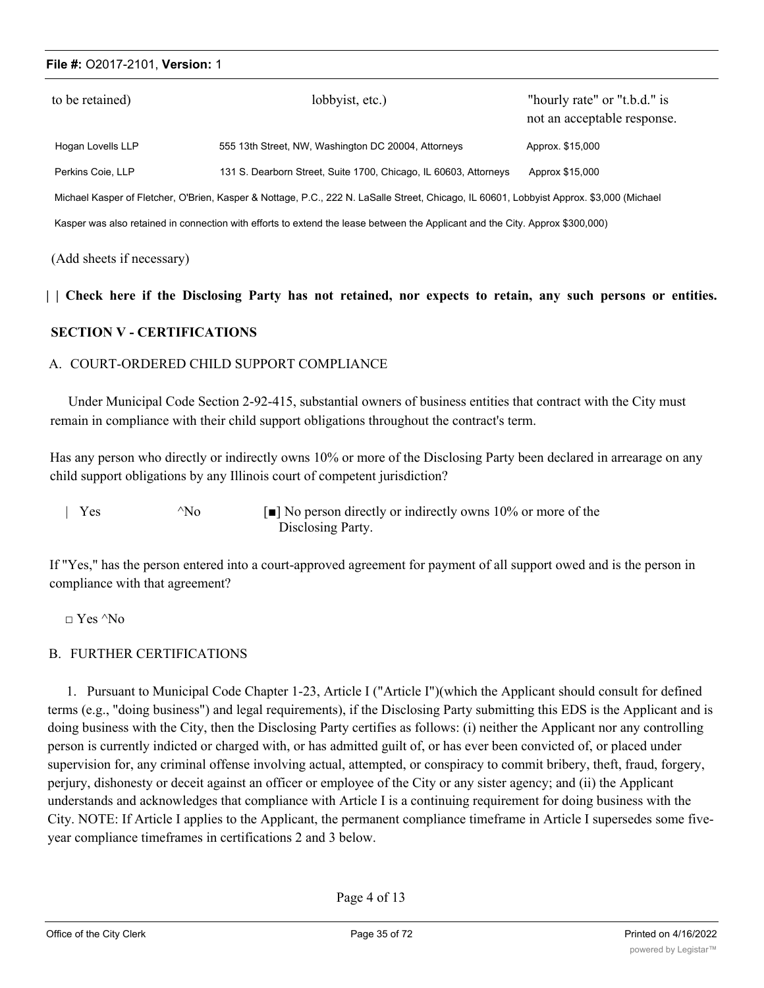| to be retained)                                                                                                                          | lobbyist, etc.)                                                  | "hourly rate" or "t.b.d." is<br>not an acceptable response. |  |  |
|------------------------------------------------------------------------------------------------------------------------------------------|------------------------------------------------------------------|-------------------------------------------------------------|--|--|
| Hogan Lovells LLP                                                                                                                        | 555 13th Street, NW, Washington DC 20004, Attorneys              | Approx. \$15,000                                            |  |  |
| Perkins Coie, LLP                                                                                                                        | 131 S. Dearborn Street, Suite 1700, Chicago, IL 60603, Attorneys | Approx \$15,000                                             |  |  |
| Michael Kasper of Fletcher, O'Brien, Kasper & Nottage, P.C., 222 N. LaSalle Street, Chicago, IL 60601, Lobbyist Approx. \$3,000 (Michael |                                                                  |                                                             |  |  |
| Kasper was also retained in connection with efforts to extend the lease between the Applicant and the City. Approx \$300,000)            |                                                                  |                                                             |  |  |

(Add sheets if necessary)

#### || Check here if the Disclosing Party has not retained, nor expects to retain, any such persons or entities.

# **SECTION V - CERTIFICATIONS**

# A. COURT-ORDERED CHILD SUPPORT COMPLIANCE

Under Municipal Code Section 2-92-415, substantial owners of business entities that contract with the City must remain in compliance with their child support obligations throughout the contract's term.

Has any person who directly or indirectly owns 10% or more of the Disclosing Party been declared in arrearage on any child support obligations by any Illinois court of competent jurisdiction?

| $\vert$ Yes | $^{\wedge}$ No | $\lceil \bullet \rceil$ No person directly or indirectly owns 10% or more of the |
|-------------|----------------|----------------------------------------------------------------------------------|
|             |                | Disclosing Party.                                                                |

If "Yes," has the person entered into a court-approved agreement for payment of all support owed and is the person in compliance with that agreement?

□ Yes ^No

# B. FURTHER CERTIFICATIONS

1. Pursuant to Municipal Code Chapter 1-23, Article I ("Article I")(which the Applicant should consult for defined terms (e.g., "doing business") and legal requirements), if the Disclosing Party submitting this EDS is the Applicant and is doing business with the City, then the Disclosing Party certifies as follows: (i) neither the Applicant nor any controlling person is currently indicted or charged with, or has admitted guilt of, or has ever been convicted of, or placed under supervision for, any criminal offense involving actual, attempted, or conspiracy to commit bribery, theft, fraud, forgery, perjury, dishonesty or deceit against an officer or employee of the City or any sister agency; and (ii) the Applicant understands and acknowledges that compliance with Article I is a continuing requirement for doing business with the City. NOTE: If Article I applies to the Applicant, the permanent compliance timeframe in Article I supersedes some fiveyear compliance timeframes in certifications 2 and 3 below.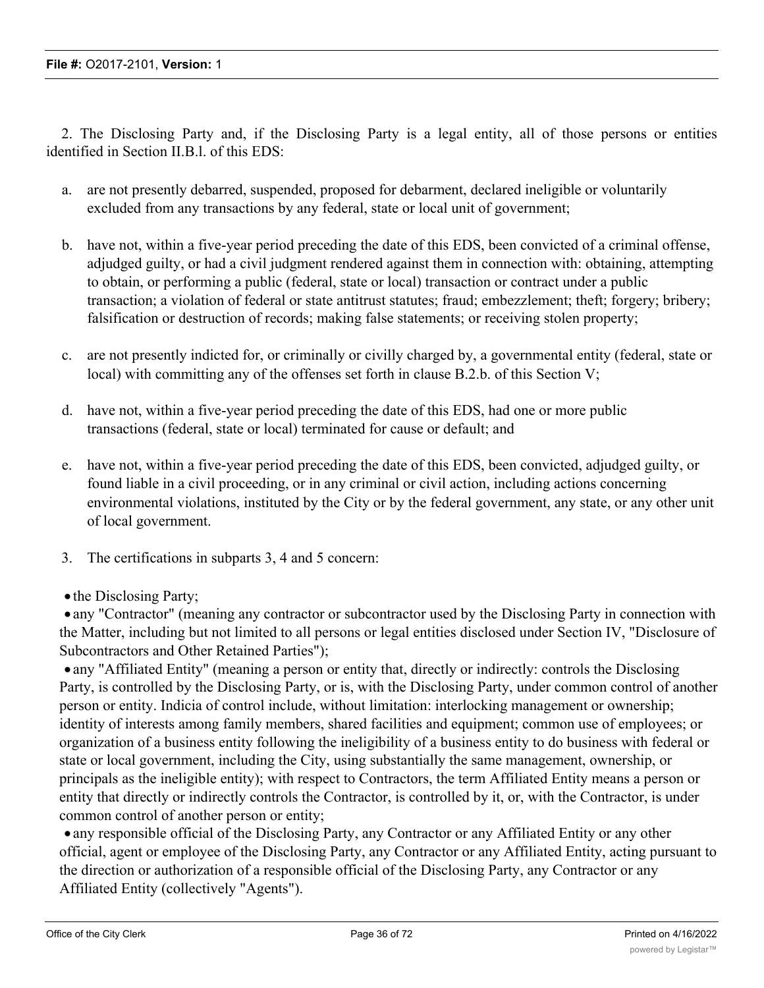2. The Disclosing Party and, if the Disclosing Party is a legal entity, all of those persons or entities identified in Section II.B.l. of this EDS:

- a. are not presently debarred, suspended, proposed for debarment, declared ineligible or voluntarily excluded from any transactions by any federal, state or local unit of government;
- b. have not, within a five-year period preceding the date of this EDS, been convicted of a criminal offense, adjudged guilty, or had a civil judgment rendered against them in connection with: obtaining, attempting to obtain, or performing a public (federal, state or local) transaction or contract under a public transaction; a violation of federal or state antitrust statutes; fraud; embezzlement; theft; forgery; bribery; falsification or destruction of records; making false statements; or receiving stolen property;
- c. are not presently indicted for, or criminally or civilly charged by, a governmental entity (federal, state or local) with committing any of the offenses set forth in clause B.2.b. of this Section V;
- d. have not, within a five-year period preceding the date of this EDS, had one or more public transactions (federal, state or local) terminated for cause or default; and
- e. have not, within a five-year period preceding the date of this EDS, been convicted, adjudged guilty, or found liable in a civil proceeding, or in any criminal or civil action, including actions concerning environmental violations, instituted by the City or by the federal government, any state, or any other unit of local government.
- 3. The certifications in subparts 3, 4 and 5 concern:
- the Disclosing Party;

· any "Contractor" (meaning any contractor or subcontractor used by the Disclosing Party in connection with the Matter, including but not limited to all persons or legal entities disclosed under Section IV, "Disclosure of Subcontractors and Other Retained Parties");

• any "Affiliated Entity" (meaning a person or entity that, directly or indirectly: controls the Disclosing Party, is controlled by the Disclosing Party, or is, with the Disclosing Party, under common control of another person or entity. Indicia of control include, without limitation: interlocking management or ownership; identity of interests among family members, shared facilities and equipment; common use of employees; or organization of a business entity following the ineligibility of a business entity to do business with federal or state or local government, including the City, using substantially the same management, ownership, or principals as the ineligible entity); with respect to Contractors, the term Affiliated Entity means a person or entity that directly or indirectly controls the Contractor, is controlled by it, or, with the Contractor, is under common control of another person or entity;

· any responsible official of the Disclosing Party, any Contractor or any Affiliated Entity or any other official, agent or employee of the Disclosing Party, any Contractor or any Affiliated Entity, acting pursuant to the direction or authorization of a responsible official of the Disclosing Party, any Contractor or any Affiliated Entity (collectively "Agents").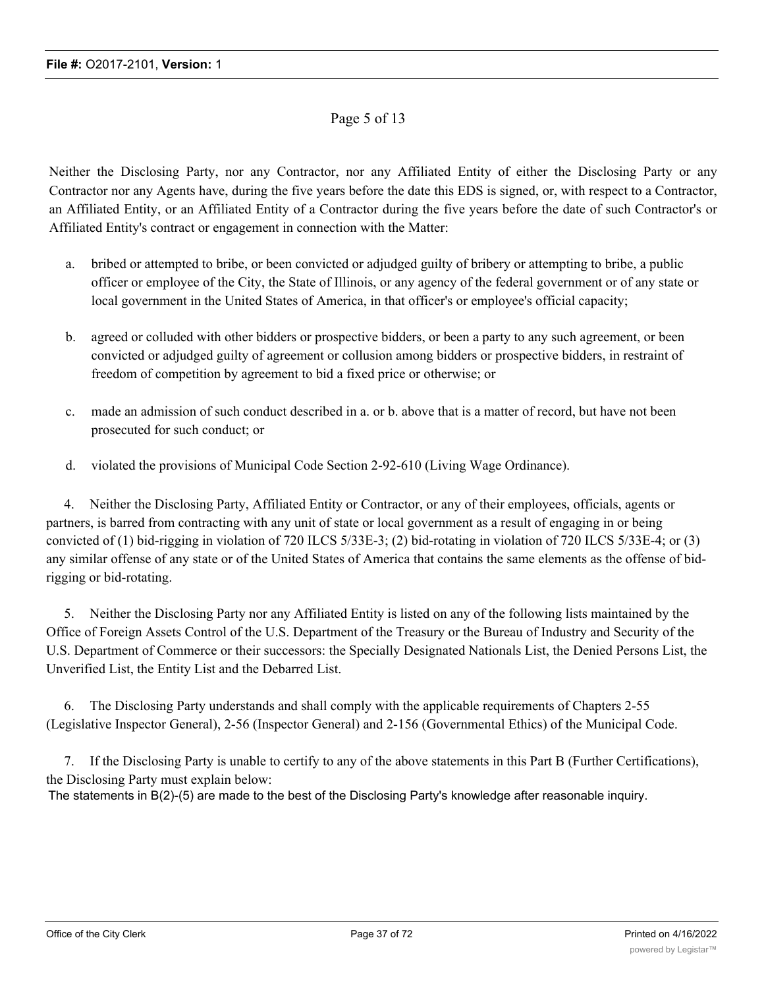## Page 5 of 13

Neither the Disclosing Party, nor any Contractor, nor any Affiliated Entity of either the Disclosing Party or any Contractor nor any Agents have, during the five years before the date this EDS is signed, or, with respect to a Contractor, an Affiliated Entity, or an Affiliated Entity of a Contractor during the five years before the date of such Contractor's or Affiliated Entity's contract or engagement in connection with the Matter:

- a. bribed or attempted to bribe, or been convicted or adjudged guilty of bribery or attempting to bribe, a public officer or employee of the City, the State of Illinois, or any agency of the federal government or of any state or local government in the United States of America, in that officer's or employee's official capacity;
- b. agreed or colluded with other bidders or prospective bidders, or been a party to any such agreement, or been convicted or adjudged guilty of agreement or collusion among bidders or prospective bidders, in restraint of freedom of competition by agreement to bid a fixed price or otherwise; or
- c. made an admission of such conduct described in a. or b. above that is a matter of record, but have not been prosecuted for such conduct; or
- d. violated the provisions of Municipal Code Section 2-92-610 (Living Wage Ordinance).

4. Neither the Disclosing Party, Affiliated Entity or Contractor, or any of their employees, officials, agents or partners, is barred from contracting with any unit of state or local government as a result of engaging in or being convicted of (1) bid-rigging in violation of 720 ILCS 5/33E-3; (2) bid-rotating in violation of 720 ILCS 5/33E-4; or (3) any similar offense of any state or of the United States of America that contains the same elements as the offense of bidrigging or bid-rotating.

5. Neither the Disclosing Party nor any Affiliated Entity is listed on any of the following lists maintained by the Office of Foreign Assets Control of the U.S. Department of the Treasury or the Bureau of Industry and Security of the U.S. Department of Commerce or their successors: the Specially Designated Nationals List, the Denied Persons List, the Unverified List, the Entity List and the Debarred List.

6. The Disclosing Party understands and shall comply with the applicable requirements of Chapters 2-55 (Legislative Inspector General), 2-56 (Inspector General) and 2-156 (Governmental Ethics) of the Municipal Code.

7. If the Disclosing Party is unable to certify to any of the above statements in this Part B (Further Certifications), the Disclosing Party must explain below: The statements in B(2)-(5) are made to the best of the Disclosing Party's knowledge after reasonable inquiry.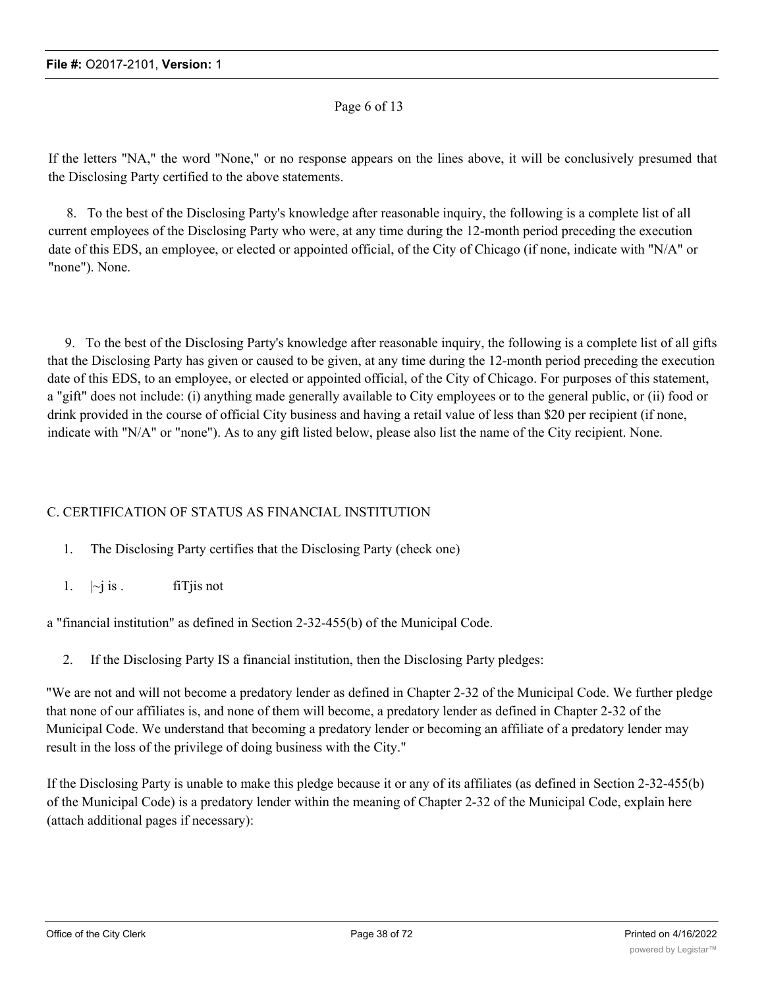#### Page 6 of 13

If the letters "NA," the word "None," or no response appears on the lines above, it will be conclusively presumed that the Disclosing Party certified to the above statements.

8. To the best of the Disclosing Party's knowledge after reasonable inquiry, the following is a complete list of all current employees of the Disclosing Party who were, at any time during the 12-month period preceding the execution date of this EDS, an employee, or elected or appointed official, of the City of Chicago (if none, indicate with "N/A" or "none"). None.

9. To the best of the Disclosing Party's knowledge after reasonable inquiry, the following is a complete list of all gifts that the Disclosing Party has given or caused to be given, at any time during the 12-month period preceding the execution date of this EDS, to an employee, or elected or appointed official, of the City of Chicago. For purposes of this statement, a "gift" does not include: (i) anything made generally available to City employees or to the general public, or (ii) food or drink provided in the course of official City business and having a retail value of less than \$20 per recipient (if none, indicate with "N/A" or "none"). As to any gift listed below, please also list the name of the City recipient. None.

#### C. CERTIFICATION OF STATUS AS FINANCIAL INSTITUTION

- 1. The Disclosing Party certifies that the Disclosing Party (check one)
- 1.  $|\sim i$  is . fill fit is not

a "financial institution" as defined in Section 2-32-455(b) of the Municipal Code.

2. If the Disclosing Party IS a financial institution, then the Disclosing Party pledges:

"We are not and will not become a predatory lender as defined in Chapter 2-32 of the Municipal Code. We further pledge that none of our affiliates is, and none of them will become, a predatory lender as defined in Chapter 2-32 of the Municipal Code. We understand that becoming a predatory lender or becoming an affiliate of a predatory lender may result in the loss of the privilege of doing business with the City."

If the Disclosing Party is unable to make this pledge because it or any of its affiliates (as defined in Section 2-32-455(b) of the Municipal Code) is a predatory lender within the meaning of Chapter 2-32 of the Municipal Code, explain here (attach additional pages if necessary):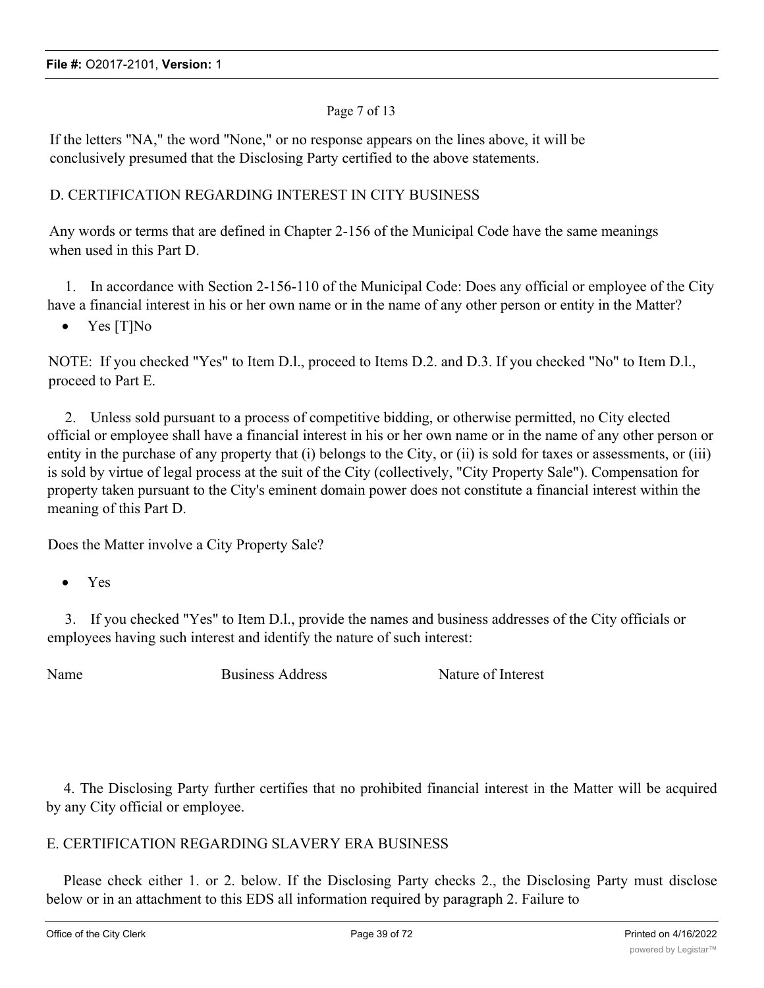#### Page 7 of 13

If the letters "NA," the word "None," or no response appears on the lines above, it will be conclusively presumed that the Disclosing Party certified to the above statements.

#### D. CERTIFICATION REGARDING INTEREST IN CITY BUSINESS

Any words or terms that are defined in Chapter 2-156 of the Municipal Code have the same meanings when used in this Part D.

1. In accordance with Section 2-156-110 of the Municipal Code: Does any official or employee of the City have a financial interest in his or her own name or in the name of any other person or entity in the Matter?

• Yes [T]No

NOTE: If you checked "Yes" to Item D.l., proceed to Items D.2. and D.3. If you checked "No" to Item D.l., proceed to Part E.

2. Unless sold pursuant to a process of competitive bidding, or otherwise permitted, no City elected official or employee shall have a financial interest in his or her own name or in the name of any other person or entity in the purchase of any property that (i) belongs to the City, or (ii) is sold for taxes or assessments, or (iii) is sold by virtue of legal process at the suit of the City (collectively, "City Property Sale"). Compensation for property taken pursuant to the City's eminent domain power does not constitute a financial interest within the meaning of this Part D.

Does the Matter involve a City Property Sale?

· Yes

3. If you checked "Yes" to Item D.l., provide the names and business addresses of the City officials or employees having such interest and identify the nature of such interest:

Name Business Address Nature of Interest

4. The Disclosing Party further certifies that no prohibited financial interest in the Matter will be acquired by any City official or employee.

## E. CERTIFICATION REGARDING SLAVERY ERA BUSINESS

Please check either 1. or 2. below. If the Disclosing Party checks 2., the Disclosing Party must disclose below or in an attachment to this EDS all information required by paragraph 2. Failure to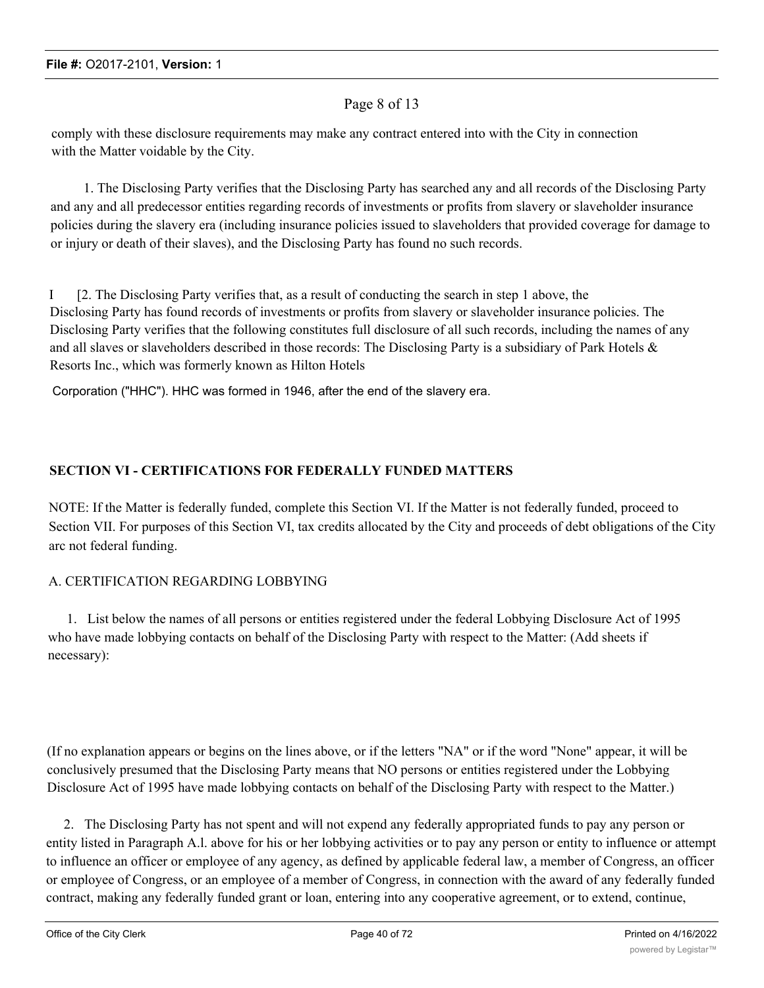#### Page 8 of 13

comply with these disclosure requirements may make any contract entered into with the City in connection with the Matter voidable by the City.

1. The Disclosing Party verifies that the Disclosing Party has searched any and all records of the Disclosing Party and any and all predecessor entities regarding records of investments or profits from slavery or slaveholder insurance policies during the slavery era (including insurance policies issued to slaveholders that provided coverage for damage to or injury or death of their slaves), and the Disclosing Party has found no such records.

I [2. The Disclosing Party verifies that, as a result of conducting the search in step 1 above, the Disclosing Party has found records of investments or profits from slavery or slaveholder insurance policies. The Disclosing Party verifies that the following constitutes full disclosure of all such records, including the names of any and all slaves or slaveholders described in those records: The Disclosing Party is a subsidiary of Park Hotels & Resorts Inc., which was formerly known as Hilton Hotels

Corporation ("HHC"). HHC was formed in 1946, after the end of the slavery era.

#### **SECTION VI - CERTIFICATIONS FOR FEDERALLY FUNDED MATTERS**

NOTE: If the Matter is federally funded, complete this Section VI. If the Matter is not federally funded, proceed to Section VII. For purposes of this Section VI, tax credits allocated by the City and proceeds of debt obligations of the City arc not federal funding.

#### A. CERTIFICATION REGARDING LOBBYING

1. List below the names of all persons or entities registered under the federal Lobbying Disclosure Act of 1995 who have made lobbying contacts on behalf of the Disclosing Party with respect to the Matter: (Add sheets if necessary):

(If no explanation appears or begins on the lines above, or if the letters "NA" or if the word "None" appear, it will be conclusively presumed that the Disclosing Party means that NO persons or entities registered under the Lobbying Disclosure Act of 1995 have made lobbying contacts on behalf of the Disclosing Party with respect to the Matter.)

2. The Disclosing Party has not spent and will not expend any federally appropriated funds to pay any person or entity listed in Paragraph A.l. above for his or her lobbying activities or to pay any person or entity to influence or attempt to influence an officer or employee of any agency, as defined by applicable federal law, a member of Congress, an officer or employee of Congress, or an employee of a member of Congress, in connection with the award of any federally funded contract, making any federally funded grant or loan, entering into any cooperative agreement, or to extend, continue,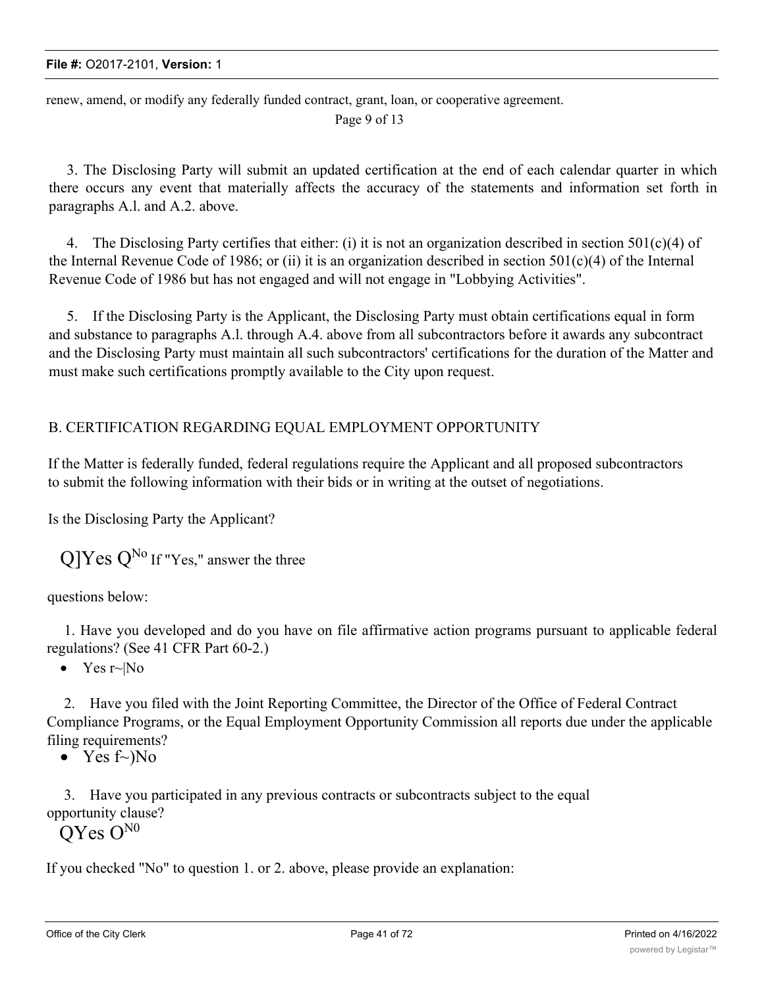renew, amend, or modify any federally funded contract, grant, loan, or cooperative agreement. Page 9 of 13

3. The Disclosing Party will submit an updated certification at the end of each calendar quarter in which there occurs any event that materially affects the accuracy of the statements and information set forth in paragraphs A.l. and A.2. above.

4. The Disclosing Party certifies that either: (i) it is not an organization described in section  $501(c)(4)$  of the Internal Revenue Code of 1986; or (ii) it is an organization described in section  $501(c)(4)$  of the Internal Revenue Code of 1986 but has not engaged and will not engage in "Lobbying Activities".

5. If the Disclosing Party is the Applicant, the Disclosing Party must obtain certifications equal in form and substance to paragraphs A.l. through A.4. above from all subcontractors before it awards any subcontract and the Disclosing Party must maintain all such subcontractors' certifications for the duration of the Matter and must make such certifications promptly available to the City upon request.

## B. CERTIFICATION REGARDING EQUAL EMPLOYMENT OPPORTUNITY

If the Matter is federally funded, federal regulations require the Applicant and all proposed subcontractors to submit the following information with their bids or in writing at the outset of negotiations.

Is the Disclosing Party the Applicant?

 $\mathbf{Q}$ ]Yes  $\mathbf{Q}^{\text{No}}$  If "Yes," answer the three

questions below:

1. Have you developed and do you have on file affirmative action programs pursuant to applicable federal regulations? (See 41 CFR Part 60-2.)

• Yes  $r~N$ o

2. Have you filed with the Joint Reporting Committee, the Director of the Office of Federal Contract Compliance Programs, or the Equal Employment Opportunity Commission all reports due under the applicable filing requirements?

• Yes  $f\sim No$ 

3. Have you participated in any previous contracts or subcontracts subject to the equal opportunity clause?

OYes O<sup>N0</sup>

If you checked "No" to question 1. or 2. above, please provide an explanation: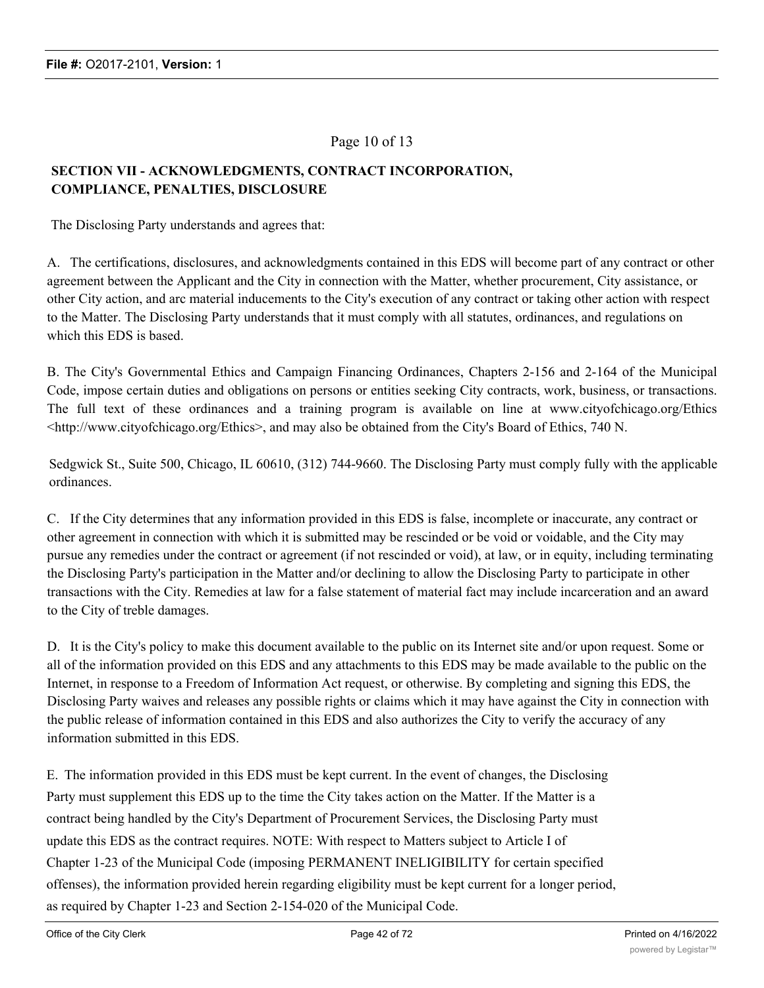#### Page 10 of 13

## **SECTION VII - ACKNOWLEDGMENTS, CONTRACT INCORPORATION, COMPLIANCE, PENALTIES, DISCLOSURE**

The Disclosing Party understands and agrees that:

A. The certifications, disclosures, and acknowledgments contained in this EDS will become part of any contract or other agreement between the Applicant and the City in connection with the Matter, whether procurement, City assistance, or other City action, and arc material inducements to the City's execution of any contract or taking other action with respect to the Matter. The Disclosing Party understands that it must comply with all statutes, ordinances, and regulations on which this EDS is based.

B. The City's Governmental Ethics and Campaign Financing Ordinances, Chapters 2-156 and 2-164 of the Municipal Code, impose certain duties and obligations on persons or entities seeking City contracts, work, business, or transactions. The full text of these ordinances and a training program is available on line at www.cityofchicago.org/Ethics <http://www.cityofchicago.org/Ethics>, and may also be obtained from the City's Board of Ethics, 740 N.

Sedgwick St., Suite 500, Chicago, IL 60610, (312) 744-9660. The Disclosing Party must comply fully with the applicable ordinances.

C. If the City determines that any information provided in this EDS is false, incomplete or inaccurate, any contract or other agreement in connection with which it is submitted may be rescinded or be void or voidable, and the City may pursue any remedies under the contract or agreement (if not rescinded or void), at law, or in equity, including terminating the Disclosing Party's participation in the Matter and/or declining to allow the Disclosing Party to participate in other transactions with the City. Remedies at law for a false statement of material fact may include incarceration and an award to the City of treble damages.

D. It is the City's policy to make this document available to the public on its Internet site and/or upon request. Some or all of the information provided on this EDS and any attachments to this EDS may be made available to the public on the Internet, in response to a Freedom of Information Act request, or otherwise. By completing and signing this EDS, the Disclosing Party waives and releases any possible rights or claims which it may have against the City in connection with the public release of information contained in this EDS and also authorizes the City to verify the accuracy of any information submitted in this EDS.

E. The information provided in this EDS must be kept current. In the event of changes, the Disclosing Party must supplement this EDS up to the time the City takes action on the Matter. If the Matter is a contract being handled by the City's Department of Procurement Services, the Disclosing Party must update this EDS as the contract requires. NOTE: With respect to Matters subject to Article I of Chapter 1-23 of the Municipal Code (imposing PERMANENT INELIGIBILITY for certain specified offenses), the information provided herein regarding eligibility must be kept current for a longer period, as required by Chapter 1-23 and Section 2-154-020 of the Municipal Code.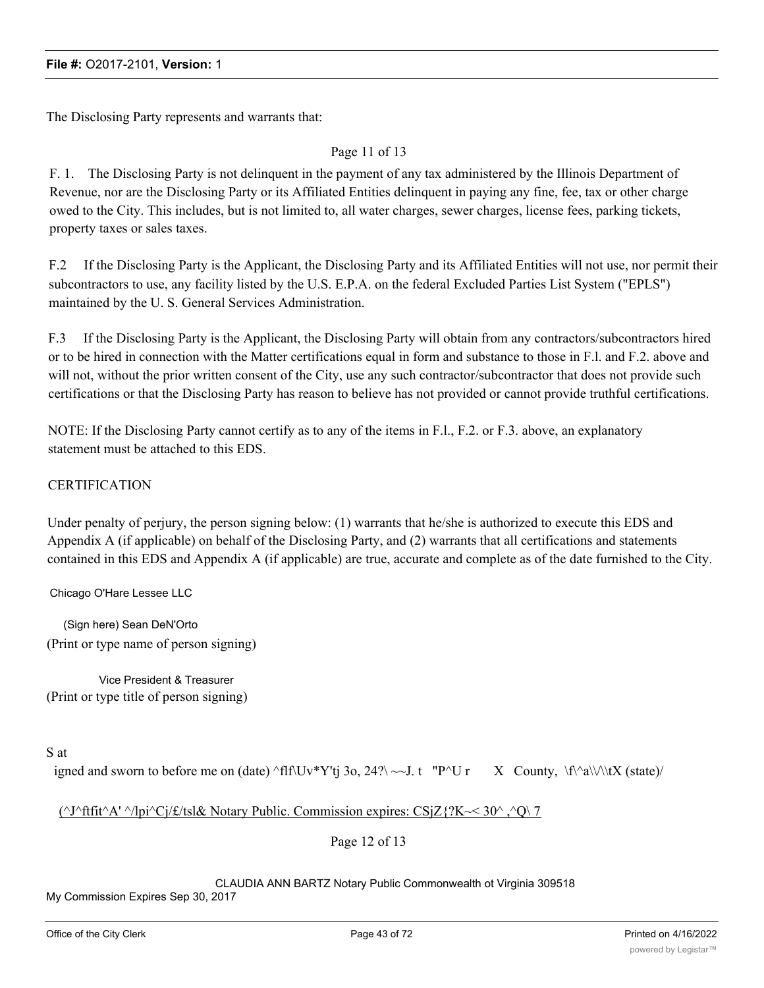The Disclosing Party represents and warrants that:

#### Page 11 of 13

F. 1. The Disclosing Party is not delinquent in the payment of any tax administered by the Illinois Department of Revenue, nor are the Disclosing Party or its Affiliated Entities delinquent in paying any fine, fee, tax or other charge owed to the City. This includes, but is not limited to, all water charges, sewer charges, license fees, parking tickets, property taxes or sales taxes.

F.2 If the Disclosing Party is the Applicant, the Disclosing Party and its Affiliated Entities will not use, nor permit their subcontractors to use, any facility listed by the U.S. E.P.A. on the federal Excluded Parties List System ("EPLS") maintained by the U. S. General Services Administration.

F.3 If the Disclosing Party is the Applicant, the Disclosing Party will obtain from any contractors/subcontractors hired or to be hired in connection with the Matter certifications equal in form and substance to those in F.l. and F.2. above and will not, without the prior written consent of the City, use any such contractor/subcontractor that does not provide such certifications or that the Disclosing Party has reason to believe has not provided or cannot provide truthful certifications.

NOTE: If the Disclosing Party cannot certify as to any of the items in F.l., F.2. or F.3. above, an explanatory statement must be attached to this EDS.

#### **CERTIFICATION**

Under penalty of perjury, the person signing below: (1) warrants that he/she is authorized to execute this EDS and Appendix A (if applicable) on behalf of the Disclosing Party, and (2) warrants that all certifications and statements contained in this EDS and Appendix A (if applicable) are true, accurate and complete as of the date furnished to the City.

Chicago O'Hare Lessee LLC

(Sign here) Sean DeN'Orto (Print or type name of person signing)

Vice President & Treasurer (Print or type title of person signing)

#### S at

igned and sworn to before me on (date) ^flf\Uv\*Y'tj 3o, 24?\ ~~J. t "P^U r X County, \f\^a\\/\\tX (state)/

#### ( $\gamma$ J $\gamma$ ftfit $\Delta$ '  $\gamma$ /lpi $\gamma$ Cj/ $\epsilon$ /tsl& Notary Public. Commission expires: CSjZ{?K ~ 30 $\gamma$ ,  $\gamma$ O $\gamma$  7

Page 12 of 13

#### CLAUDIA ANN BARTZ Notary Public Commonwealth ot Virginia 309518

My Commission Expires Sep 30, 2017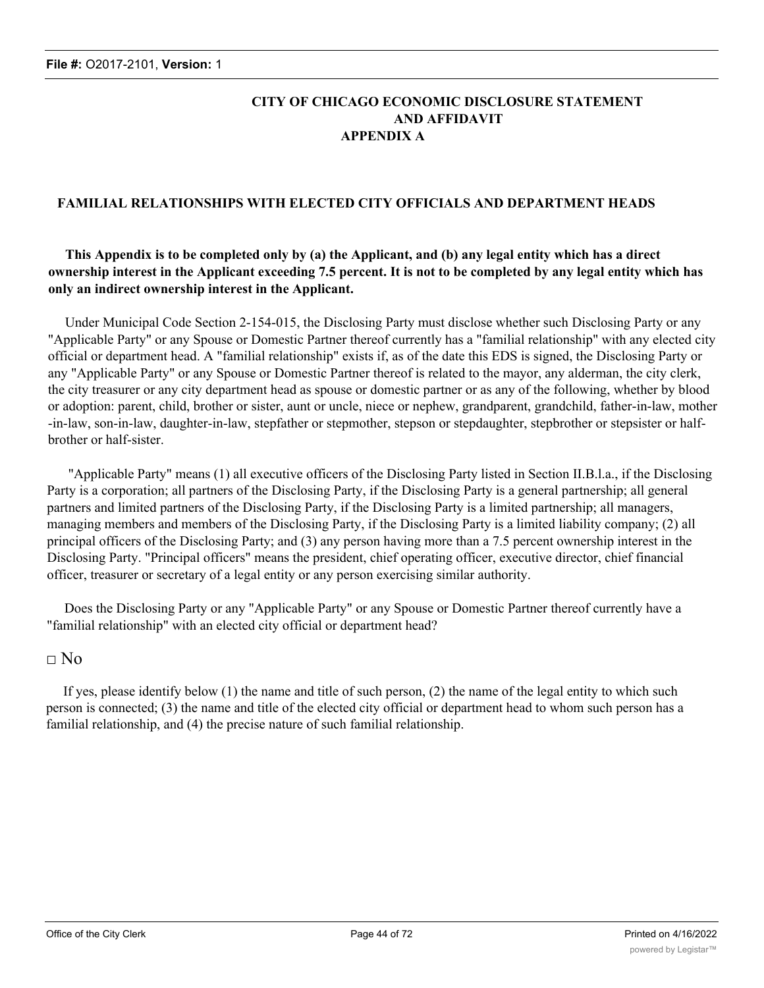#### **CITY OF CHICAGO ECONOMIC DISCLOSURE STATEMENT AND AFFIDAVIT APPENDIX A**

#### **FAMILIAL RELATIONSHIPS WITH ELECTED CITY OFFICIALS AND DEPARTMENT HEADS**

#### **This Appendix is to be completed only by (a) the Applicant, and (b) any legal entity which has a direct ownership interest in the Applicant exceeding 7.5 percent. It is not to be completed by any legal entity which has only an indirect ownership interest in the Applicant.**

Under Municipal Code Section 2-154-015, the Disclosing Party must disclose whether such Disclosing Party or any "Applicable Party" or any Spouse or Domestic Partner thereof currently has a "familial relationship" with any elected city official or department head. A "familial relationship" exists if, as of the date this EDS is signed, the Disclosing Party or any "Applicable Party" or any Spouse or Domestic Partner thereof is related to the mayor, any alderman, the city clerk, the city treasurer or any city department head as spouse or domestic partner or as any of the following, whether by blood or adoption: parent, child, brother or sister, aunt or uncle, niece or nephew, grandparent, grandchild, father-in-law, mother -in-law, son-in-law, daughter-in-law, stepfather or stepmother, stepson or stepdaughter, stepbrother or stepsister or halfbrother or half-sister.

"Applicable Party" means (1) all executive officers of the Disclosing Party listed in Section II.B.l.a., if the Disclosing Party is a corporation; all partners of the Disclosing Party, if the Disclosing Party is a general partnership; all general partners and limited partners of the Disclosing Party, if the Disclosing Party is a limited partnership; all managers, managing members and members of the Disclosing Party, if the Disclosing Party is a limited liability company; (2) all principal officers of the Disclosing Party; and (3) any person having more than a 7.5 percent ownership interest in the Disclosing Party. "Principal officers" means the president, chief operating officer, executive director, chief financial officer, treasurer or secretary of a legal entity or any person exercising similar authority.

Does the Disclosing Party or any "Applicable Party" or any Spouse or Domestic Partner thereof currently have a "familial relationship" with an elected city official or department head?

#### $\Box$  No

If yes, please identify below (1) the name and title of such person, (2) the name of the legal entity to which such person is connected; (3) the name and title of the elected city official or department head to whom such person has a familial relationship, and (4) the precise nature of such familial relationship.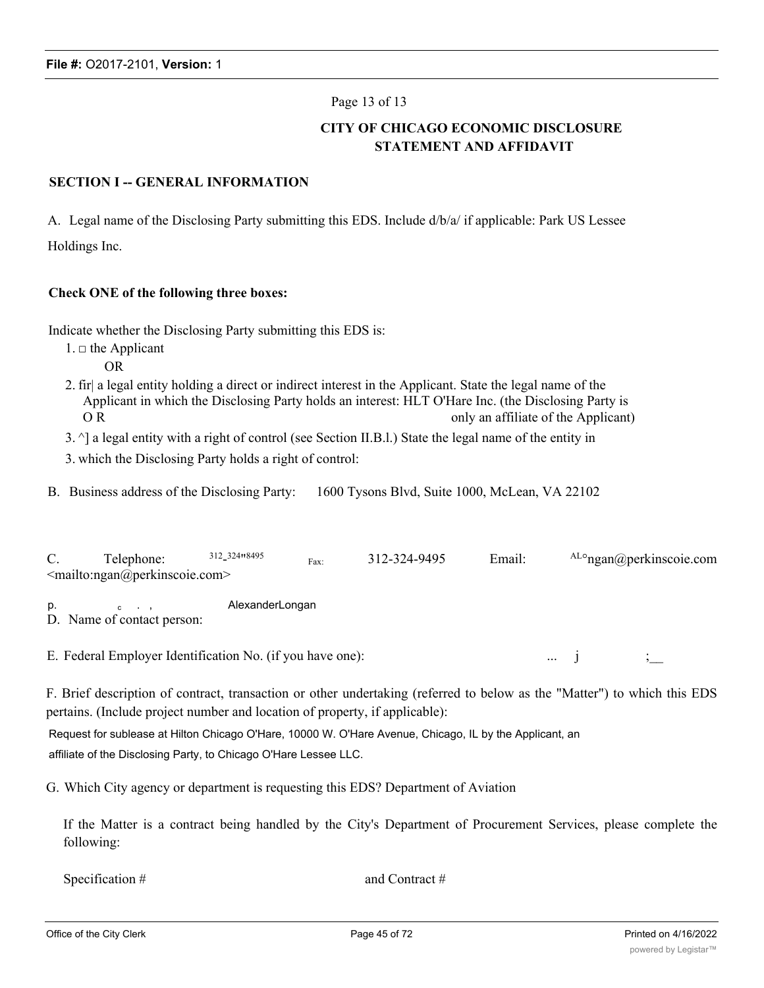#### Page 13 of 13

#### **CITY OF CHICAGO ECONOMIC DISCLOSURE STATEMENT AND AFFIDAVIT**

#### **SECTION I -- GENERAL INFORMATION**

A. Legal name of the Disclosing Party submitting this EDS. Include d/b/a/ if applicable: Park US Lessee Holdings Inc.

#### **Check ONE of the following three boxes:**

Indicate whether the Disclosing Party submitting this EDS is:

- $1. \Box$  the Applicant
	- OR
- 2. fir| a legal entity holding a direct or indirect interest in the Applicant. State the legal name of the Applicant in which the Disclosing Party holds an interest: HLT O'Hare Inc. (the Disclosing Party is O R only an affiliate of the Applicant)
- 3. ^] a legal entity with a right of control (see Section II.B.l.) State the legal name of the entity in
- 3. which the Disclosing Party holds a right of control:

B. Business address of the Disclosing Party: 1600 Tysons Blvd, Suite 1000, McLean, VA 22102

| C. | Telephone:                                                | 312 324 8495    | Fax: | 312-324-9495 | Email: |          | $\rm ALO$ ngan $\omega$ perkinscoie.com |
|----|-----------------------------------------------------------|-----------------|------|--------------|--------|----------|-----------------------------------------|
|    | $\leq$ mailto:ngan@perkinscoie.com>                       |                 |      |              |        |          |                                         |
| p. | $c \rightarrow$<br>D. Name of contact person:             | AlexanderLongan |      |              |        |          |                                         |
|    | E. Federal Employer Identification No. (if you have one): |                 |      |              |        | $\cdots$ |                                         |

F. Brief description of contract, transaction or other undertaking (referred to below as the "Matter") to which this EDS pertains. (Include project number and location of property, if applicable):

Request for sublease at Hilton Chicago O'Hare, 10000 W. O'Hare Avenue, Chicago, IL by the Applicant, an affiliate of the Disclosing Party, to Chicago O'Hare Lessee LLC.

G. Which City agency or department is requesting this EDS? Department of Aviation

If the Matter is a contract being handled by the City's Department of Procurement Services, please complete the following:

Specification # and Contract #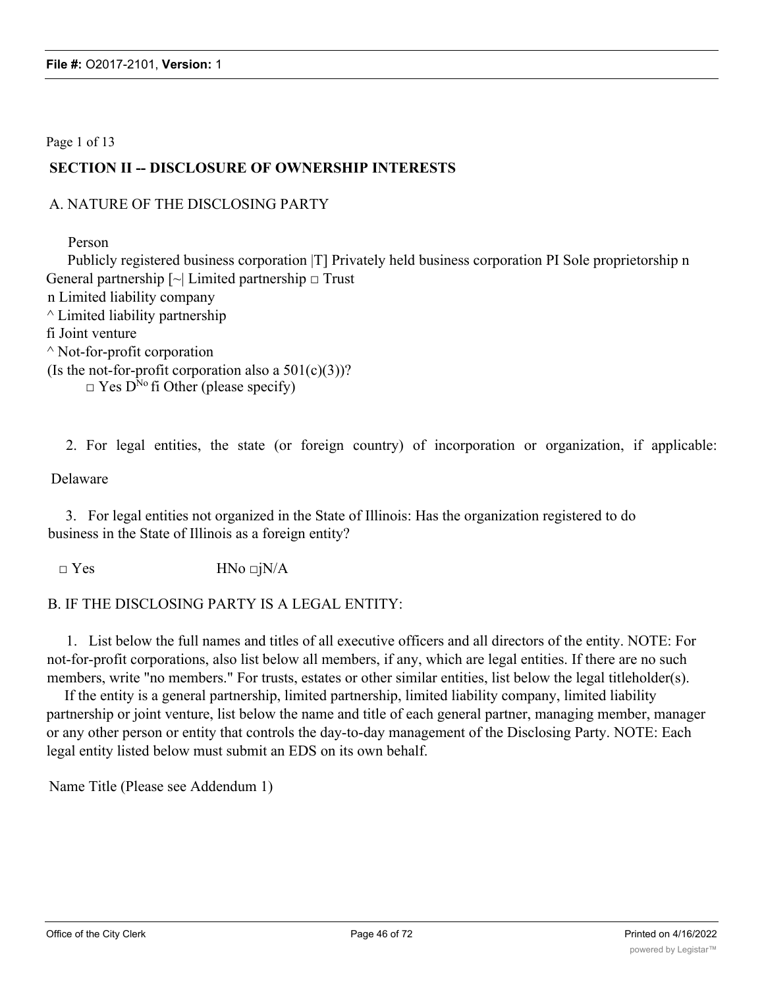#### Page 1 of 13

## **SECTION II -- DISCLOSURE OF OWNERSHIP INTERESTS**

#### A. NATURE OF THE DISCLOSING PARTY

Person

Publicly registered business corporation |T] Privately held business corporation PI Sole proprietorship n General partnership  $\lceil \sim \rceil$  Limited partnership  $\Box$  Trust n Limited liability company  $\wedge$  Limited liability partnership fi Joint venture  $\wedge$  Not-for-profit corporation (Is the not-for-profit corporation also a  $501(c)(3)$ )?  $\Box$  Yes D<sup>No</sup> fi Other (please specify)

2. For legal entities, the state (or foreign country) of incorporation or organization, if applicable:

Delaware

3. For legal entities not organized in the State of Illinois: Has the organization registered to do business in the State of Illinois as a foreign entity?

 $\Box$  Yes HNo  $\Box$ jN/A

#### B. IF THE DISCLOSING PARTY IS A LEGAL ENTITY:

1. List below the full names and titles of all executive officers and all directors of the entity. NOTE: For not-for-profit corporations, also list below all members, if any, which are legal entities. If there are no such members, write "no members." For trusts, estates or other similar entities, list below the legal titleholder(s).

If the entity is a general partnership, limited partnership, limited liability company, limited liability partnership or joint venture, list below the name and title of each general partner, managing member, manager or any other person or entity that controls the day-to-day management of the Disclosing Party. NOTE: Each legal entity listed below must submit an EDS on its own behalf.

Name Title (Please see Addendum 1)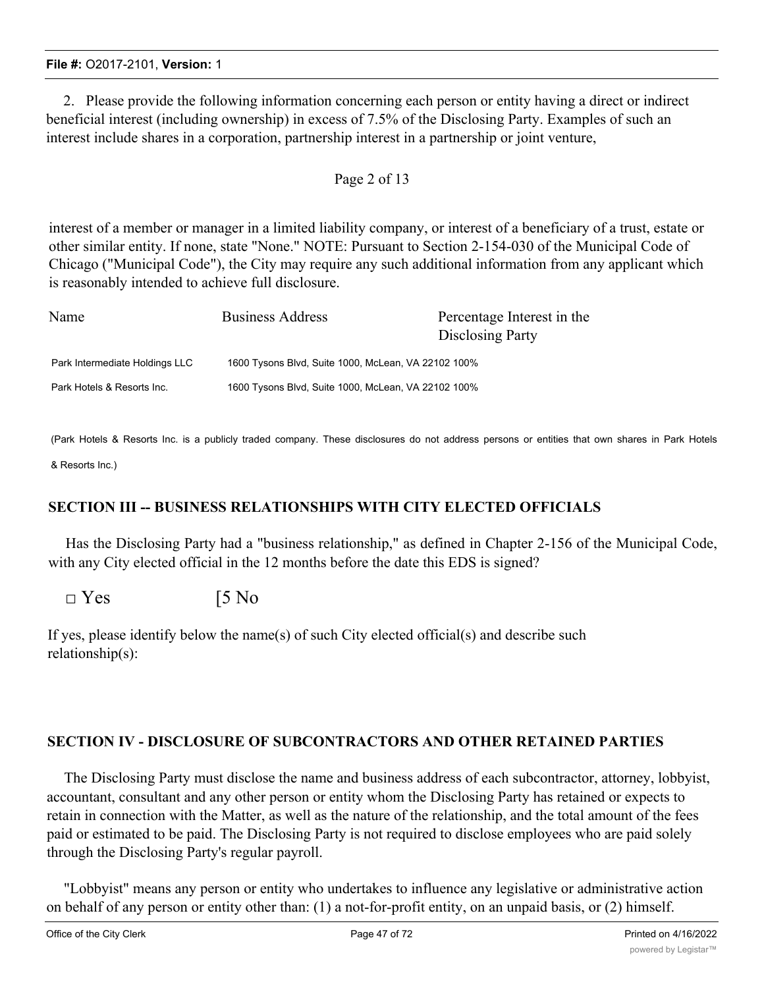2. Please provide the following information concerning each person or entity having a direct or indirect beneficial interest (including ownership) in excess of 7.5% of the Disclosing Party. Examples of such an interest include shares in a corporation, partnership interest in a partnership or joint venture,

#### Page 2 of 13

interest of a member or manager in a limited liability company, or interest of a beneficiary of a trust, estate or other similar entity. If none, state "None." NOTE: Pursuant to Section 2-154-030 of the Municipal Code of Chicago ("Municipal Code"), the City may require any such additional information from any applicant which is reasonably intended to achieve full disclosure.

| Name                           | <b>Business Address</b>                             | Percentage Interest in the<br>Disclosing Party |  |  |
|--------------------------------|-----------------------------------------------------|------------------------------------------------|--|--|
| Park Intermediate Holdings LLC | 1600 Tysons Blvd, Suite 1000, McLean, VA 22102 100% |                                                |  |  |
| Park Hotels & Resorts Inc.     | 1600 Tysons Blvd, Suite 1000, McLean, VA 22102 100% |                                                |  |  |

(Park Hotels & Resorts Inc. is a publicly traded company. These disclosures do not address persons or entities that own shares in Park Hotels

& Resorts Inc.)

## **SECTION III -- BUSINESS RELATIONSHIPS WITH CITY ELECTED OFFICIALS**

Has the Disclosing Party had a "business relationship," as defined in Chapter 2-156 of the Municipal Code, with any City elected official in the 12 months before the date this EDS is signed?

 $\square$  Yes [5 No

If yes, please identify below the name(s) of such City elected official(s) and describe such relationship(s):

## **SECTION IV - DISCLOSURE OF SUBCONTRACTORS AND OTHER RETAINED PARTIES**

The Disclosing Party must disclose the name and business address of each subcontractor, attorney, lobbyist, accountant, consultant and any other person or entity whom the Disclosing Party has retained or expects to retain in connection with the Matter, as well as the nature of the relationship, and the total amount of the fees paid or estimated to be paid. The Disclosing Party is not required to disclose employees who are paid solely through the Disclosing Party's regular payroll.

"Lobbyist" means any person or entity who undertakes to influence any legislative or administrative action on behalf of any person or entity other than: (1) a not-for-profit entity, on an unpaid basis, or (2) himself.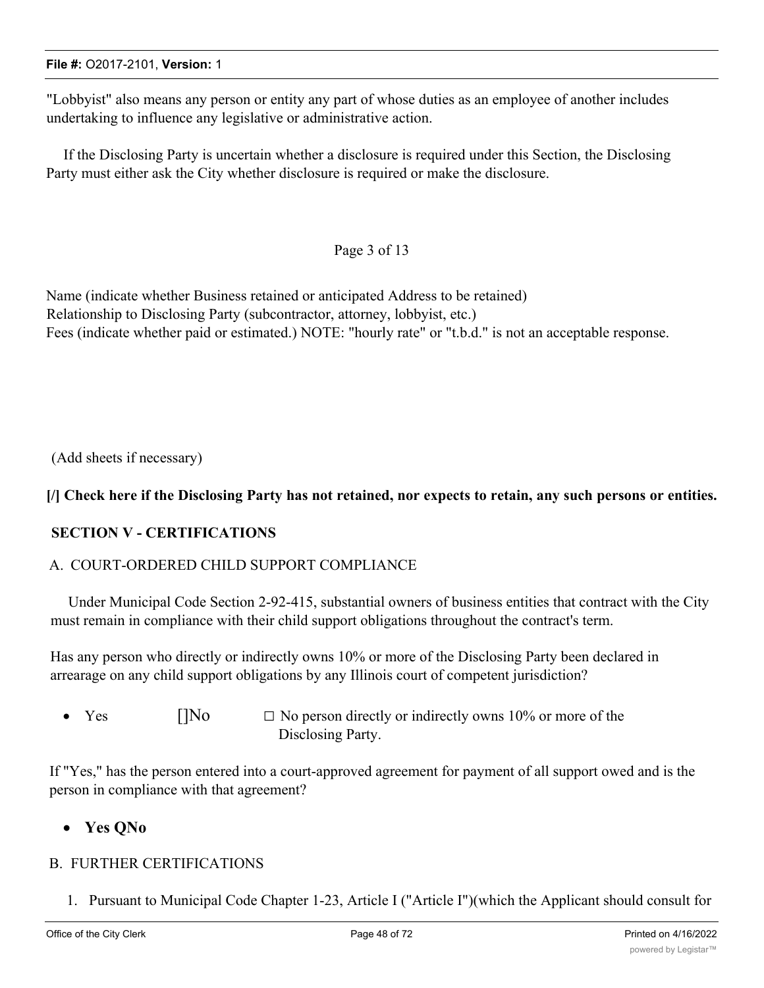"Lobbyist" also means any person or entity any part of whose duties as an employee of another includes undertaking to influence any legislative or administrative action.

If the Disclosing Party is uncertain whether a disclosure is required under this Section, the Disclosing Party must either ask the City whether disclosure is required or make the disclosure.

## Page 3 of 13

Name (indicate whether Business retained or anticipated Address to be retained) Relationship to Disclosing Party (subcontractor, attorney, lobbyist, etc.) Fees (indicate whether paid or estimated.) NOTE: "hourly rate" or "t.b.d." is not an acceptable response.

(Add sheets if necessary)

## [/] Check here if the Disclosing Party has not retained, nor expects to retain, any such persons or entities.

## **SECTION V - CERTIFICATIONS**

#### A. COURT-ORDERED CHILD SUPPORT COMPLIANCE

Under Municipal Code Section 2-92-415, substantial owners of business entities that contract with the City must remain in compliance with their child support obligations throughout the contract's term.

Has any person who directly or indirectly owns 10% or more of the Disclosing Party been declared in arrearage on any child support obligations by any Illinois court of competent jurisdiction?

• Yes  $[]$ No  $\Box$  No person directly or indirectly owns 10% or more of the Disclosing Party.

If "Yes," has the person entered into a court-approved agreement for payment of all support owed and is the person in compliance with that agreement?

## · **Yes QNo**

#### B. FURTHER CERTIFICATIONS

1. Pursuant to Municipal Code Chapter 1-23, Article I ("Article I")(which the Applicant should consult for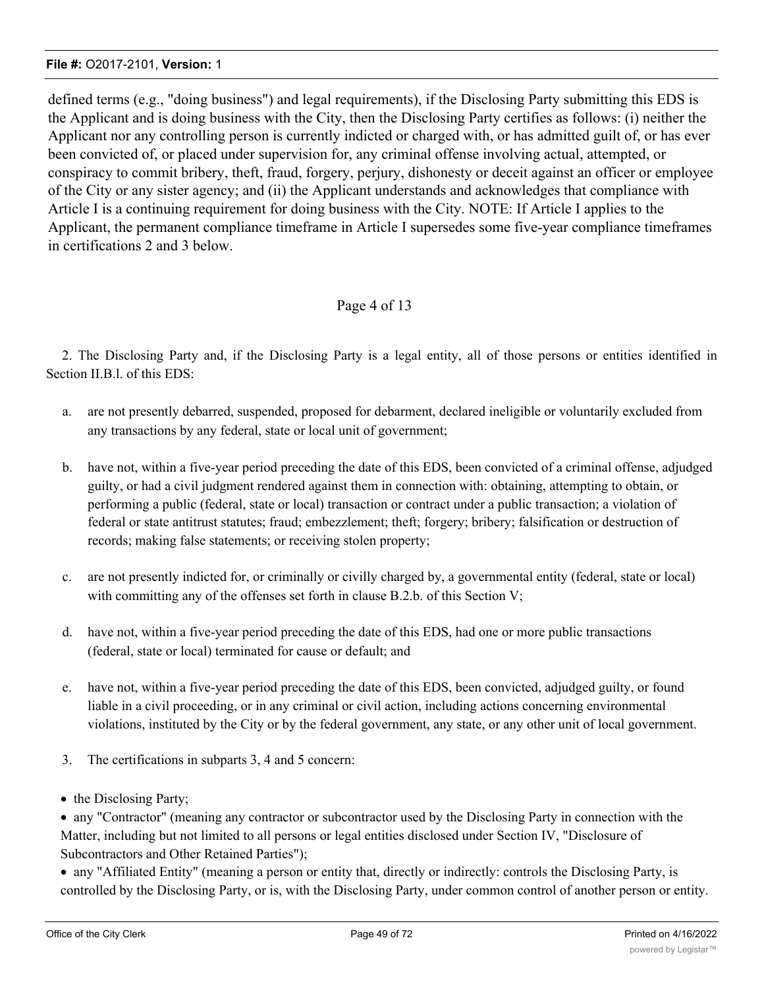defined terms (e.g., "doing business") and legal requirements), if the Disclosing Party submitting this EDS is the Applicant and is doing business with the City, then the Disclosing Party certifies as follows: (i) neither the Applicant nor any controlling person is currently indicted or charged with, or has admitted guilt of, or has ever been convicted of, or placed under supervision for, any criminal offense involving actual, attempted, or conspiracy to commit bribery, theft, fraud, forgery, perjury, dishonesty or deceit against an officer or employee of the City or any sister agency; and (ii) the Applicant understands and acknowledges that compliance with Article I is a continuing requirement for doing business with the City. NOTE: If Article I applies to the Applicant, the permanent compliance timeframe in Article I supersedes some five-year compliance timeframes in certifications 2 and 3 below.

#### Page 4 of 13

2. The Disclosing Party and, if the Disclosing Party is a legal entity, all of those persons or entities identified in Section II.B.1. of this EDS:

- a. are not presently debarred, suspended, proposed for debarment, declared ineligible or voluntarily excluded from any transactions by any federal, state or local unit of government;
- b. have not, within a five-year period preceding the date of this EDS, been convicted of a criminal offense, adjudged guilty, or had a civil judgment rendered against them in connection with: obtaining, attempting to obtain, or performing a public (federal, state or local) transaction or contract under a public transaction; a violation of federal or state antitrust statutes; fraud; embezzlement; theft; forgery; bribery; falsification or destruction of records; making false statements; or receiving stolen property;
- c. are not presently indicted for, or criminally or civilly charged by, a governmental entity (federal, state or local) with committing any of the offenses set forth in clause B.2.b. of this Section V;
- d. have not, within a five-year period preceding the date of this EDS, had one or more public transactions (federal, state or local) terminated for cause or default; and
- e. have not, within a five-year period preceding the date of this EDS, been convicted, adjudged guilty, or found liable in a civil proceeding, or in any criminal or civil action, including actions concerning environmental violations, instituted by the City or by the federal government, any state, or any other unit of local government.
- 3. The certifications in subparts 3, 4 and 5 concern:
- the Disclosing Party;

· any "Contractor" (meaning any contractor or subcontractor used by the Disclosing Party in connection with the Matter, including but not limited to all persons or legal entities disclosed under Section IV, "Disclosure of Subcontractors and Other Retained Parties");

· any "Affiliated Entity" (meaning a person or entity that, directly or indirectly: controls the Disclosing Party, is controlled by the Disclosing Party, or is, with the Disclosing Party, under common control of another person or entity.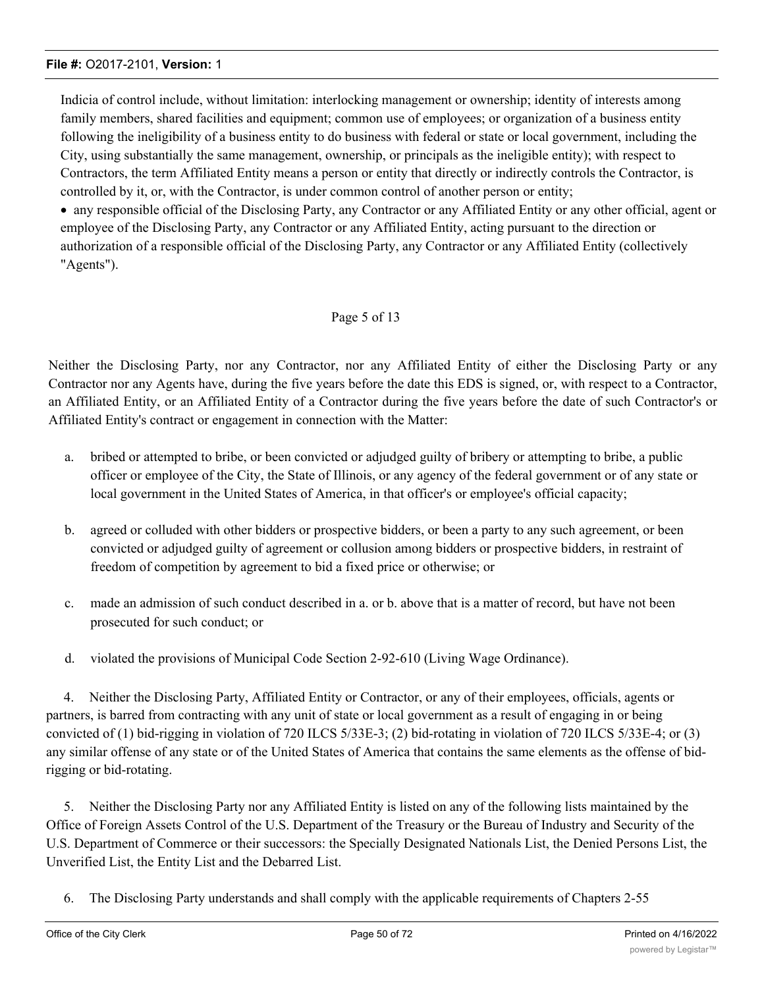Indicia of control include, without limitation: interlocking management or ownership; identity of interests among family members, shared facilities and equipment; common use of employees; or organization of a business entity following the ineligibility of a business entity to do business with federal or state or local government, including the City, using substantially the same management, ownership, or principals as the ineligible entity); with respect to Contractors, the term Affiliated Entity means a person or entity that directly or indirectly controls the Contractor, is controlled by it, or, with the Contractor, is under common control of another person or entity;

· any responsible official of the Disclosing Party, any Contractor or any Affiliated Entity or any other official, agent or employee of the Disclosing Party, any Contractor or any Affiliated Entity, acting pursuant to the direction or authorization of a responsible official of the Disclosing Party, any Contractor or any Affiliated Entity (collectively "Agents").

#### Page 5 of 13

Neither the Disclosing Party, nor any Contractor, nor any Affiliated Entity of either the Disclosing Party or any Contractor nor any Agents have, during the five years before the date this EDS is signed, or, with respect to a Contractor, an Affiliated Entity, or an Affiliated Entity of a Contractor during the five years before the date of such Contractor's or Affiliated Entity's contract or engagement in connection with the Matter:

- a. bribed or attempted to bribe, or been convicted or adjudged guilty of bribery or attempting to bribe, a public officer or employee of the City, the State of Illinois, or any agency of the federal government or of any state or local government in the United States of America, in that officer's or employee's official capacity;
- b. agreed or colluded with other bidders or prospective bidders, or been a party to any such agreement, or been convicted or adjudged guilty of agreement or collusion among bidders or prospective bidders, in restraint of freedom of competition by agreement to bid a fixed price or otherwise; or
- c. made an admission of such conduct described in a. or b. above that is a matter of record, but have not been prosecuted for such conduct; or
- d. violated the provisions of Municipal Code Section 2-92-610 (Living Wage Ordinance).

4. Neither the Disclosing Party, Affiliated Entity or Contractor, or any of their employees, officials, agents or partners, is barred from contracting with any unit of state or local government as a result of engaging in or being convicted of (1) bid-rigging in violation of 720 ILCS 5/33E-3; (2) bid-rotating in violation of 720 ILCS 5/33E-4; or (3) any similar offense of any state or of the United States of America that contains the same elements as the offense of bidrigging or bid-rotating.

5. Neither the Disclosing Party nor any Affiliated Entity is listed on any of the following lists maintained by the Office of Foreign Assets Control of the U.S. Department of the Treasury or the Bureau of Industry and Security of the U.S. Department of Commerce or their successors: the Specially Designated Nationals List, the Denied Persons List, the Unverified List, the Entity List and the Debarred List.

6. The Disclosing Party understands and shall comply with the applicable requirements of Chapters 2-55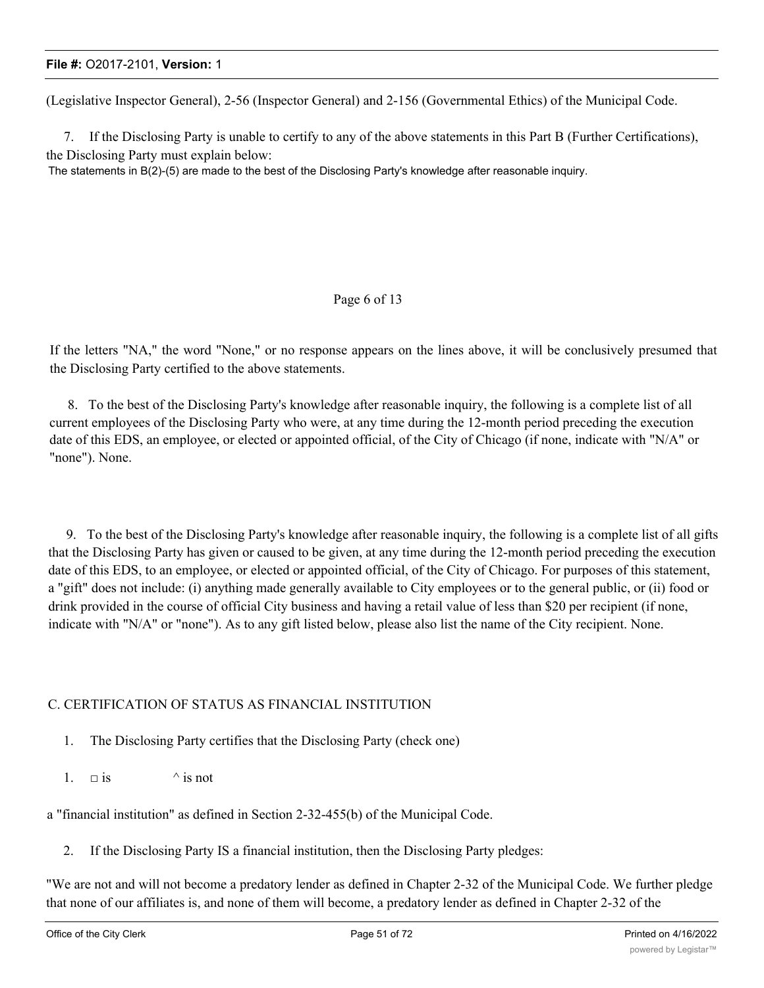(Legislative Inspector General), 2-56 (Inspector General) and 2-156 (Governmental Ethics) of the Municipal Code.

7. If the Disclosing Party is unable to certify to any of the above statements in this Part B (Further Certifications), the Disclosing Party must explain below:

The statements in B(2)-(5) are made to the best of the Disclosing Party's knowledge after reasonable inquiry.

#### Page 6 of 13

If the letters "NA," the word "None," or no response appears on the lines above, it will be conclusively presumed that the Disclosing Party certified to the above statements.

8. To the best of the Disclosing Party's knowledge after reasonable inquiry, the following is a complete list of all current employees of the Disclosing Party who were, at any time during the 12-month period preceding the execution date of this EDS, an employee, or elected or appointed official, of the City of Chicago (if none, indicate with "N/A" or "none"). None.

9. To the best of the Disclosing Party's knowledge after reasonable inquiry, the following is a complete list of all gifts that the Disclosing Party has given or caused to be given, at any time during the 12-month period preceding the execution date of this EDS, to an employee, or elected or appointed official, of the City of Chicago. For purposes of this statement, a "gift" does not include: (i) anything made generally available to City employees or to the general public, or (ii) food or drink provided in the course of official City business and having a retail value of less than \$20 per recipient (if none, indicate with "N/A" or "none"). As to any gift listed below, please also list the name of the City recipient. None.

#### C. CERTIFICATION OF STATUS AS FINANCIAL INSTITUTION

- 1. The Disclosing Party certifies that the Disclosing Party (check one)
- 1.  $\Box$  is  $\qquad \qquad$  is not

a "financial institution" as defined in Section 2-32-455(b) of the Municipal Code.

2. If the Disclosing Party IS a financial institution, then the Disclosing Party pledges:

"We are not and will not become a predatory lender as defined in Chapter 2-32 of the Municipal Code. We further pledge that none of our affiliates is, and none of them will become, a predatory lender as defined in Chapter 2-32 of the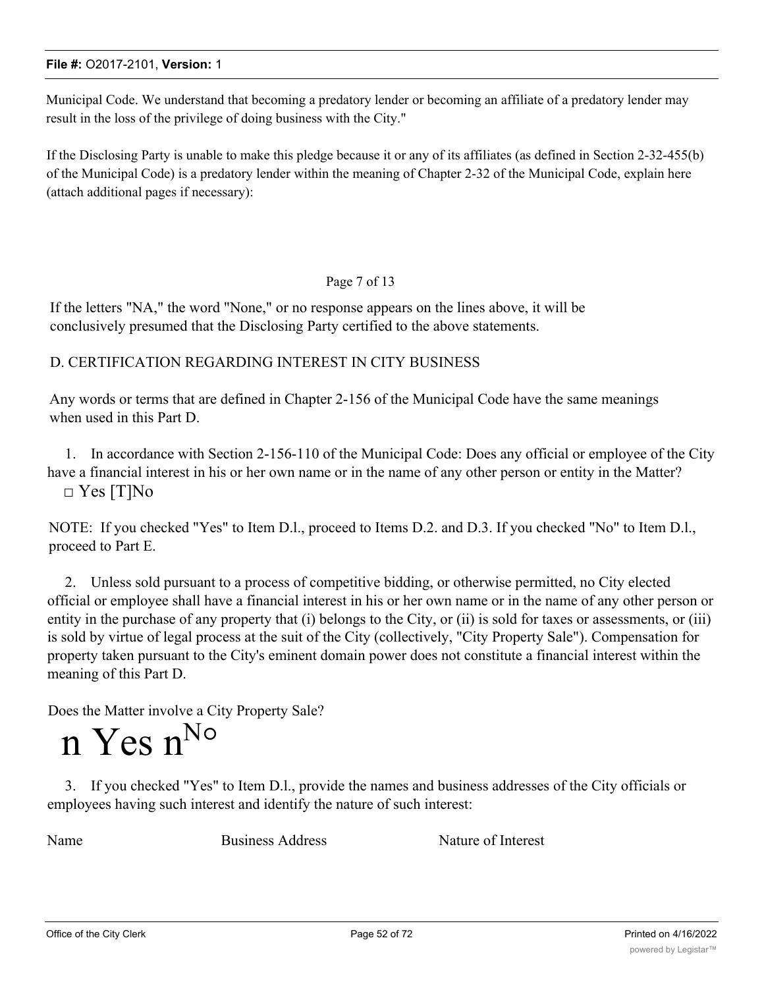Municipal Code. We understand that becoming a predatory lender or becoming an affiliate of a predatory lender may result in the loss of the privilege of doing business with the City."

If the Disclosing Party is unable to make this pledge because it or any of its affiliates (as defined in Section 2-32-455(b) of the Municipal Code) is a predatory lender within the meaning of Chapter 2-32 of the Municipal Code, explain here (attach additional pages if necessary):

#### Page 7 of 13

If the letters "NA," the word "None," or no response appears on the lines above, it will be conclusively presumed that the Disclosing Party certified to the above statements.

#### D. CERTIFICATION REGARDING INTEREST IN CITY BUSINESS

Any words or terms that are defined in Chapter 2-156 of the Municipal Code have the same meanings when used in this Part D.

1. In accordance with Section 2-156-110 of the Municipal Code: Does any official or employee of the City have a financial interest in his or her own name or in the name of any other person or entity in the Matter? □ Yes [T]No

NOTE: If you checked "Yes" to Item D.l., proceed to Items D.2. and D.3. If you checked "No" to Item D.l., proceed to Part E.

2. Unless sold pursuant to a process of competitive bidding, or otherwise permitted, no City elected official or employee shall have a financial interest in his or her own name or in the name of any other person or entity in the purchase of any property that (i) belongs to the City, or (ii) is sold for taxes or assessments, or (iii) is sold by virtue of legal process at the suit of the City (collectively, "City Property Sale"). Compensation for property taken pursuant to the City's eminent domain power does not constitute a financial interest within the meaning of this Part D.

Does the Matter involve a City Property Sale?

# n Yes n<sup>No</sup>

3. If you checked "Yes" to Item D.l., provide the names and business addresses of the City officials or employees having such interest and identify the nature of such interest:

Name Business Address Nature of Interest

Office of the City Clerk **Page 52 of 72** Printed on 4/16/2022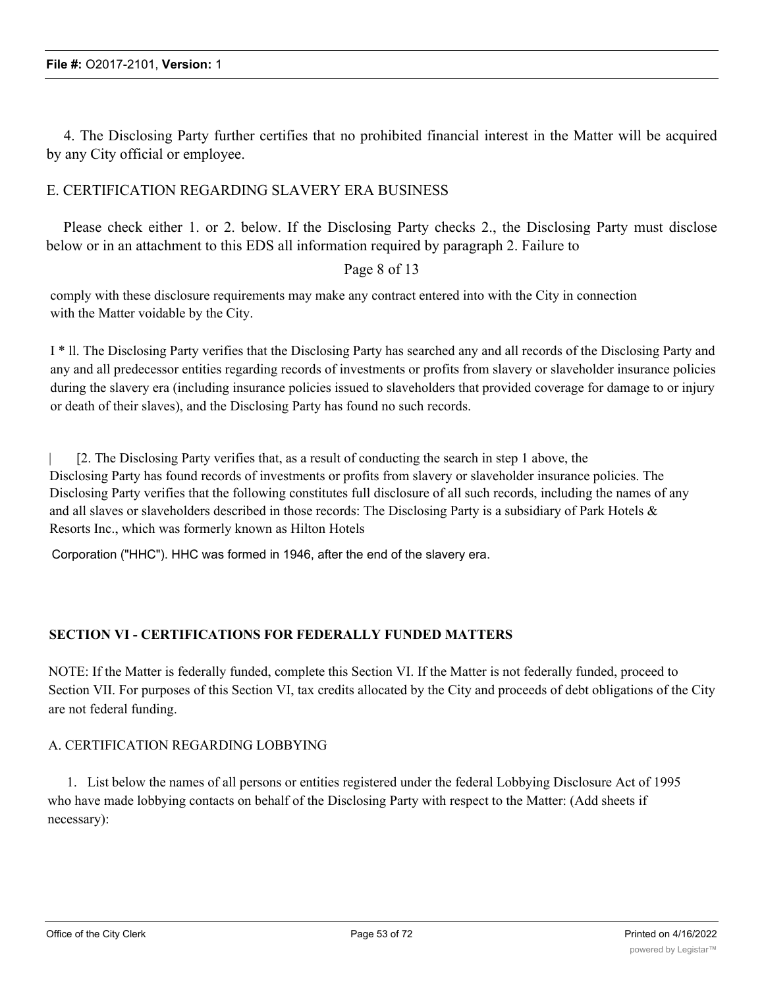4. The Disclosing Party further certifies that no prohibited financial interest in the Matter will be acquired by any City official or employee.

#### E. CERTIFICATION REGARDING SLAVERY ERA BUSINESS

Please check either 1. or 2. below. If the Disclosing Party checks 2., the Disclosing Party must disclose below or in an attachment to this EDS all information required by paragraph 2. Failure to

#### Page 8 of 13

comply with these disclosure requirements may make any contract entered into with the City in connection with the Matter voidable by the City.

I \* ll. The Disclosing Party verifies that the Disclosing Party has searched any and all records of the Disclosing Party and any and all predecessor entities regarding records of investments or profits from slavery or slaveholder insurance policies during the slavery era (including insurance policies issued to slaveholders that provided coverage for damage to or injury or death of their slaves), and the Disclosing Party has found no such records.

| [2. The Disclosing Party verifies that, as a result of conducting the search in step 1 above, the Disclosing Party has found records of investments or profits from slavery or slaveholder insurance policies. The Disclosing Party verifies that the following constitutes full disclosure of all such records, including the names of any and all slaves or slaveholders described in those records: The Disclosing Party is a subsidiary of Park Hotels & Resorts Inc., which was formerly known as Hilton Hotels

Corporation ("HHC"). HHC was formed in 1946, after the end of the slavery era.

#### **SECTION VI - CERTIFICATIONS FOR FEDERALLY FUNDED MATTERS**

NOTE: If the Matter is federally funded, complete this Section VI. If the Matter is not federally funded, proceed to Section VII. For purposes of this Section VI, tax credits allocated by the City and proceeds of debt obligations of the City are not federal funding.

#### A. CERTIFICATION REGARDING LOBBYING

1. List below the names of all persons or entities registered under the federal Lobbying Disclosure Act of 1995 who have made lobbying contacts on behalf of the Disclosing Party with respect to the Matter: (Add sheets if necessary):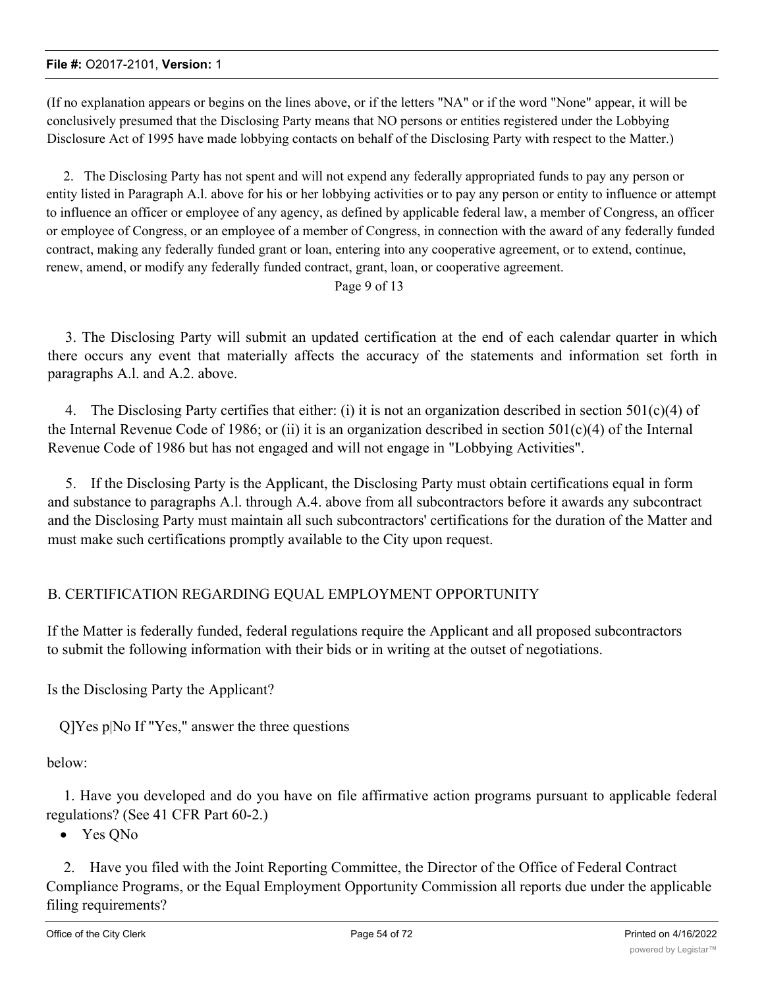(If no explanation appears or begins on the lines above, or if the letters "NA" or if the word "None" appear, it will be conclusively presumed that the Disclosing Party means that NO persons or entities registered under the Lobbying Disclosure Act of 1995 have made lobbying contacts on behalf of the Disclosing Party with respect to the Matter.)

2. The Disclosing Party has not spent and will not expend any federally appropriated funds to pay any person or entity listed in Paragraph A.l. above for his or her lobbying activities or to pay any person or entity to influence or attempt to influence an officer or employee of any agency, as defined by applicable federal law, a member of Congress, an officer or employee of Congress, or an employee of a member of Congress, in connection with the award of any federally funded contract, making any federally funded grant or loan, entering into any cooperative agreement, or to extend, continue, renew, amend, or modify any federally funded contract, grant, loan, or cooperative agreement.

Page 9 of 13

3. The Disclosing Party will submit an updated certification at the end of each calendar quarter in which there occurs any event that materially affects the accuracy of the statements and information set forth in paragraphs A.l. and A.2. above.

4. The Disclosing Party certifies that either: (i) it is not an organization described in section 501(c)(4) of the Internal Revenue Code of 1986; or (ii) it is an organization described in section 501(c)(4) of the Internal Revenue Code of 1986 but has not engaged and will not engage in "Lobbying Activities".

5. If the Disclosing Party is the Applicant, the Disclosing Party must obtain certifications equal in form and substance to paragraphs A.l. through A.4. above from all subcontractors before it awards any subcontract and the Disclosing Party must maintain all such subcontractors' certifications for the duration of the Matter and must make such certifications promptly available to the City upon request.

## B. CERTIFICATION REGARDING EQUAL EMPLOYMENT OPPORTUNITY

If the Matter is federally funded, federal regulations require the Applicant and all proposed subcontractors to submit the following information with their bids or in writing at the outset of negotiations.

Is the Disclosing Party the Applicant?

Q]Yes p|No If "Yes," answer the three questions

below:

1. Have you developed and do you have on file affirmative action programs pursuant to applicable federal regulations? (See 41 CFR Part 60-2.)

• Yes QNo

2. Have you filed with the Joint Reporting Committee, the Director of the Office of Federal Contract Compliance Programs, or the Equal Employment Opportunity Commission all reports due under the applicable filing requirements?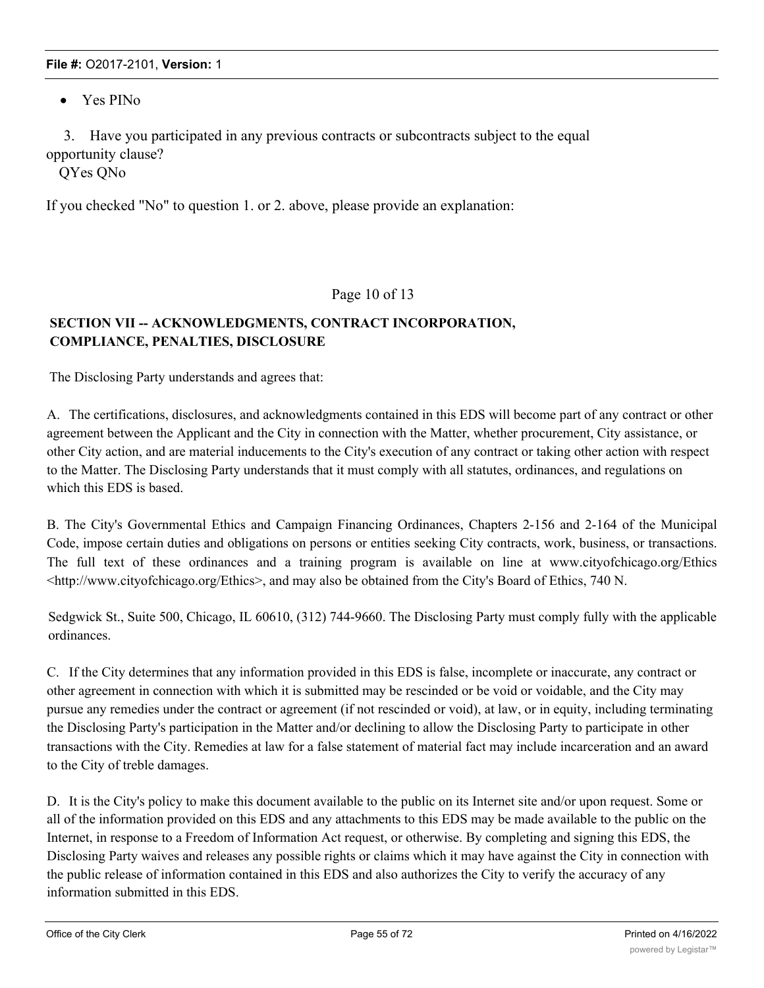• Yes PINo

3. Have you participated in any previous contracts or subcontracts subject to the equal opportunity clause?

QYes QNo

If you checked "No" to question 1. or 2. above, please provide an explanation:

#### Page 10 of 13

## **SECTION VII -- ACKNOWLEDGMENTS, CONTRACT INCORPORATION, COMPLIANCE, PENALTIES, DISCLOSURE**

The Disclosing Party understands and agrees that:

A. The certifications, disclosures, and acknowledgments contained in this EDS will become part of any contract or other agreement between the Applicant and the City in connection with the Matter, whether procurement, City assistance, or other City action, and are material inducements to the City's execution of any contract or taking other action with respect to the Matter. The Disclosing Party understands that it must comply with all statutes, ordinances, and regulations on which this EDS is based.

B. The City's Governmental Ethics and Campaign Financing Ordinances, Chapters 2-156 and 2-164 of the Municipal Code, impose certain duties and obligations on persons or entities seeking City contracts, work, business, or transactions. The full text of these ordinances and a training program is available on line at www.cityofchicago.org/Ethics <http://www.cityofchicago.org/Ethics>, and may also be obtained from the City's Board of Ethics, 740 N.

Sedgwick St., Suite 500, Chicago, IL 60610, (312) 744-9660. The Disclosing Party must comply fully with the applicable ordinances.

C. If the City determines that any information provided in this EDS is false, incomplete or inaccurate, any contract or other agreement in connection with which it is submitted may be rescinded or be void or voidable, and the City may pursue any remedies under the contract or agreement (if not rescinded or void), at law, or in equity, including terminating the Disclosing Party's participation in the Matter and/or declining to allow the Disclosing Party to participate in other transactions with the City. Remedies at law for a false statement of material fact may include incarceration and an award to the City of treble damages.

D. It is the City's policy to make this document available to the public on its Internet site and/or upon request. Some or all of the information provided on this EDS and any attachments to this EDS may be made available to the public on the Internet, in response to a Freedom of Information Act request, or otherwise. By completing and signing this EDS, the Disclosing Party waives and releases any possible rights or claims which it may have against the City in connection with the public release of information contained in this EDS and also authorizes the City to verify the accuracy of any information submitted in this EDS.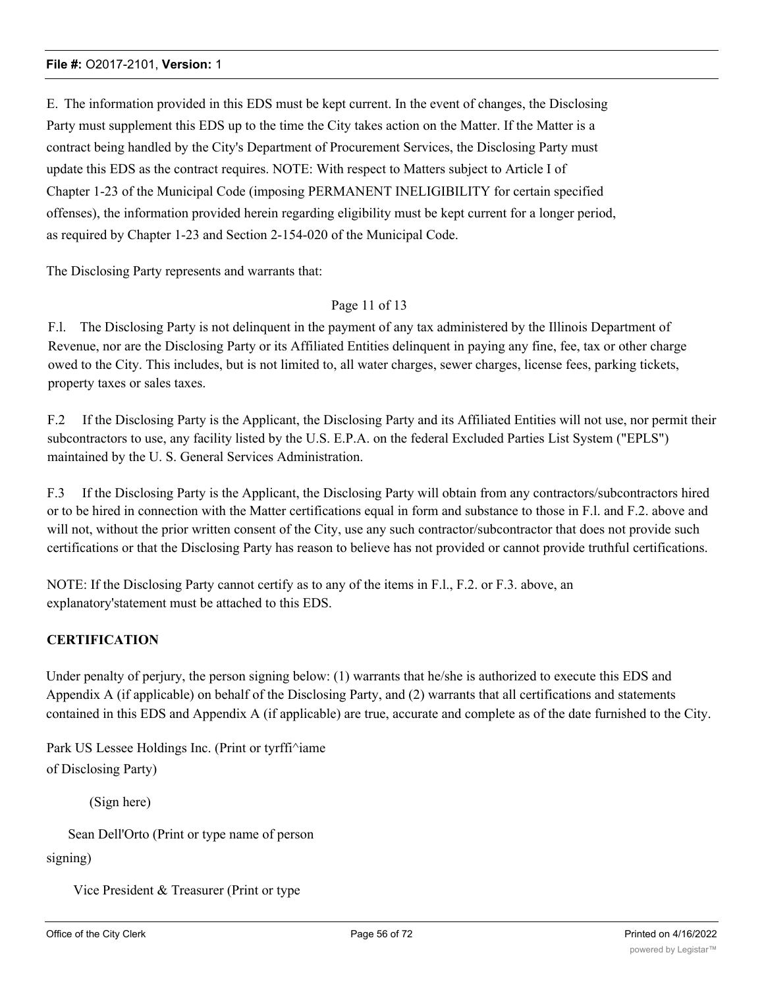E. The information provided in this EDS must be kept current. In the event of changes, the Disclosing Party must supplement this EDS up to the time the City takes action on the Matter. If the Matter is a contract being handled by the City's Department of Procurement Services, the Disclosing Party must update this EDS as the contract requires. NOTE: With respect to Matters subject to Article I of Chapter 1-23 of the Municipal Code (imposing PERMANENT INELIGIBILITY for certain specified offenses), the information provided herein regarding eligibility must be kept current for a longer period, as required by Chapter 1-23 and Section 2-154-020 of the Municipal Code.

The Disclosing Party represents and warrants that:

#### Page 11 of 13

F.l. The Disclosing Party is not delinquent in the payment of any tax administered by the Illinois Department of Revenue, nor are the Disclosing Party or its Affiliated Entities delinquent in paying any fine, fee, tax or other charge owed to the City. This includes, but is not limited to, all water charges, sewer charges, license fees, parking tickets, property taxes or sales taxes.

F.2 If the Disclosing Party is the Applicant, the Disclosing Party and its Affiliated Entities will not use, nor permit their subcontractors to use, any facility listed by the U.S. E.P.A. on the federal Excluded Parties List System ("EPLS") maintained by the U. S. General Services Administration.

F.3 If the Disclosing Party is the Applicant, the Disclosing Party will obtain from any contractors/subcontractors hired or to be hired in connection with the Matter certifications equal in form and substance to those in F.l. and F.2. above and will not, without the prior written consent of the City, use any such contractor/subcontractor that does not provide such certifications or that the Disclosing Party has reason to believe has not provided or cannot provide truthful certifications.

NOTE: If the Disclosing Party cannot certify as to any of the items in F.l., F.2. or F.3. above, an explanatory'statement must be attached to this EDS.

#### **CERTIFICATION**

Under penalty of perjury, the person signing below: (1) warrants that he/she is authorized to execute this EDS and Appendix A (if applicable) on behalf of the Disclosing Party, and (2) warrants that all certifications and statements contained in this EDS and Appendix A (if applicable) are true, accurate and complete as of the date furnished to the City.

Park US Lessee Holdings Inc. (Print or tyrffi^iame of Disclosing Party)

(Sign here)

Sean Dell'Orto (Print or type name of person

signing)

Vice President & Treasurer (Print or type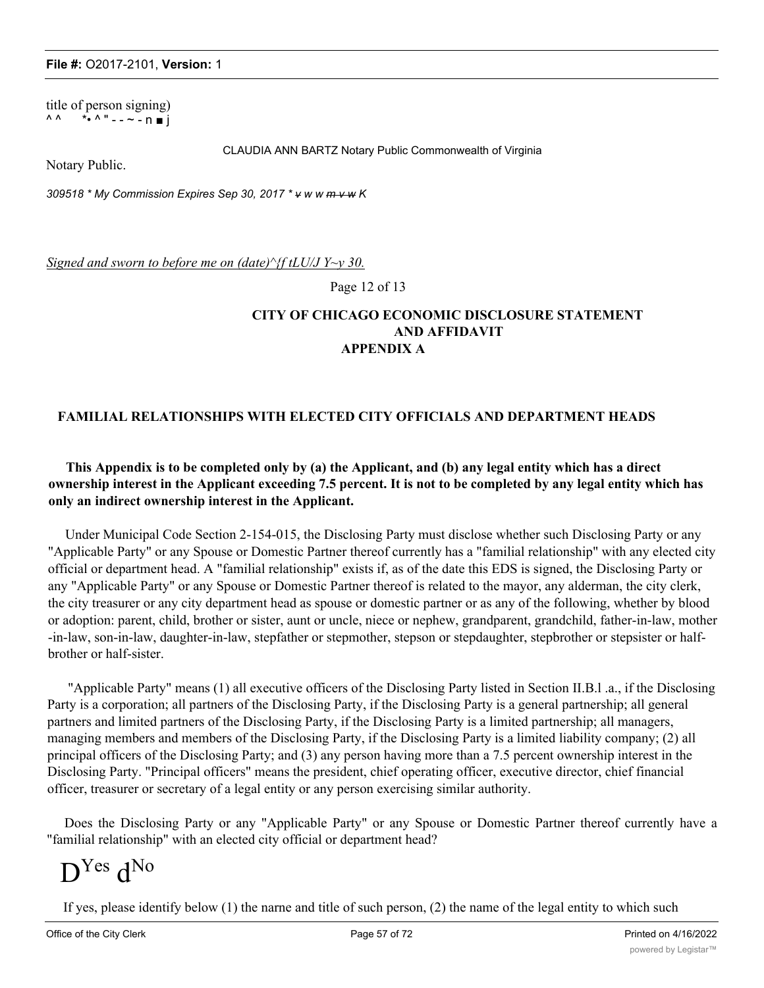title of person signing)  $\wedge \wedge$  \*•  $\wedge$  " - - ~ - n  $\blacksquare$  j

CLAUDIA ANN BARTZ Notary Public Commonwealth of Virginia

Notary Public.

*309518 \* My Commission Expires Sep 30, 2017 \* v w w m v w K*

*Signed and sworn to before me on (date)^{f tLU/J Y~y 30.*

Page 12 of 13

#### **CITY OF CHICAGO ECONOMIC DISCLOSURE STATEMENT AND AFFIDAVIT APPENDIX A**

#### **FAMILIAL RELATIONSHIPS WITH ELECTED CITY OFFICIALS AND DEPARTMENT HEADS**

#### **This Appendix is to be completed only by (a) the Applicant, and (b) any legal entity which has a direct ownership interest in the Applicant exceeding 7.5 percent. It is not to be completed by any legal entity which has only an indirect ownership interest in the Applicant.**

Under Municipal Code Section 2-154-015, the Disclosing Party must disclose whether such Disclosing Party or any "Applicable Party" or any Spouse or Domestic Partner thereof currently has a "familial relationship" with any elected city official or department head. A "familial relationship" exists if, as of the date this EDS is signed, the Disclosing Party or any "Applicable Party" or any Spouse or Domestic Partner thereof is related to the mayor, any alderman, the city clerk, the city treasurer or any city department head as spouse or domestic partner or as any of the following, whether by blood or adoption: parent, child, brother or sister, aunt or uncle, niece or nephew, grandparent, grandchild, father-in-law, mother -in-law, son-in-law, daughter-in-law, stepfather or stepmother, stepson or stepdaughter, stepbrother or stepsister or halfbrother or half-sister.

"Applicable Party" means (1) all executive officers of the Disclosing Party listed in Section II.B.l .a., if the Disclosing Party is a corporation; all partners of the Disclosing Party, if the Disclosing Party is a general partnership; all general partners and limited partners of the Disclosing Party, if the Disclosing Party is a limited partnership; all managers, managing members and members of the Disclosing Party, if the Disclosing Party is a limited liability company; (2) all principal officers of the Disclosing Party; and (3) any person having more than a 7.5 percent ownership interest in the Disclosing Party. "Principal officers" means the president, chief operating officer, executive director, chief financial officer, treasurer or secretary of a legal entity or any person exercising similar authority.

Does the Disclosing Party or any "Applicable Party" or any Spouse or Domestic Partner thereof currently have a "familial relationship" with an elected city official or department head?

# D<sup>Yes</sup> d<sup>No</sup>

If yes, please identify below (1) the narne and title of such person, (2) the name of the legal entity to which such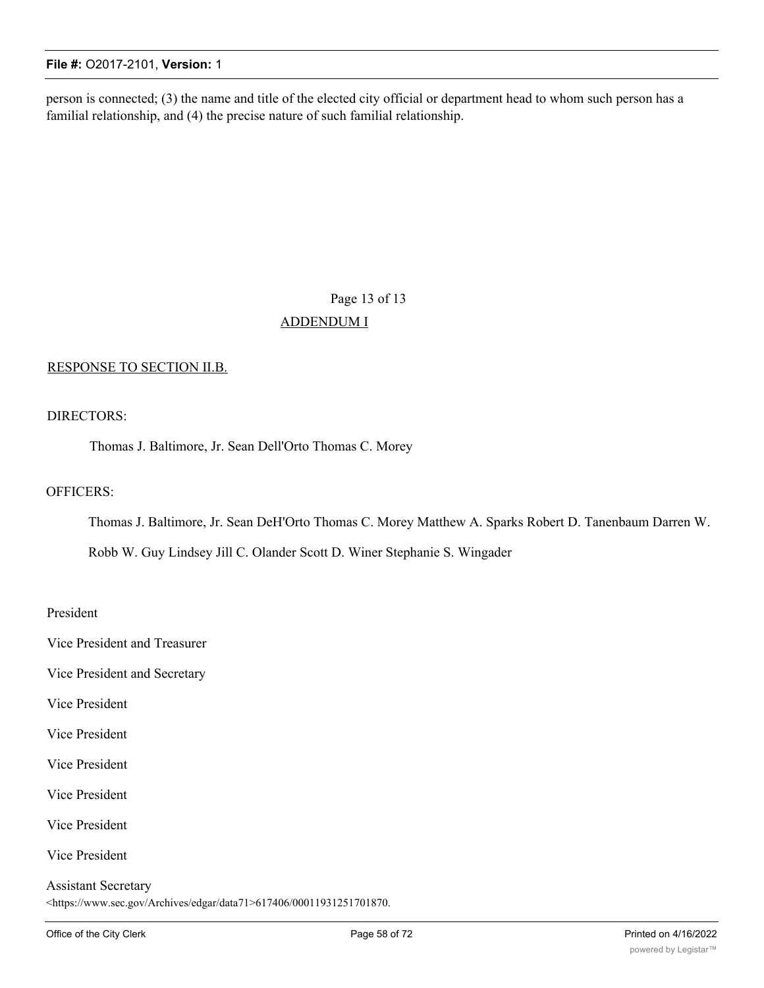person is connected; (3) the name and title of the elected city official or department head to whom such person has a familial relationship, and (4) the precise nature of such familial relationship.

## Page 13 of 13 ADDENDUM I

#### RESPONSE TO SECTION II.B.

#### DIRECTORS:

Thomas J. Baltimore, Jr. Sean Dell'Orto Thomas C. Morey

#### OFFICERS:

Thomas J. Baltimore, Jr. Sean DeH'Orto Thomas C. Morey Matthew A. Sparks Robert D. Tanenbaum Darren W.

Robb W. Guy Lindsey Jill C. Olander Scott D. Winer Stephanie S. Wingader

#### President

Vice President and Treasurer

Vice President and Secretary

Vice President

Vice President

Vice President

Vice President

Vice President

Vice President

#### Assistant Secretary <https://www.sec.gov/Archives/edgar/data71>617406/00011931251701870.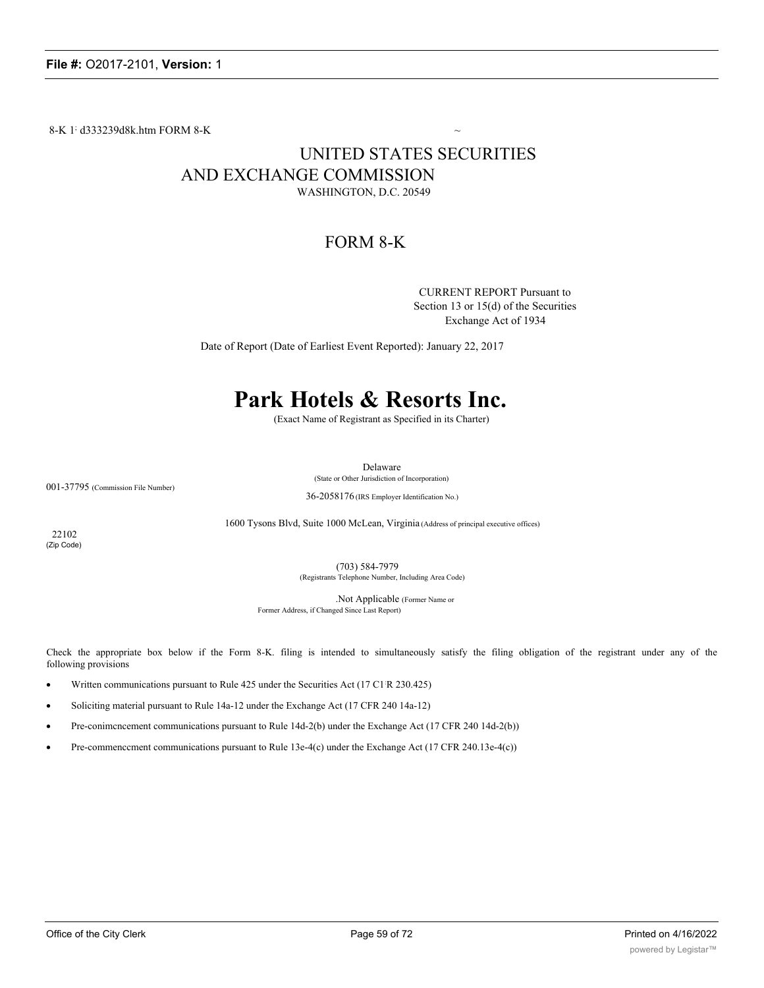8-K 1; d333239d8k.htm FORM 8-K  $\sim$ 

## UNITED STATES SECURITIES AND EXCHANGE COMMISSION WASHINGTON, D.C. 20549

## FORM 8-K

CURRENT REPORT Pursuant to Section 13 or 15(d) of the Securities Exchange Act of 1934

Date of Report (Date of Earliest Event Reported): January 22, 2017

## **Park Hotels & Resorts Inc.**

(Exact Name of Registrant as Specified in its Charter)

Delaware

(State or Other Jurisdiction of Incorporation)

001-37795 (Commission File Number)

36-2058176 (IRS Employer Identification No.)

1600 Tysons Blvd, Suite 1000 McLean, Virginia (Address of principal executive offices)

22102 (Zip Code)

> (703) 584-7979 (Registrants Telephone Number, Including Area Code)

.Not Applicable (Former Name or Former Address, if Changed Since Last Report)

Check the appropriate box below if the Form 8-K. filing is intended to simultaneously satisfy the filing obligation of the registrant under any of the following provisions

- Written communications pursuant to Rule 425 under the Securities Act (17 C1 R 230.425)
- Soliciting material pursuant to Rule 14a-12 under the Exchange Act (17 CFR 240 14a-12)
- Pre-conimcncement communications pursuant to Rule 14d-2(b) under the Exchange Act (17 CFR 240 14d-2(b))
- Pre-commencement communications pursuant to Rule 13e-4(c) under the Exchange Act (17 CFR 240.13e-4(c))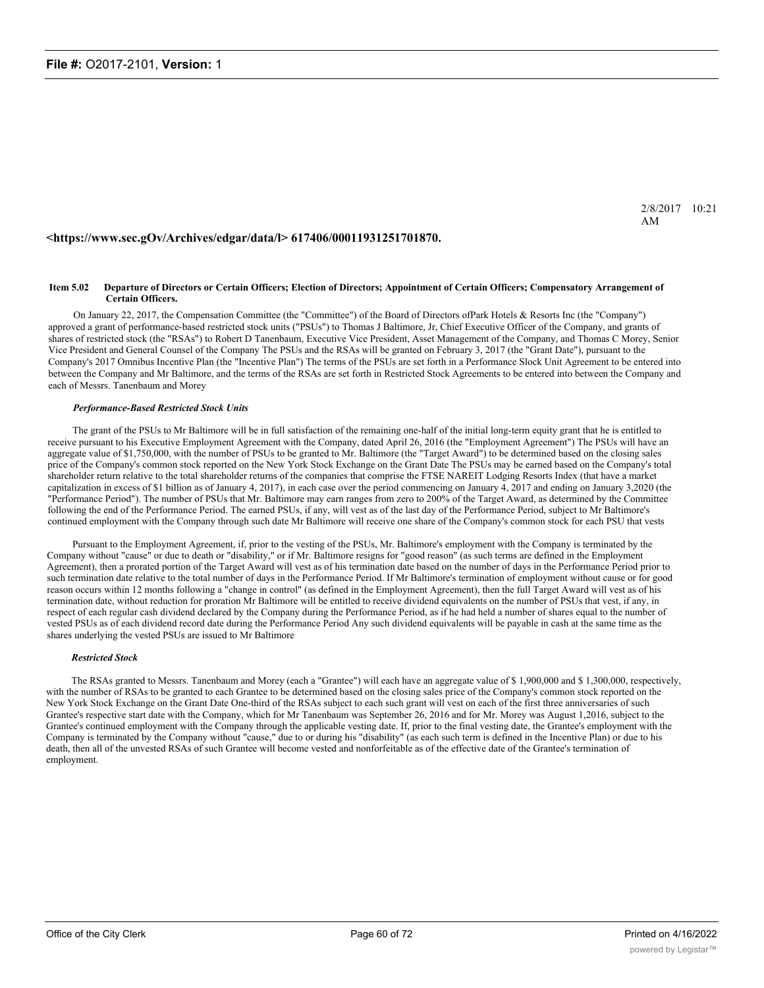#### **<https://www.sec.gOv/Archives/edgar/data/l> 617406/00011931251701870.**

#### **Item 5.02 Departure of Directors or Certain Officers; Election of Directors; Appointment of Certain Officers; Compensatory Arrangement of Certain Officers.**

On January 22, 2017, the Compensation Committee (the "Committee") of the Board of Directors ofPark Hotels & Resorts Inc (the "Company") approved a grant of performance-based restricted stock units ("PSUs") to Thomas J Baltimore, Jr, Chief Executive Officer of the Company, and grants of shares of restricted stock (the "RSAs") to Robert D Tanenbaum, Executive Vice President, Asset Management of the Company, and Thomas C Morey, Senior Vice President and General Counsel of the Company The PSUs and the RSAs will be granted on February 3, 2017 (the "Grant Date"), pursuant to the Company's 2017 Omnibus Incentive Plan (the "Incentive Plan") The terms of the PSUs are set forth in a Performance Slock Unit Agreement to be entered into between the Company and Mr Baltimore, and the terms of the RSAs are set forth in Restricted Stock Agreements to be entered into between the Company and each of Messrs. Tanenbaum and Morey

#### *Performance-Based Restricted Stock Units*

The grant of the PSUs to Mr Baltimore will be in full satisfaction of the remaining one-half of the initial long-term equity grant that he is entitled to receive pursuant to his Executive Employment Agreement with the Company, dated April 26, 2016 (the "Employment Agreement") The PSUs will have an aggregate value of \$1,750,000, with the number of PSUs to be granted to Mr. Baltimore (the "Target Award") to be determined based on the closing sales price of the Company's common stock reported on the New York Stock Exchange on the Grant Date The PSUs may be earned based on the Company's total shareholder return relative to the total shareholder returns of the companies that comprise the FTSE NAREIT Lodging Resorts Index (that have a market capitalization in excess of \$1 billion as of January 4, 2017), in each case over the period commencing on January 4, 2017 and ending on January 3,2020 (the "Performance Period"). The number of PSUs that Mr. Baltimore may earn ranges from zero to 200% of the Target Award, as determined by the Committee following the end of the Performance Period. The earned PSUs, if any, will vest as of the last day of the Performance Period, subject to Mr Baltimore's continued employment with the Company through such date Mr Baltimore will receive one share of the Company's common stock for each PSU that vests

Pursuant to the Employment Agreement, if, prior to the vesting of the PSUs, Mr. Baltimore's employment with the Company is terminated by the Company without "cause" or due to death or "disability," or if Mr. Baltimore resigns for "good reason" (as such terms are defined in the Employment Agreement), then a prorated portion of the Target Award will vest as of his termination date based on the number of days in the Performance Period prior to such termination date relative to the total number of days in the Performance Period. If Mr Baltimore's termination of employment without cause or for good reason occurs within 12 months following a "change in control" (as defined in the Employment Agreement), then the full Target Award will vest as of his termination date, without reduction for proration Mr Baltimore will be entitled to receive dividend equivalents on the number of PSUs that vest, if any, in respect of each regular cash dividend declared by the Company during the Performance Period, as if he had held a number of shares equal to the number of vested PSUs as of each dividend record date during the Performance Period Any such dividend equivalents will be payable in cash at the same time as the shares underlying the vested PSUs are issued to Mr Baltimore

#### *Restricted Stock*

The RSAs granted to Messrs. Tanenbaum and Morey (each a "Grantee") will each have an aggregate value of \$ 1,900,000 and \$ 1,300,000, respectively, with the number of RSAs to be granted to each Grantee to be determined based on the closing sales price of the Company's common stock reported on the New York Stock Exchange on the Grant Date One-third of the RSAs subject to each such grant will vest on each of the first three anniversaries of such Grantee's respective start date with the Company, which for Mr Tanenbaum was September 26, 2016 and for Mr. Morey was August 1,2016, subject to the Grantee's continued employment with the Company through the applicable vesting date. If, prior to the final vesting date, the Grantee's employment with the Company is terminated by the Company without "cause," due to or during his "disability" (as each such term is defined in the Incentive Plan) or due to his death, then all of the unvested RSAs of such Grantee will become vested and nonforfeitable as of the effective date of the Grantee's termination of employment.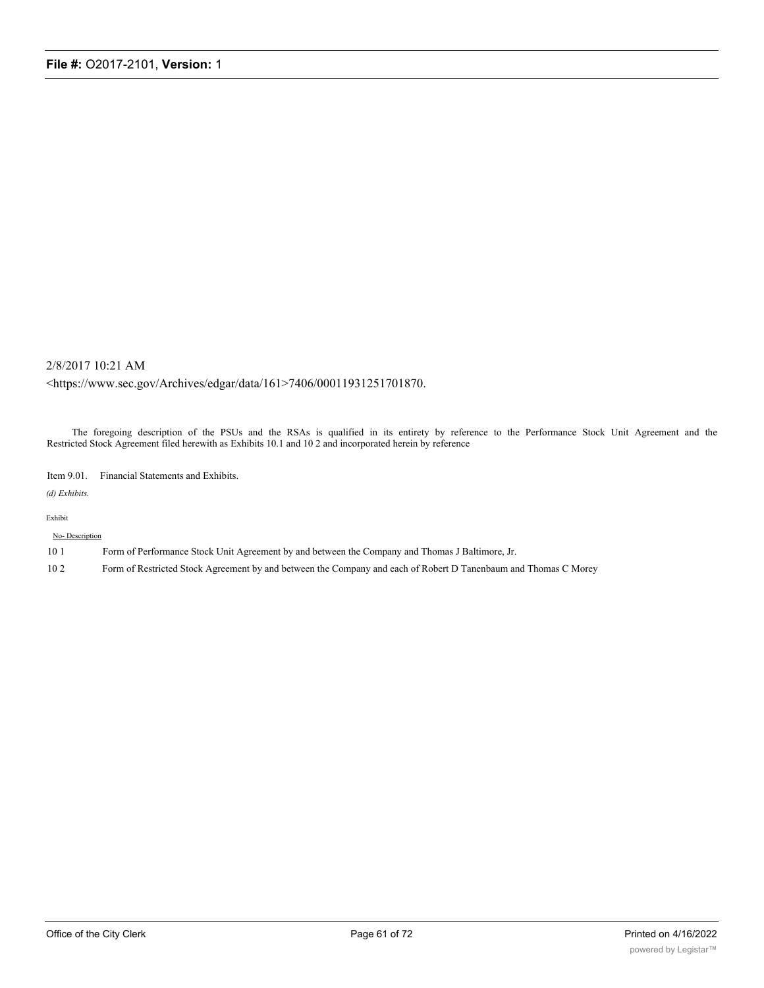#### 2/8/2017 10:21 AM

<https://www.sec.gov/Archives/edgar/data/161>7406/00011931251701870.

The foregoing description of the PSUs and the RSAs is qualified in its entirety by reference to the Performance Stock Unit Agreement and the Restricted Stock Agreement filed herewith as Exhibits 10.1 and 10 2 and incorporated herein by reference

Item 9.01. Financial Statements and Exhibits.

*(d) Exhibits.*

#### Exhibit

No- Description

- 10 1 Form of Performance Stock Unit Agreement by and between the Company and Thomas J Baltimore, Jr.
- 10 2 Form of Restricted Stock Agreement by and between the Company and each of Robert D Tanenbaum and Thomas C Morey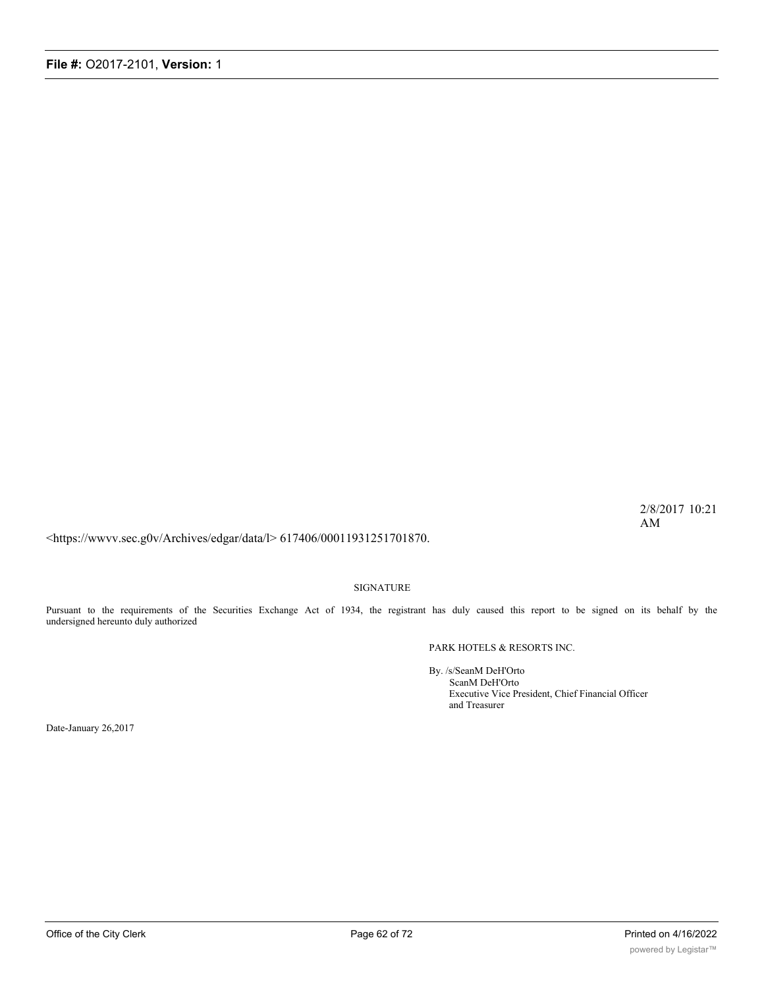2/8/2017 10:21 AM

<https://wwvv.sec.g0v/Archives/edgar/data/l> 617406/00011931251701870.

SIGNATURE

Pursuant to the requirements of the Securities Exchange Act of 1934, the registrant has duly caused this report to be signed on its behalf by the undersigned hereunto duly authorized

PARK HOTELS & RESORTS INC.

By. /s/SeanM DeH'Orto ScanM DeH'Orto Executive Vice President, Chief Financial Officer and Treasurer

Date-January 26,2017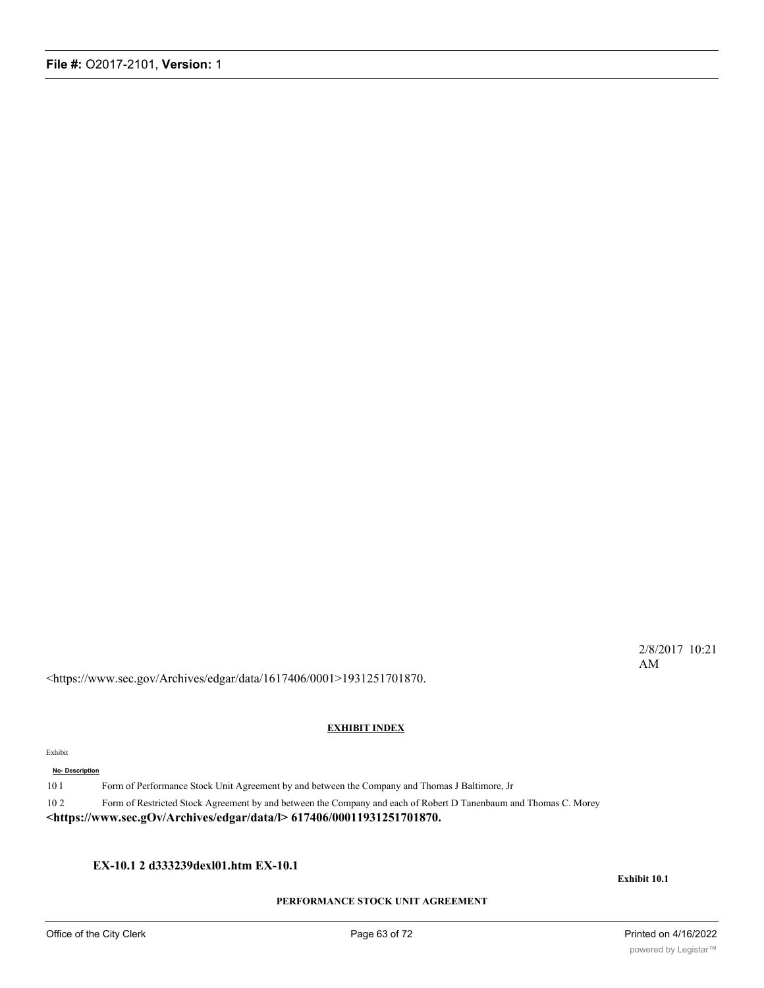2/8/2017 10:21 AM

<https://www.sec.gov/Archives/edgar/data/1617406/0001>1931251701870.

#### **EXHIBIT INDEX**

#### Exhibit

#### **No- Description**

10 I Form of Performance Stock Unit Agreement by and between the Company and Thomas J Baltimore, Jr

10 2 Form of Restricted Stock Agreement by and between the Company and each of Robert D Tanenbaum and Thomas C. Morey

**<https://www.sec.gOv/Archives/edgar/data/l> 617406/00011931251701870.**

**EX-10.1 2 d333239dexl01.htm EX-10.1**

**Exhibit 10.1**

#### **PERFORMANCE STOCK UNIT AGREEMENT**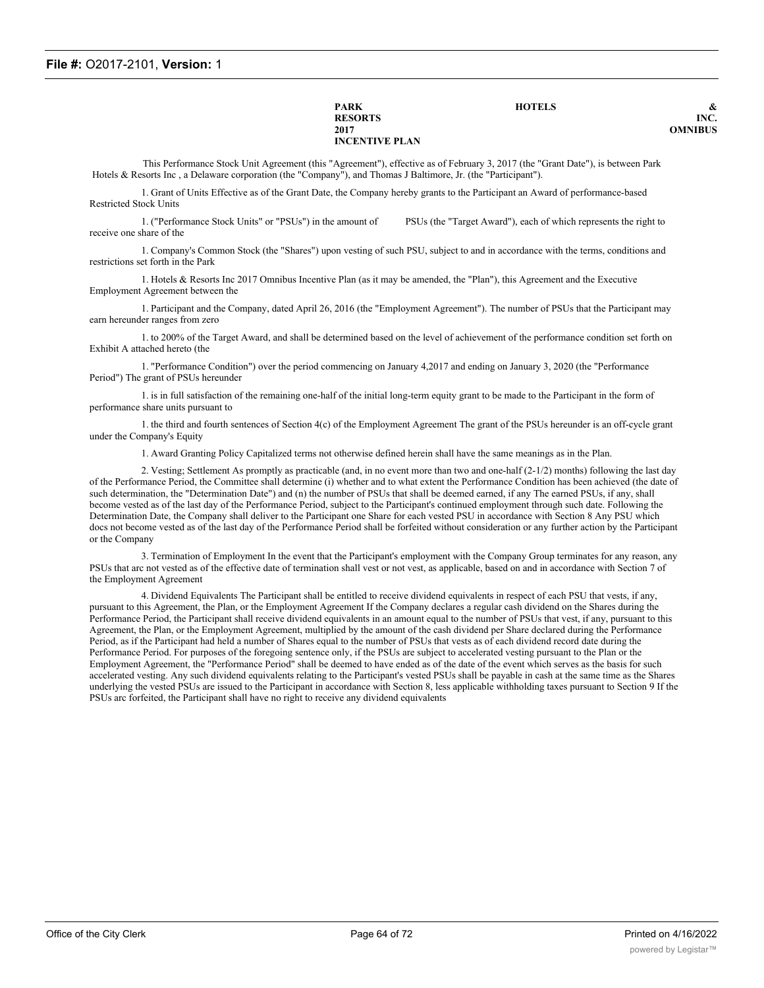**PARK HOTELS & RESORTS** INC.<br>2017 **CONTRACTS 2017 OMNIBUS INCENTIVE PLAN**

This Performance Stock Unit Agreement (this "Agreement"), effective as of February 3, 2017 (the "Grant Date"), is between Park Hotels & Resorts Inc , a Delaware corporation (the "Company"), and Thomas J Baltimore, Jr. (the "Participant").

1. Grant of Units Effective as of the Grant Date, the Company hereby grants to the Participant an Award of performance-based Restricted Stock Units

1. ("Performance Stock Units" or "PSUs") in the amount of PSUs (the "Target Award"), each of which represents the right to receive one share of the

1. Company's Common Stock (the "Shares") upon vesting of such PSU, subject to and in accordance with the terms, conditions and restrictions set forth in the Park

1. Hotels & Resorts Inc 2017 Omnibus Incentive Plan (as it may be amended, the "Plan"), this Agreement and the Executive Employment Agreement between the

1. Participant and the Company, dated April 26, 2016 (the "Employment Agreement"). The number of PSUs that the Participant may earn hereunder ranges from zero

1. to 200% of the Target Award, and shall be determined based on the level of achievement of the performance condition set forth on Exhibit A attached hereto (the

1. "Performance Condition") over the period commencing on January 4,2017 and ending on January 3, 2020 (the "Performance Period") The grant of PSUs hereunder

1. is in full satisfaction of the remaining one-half of the initial long-term equity grant to be made to the Participant in the form of performance share units pursuant to

1. the third and fourth sentences of Section 4(c) of the Employment Agreement The grant of the PSUs hereunder is an off-cycle grant under the Company's Equity

1. Award Granting Policy Capitalized terms not otherwise defined herein shall have the same meanings as in the Plan.

2. Vesting; Settlement As promptly as practicable (and, in no event more than two and one-half (2-1/2) months) following the last day of the Performance Period, the Committee shall determine (i) whether and to what extent the Performance Condition has been achieved (the date of such determination, the "Determination Date") and (n) the number of PSUs that shall be deemed earned, if any The earned PSUs, if any, shall become vested as of the last day of the Performance Period, subject to the Participant's continued employment through such date. Following the Determination Date, the Company shall deliver to the Participant one Share for each vested PSU in accordance with Section 8 Any PSU which docs not become vested as of the last day of the Performance Period shall be forfeited without consideration or any further action by the Participant or the Company

3. Termination of Employment In the event that the Participant's employment with the Company Group terminates for any reason, any PSUs that arc not vested as of the effective date of termination shall vest or not vest, as applicable, based on and in accordance with Section 7 of the Employment Agreement

4. Dividend Equivalents The Participant shall be entitled to receive dividend equivalents in respect of each PSU that vests, if any, pursuant to this Agreement, the Plan, or the Employment Agreement If the Company declares a regular cash dividend on the Shares during the Performance Period, the Participant shall receive dividend equivalents in an amount equal to the number of PSUs that vest, if any, pursuant to this Agreement, the Plan, or the Employment Agreement, multiplied by the amount of the cash dividend per Share declared during the Performance Period, as if the Participant had held a number of Shares equal to the number of PSUs that vests as of each dividend record date during the Performance Period. For purposes of the foregoing sentence only, if the PSUs are subject to accelerated vesting pursuant to the Plan or the Employment Agreement, the "Performance Period" shall be deemed to have ended as of the date of the event which serves as the basis for such accelerated vesting. Any such dividend equivalents relating to the Participant's vested PSUs shall be payable in cash at the same time as the Shares underlying the vested PSUs are issued to the Participant in accordance with Section 8, less applicable withholding taxes pursuant to Section 9 If the PSUs arc forfeited, the Participant shall have no right to receive any dividend equivalents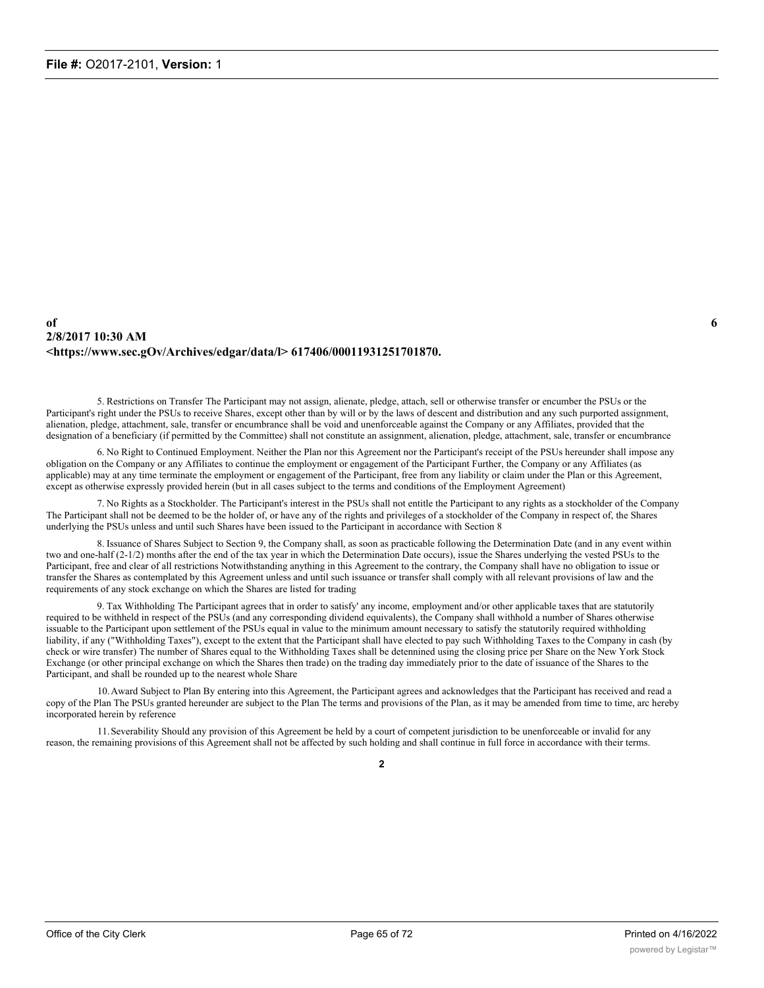#### **of 6 2/8/2017 10:30 AM <https://www.sec.gOv/Archives/edgar/data/l> 617406/00011931251701870.**

5. Restrictions on Transfer The Participant may not assign, alienate, pledge, attach, sell or otherwise transfer or encumber the PSUs or the Participant's right under the PSUs to receive Shares, except other than by will or by the laws of descent and distribution and any such purported assignment, alienation, pledge, attachment, sale, transfer or encumbrance shall be void and unenforceable against the Company or any Affiliates, provided that the designation of a beneficiary (if permitted by the Committee) shall not constitute an assignment, alienation, pledge, attachment, sale, transfer or encumbrance

6. No Right to Continued Employment. Neither the Plan nor this Agreement nor the Participant's receipt of the PSUs hereunder shall impose any obligation on the Company or any Affiliates to continue the employment or engagement of the Participant Further, the Company or any Affiliates (as applicable) may at any time terminate the employment or engagement of the Participant, free from any liability or claim under the Plan or this Agreement, except as otherwise expressly provided herein (but in all cases subject to the terms and conditions of the Employment Agreement)

7. No Rights as a Stockholder. The Participant's interest in the PSUs shall not entitle the Participant to any rights as a stockholder of the Company The Participant shall not be deemed to be the holder of, or have any of the rights and privileges of a stockholder of the Company in respect of, the Shares underlying the PSUs unless and until such Shares have been issued to the Participant in accordance with Section 8

8. Issuance of Shares Subject to Section 9, the Company shall, as soon as practicable following the Determination Date (and in any event within two and one-half (2-1/2) months after the end of the tax year in which the Determination Date occurs), issue the Shares underlying the vested PSUs to the Participant, free and clear of all restrictions Notwithstanding anything in this Agreement to the contrary, the Company shall have no obligation to issue or transfer the Shares as contemplated by this Agreement unless and until such issuance or transfer shall comply with all relevant provisions of law and the requirements of any stock exchange on which the Shares are listed for trading

9. Tax Withholding The Participant agrees that in order to satisfy' any income, employment and/or other applicable taxes that are statutorily required to be withheld in respect of the PSUs (and any corresponding dividend equivalents), the Company shall withhold a number of Shares otherwise issuable to the Participant upon settlement of the PSUs equal in value to the minimum amount necessary to satisfy the statutorily required withholding liability, if any ("Withholding Taxes"), except to the extent that the Participant shall have elected to pay such Withholding Taxes to the Company in cash (by check or wire transfer) The number of Shares equal to the Withholding Taxes shall be detennined using the closing price per Share on the New York Stock Exchange (or other principal exchange on which the Shares then trade) on the trading day immediately prior to the date of issuance of the Shares to the Participant, and shall be rounded up to the nearest whole Share

10.Award Subject to Plan By entering into this Agreement, the Participant agrees and acknowledges that the Participant has received and read a copy of the Plan The PSUs granted hereunder are subject to the Plan The terms and provisions of the Plan, as it may be amended from time to time, arc hereby incorporated herein by reference

11.Severability Should any provision of this Agreement be held by a court of competent jurisdiction to be unenforceable or invalid for any reason, the remaining provisions of this Agreement shall not be affected by such holding and shall continue in full force in accordance with their terms.

**2**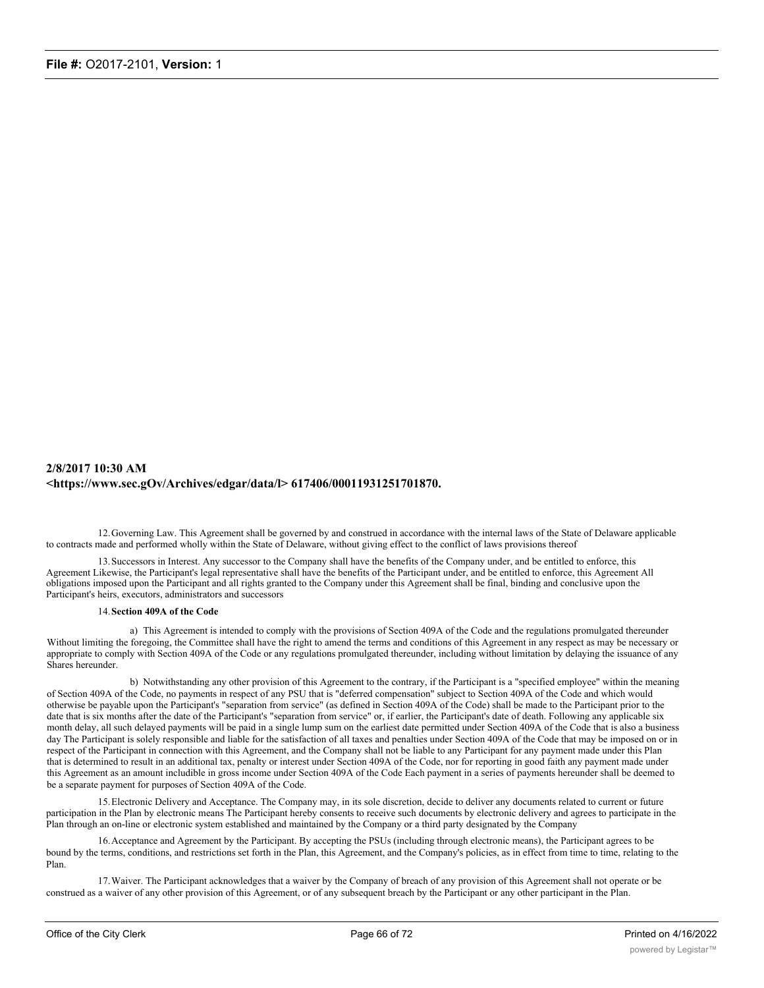#### **2/8/2017 10:30 AM <https://www.sec.gOv/Archives/edgar/data/l> 617406/00011931251701870.**

12.Governing Law. This Agreement shall be governed by and construed in accordance with the internal laws of the State of Delaware applicable to contracts made and performed wholly within the State of Delaware, without giving effect to the conflict of laws provisions thereof

13.Successors in Interest. Any successor to the Company shall have the benefits of the Company under, and be entitled to enforce, this Agreement Likewise, the Participant's legal representative shall have the benefits of the Participant under, and be entitled to enforce, this Agreement All obligations imposed upon the Participant and all rights granted to the Company under this Agreement shall be final, binding and conclusive upon the Participant's heirs, executors, administrators and successors

#### 14.**Section 409A of the Code**

a) This Agreement is intended to comply with the provisions of Section 409A of the Code and the regulations promulgated thereunder Without limiting the foregoing, the Committee shall have the right to amend the terms and conditions of this Agreement in any respect as may be necessary or appropriate to comply with Section 409A of the Code or any regulations promulgated thereunder, including without limitation by delaying the issuance of any Shares hereunder.

b) Notwithstanding any other provision of this Agreement to the contrary, if the Participant is a "specified employee" within the meaning of Section 409A of the Code, no payments in respect of any PSU that is "deferred compensation" subject to Section 409A of the Code and which would otherwise be payable upon the Participant's "separation from service" (as defined in Section 409A of the Code) shall be made to the Participant prior to the date that is six months after the date of the Participant's "separation from service" or, if earlier, the Participant's date of death. Following any applicable six month delay, all such delayed payments will be paid in a single lump sum on the earliest date permitted under Section 409A of the Code that is also a business day The Participant is solely responsible and liable for the satisfaction of all taxes and penalties under Section 409A of the Code that may be imposed on or in respect of the Participant in connection with this Agreement, and the Company shall not be liable to any Participant for any payment made under this Plan that is determined to result in an additional tax, penalty or interest under Section 409A of the Code, nor for reporting in good faith any payment made under this Agreement as an amount includible in gross income under Section 409A of the Code Each payment in a series of payments hereunder shall be deemed to be a separate payment for purposes of Section 409A of the Code.

15.Electronic Delivery and Acceptance. The Company may, in its sole discretion, decide to deliver any documents related to current or future participation in the Plan by electronic means The Participant hereby consents to receive such documents by electronic delivery and agrees to participate in the Plan through an on-line or electronic system established and maintained by the Company or a third party designated by the Company

16.Acceptance and Agreement by the Participant. By accepting the PSUs (including through electronic means), the Participant agrees to be bound by the terms, conditions, and restrictions set forth in the Plan, this Agreement, and the Company's policies, as in effect from time to time, relating to the Plan.

17.Waiver. The Participant acknowledges that a waiver by the Company of breach of any provision of this Agreement shall not operate or be construed as a waiver of any other provision of this Agreement, or of any subsequent breach by the Participant or any other participant in the Plan.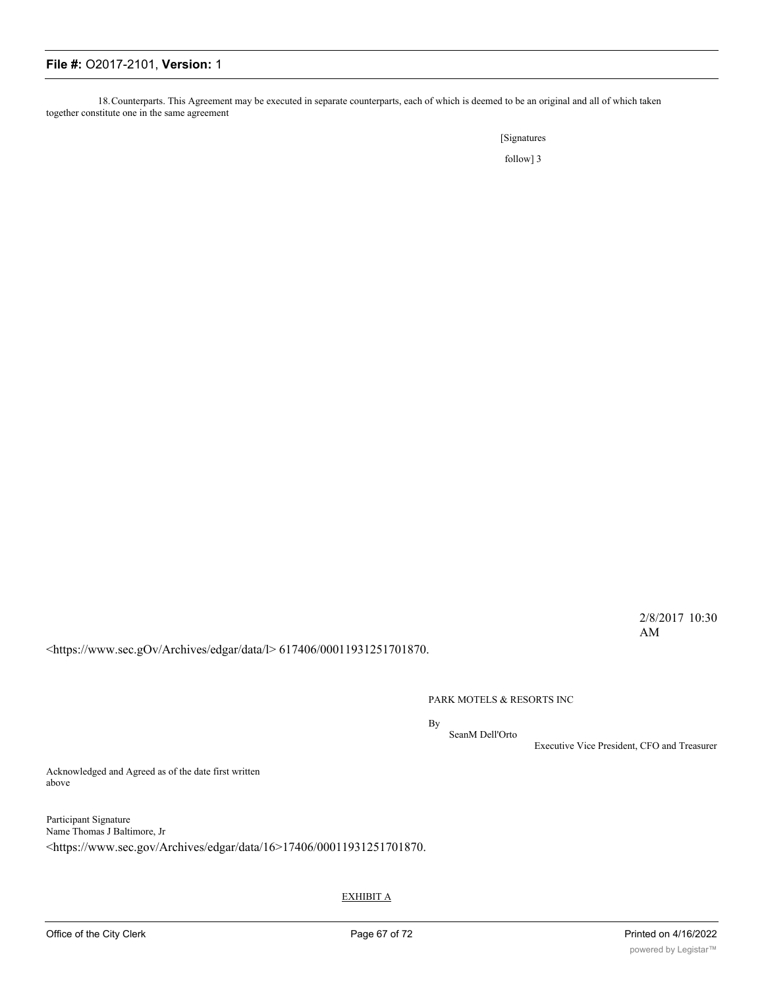18.Counterparts. This Agreement may be executed in separate counterparts, each of which is deemed to be an original and all of which taken together constitute one in the same agreement

[Signatures

follow] 3

2/8/2017 10:30 AM

<https://www.sec.gOv/Archives/edgar/data/l> 617406/00011931251701870.

PARK MOTELS & RESORTS INC

By SeanM Dell'Orto

Executive Vice President, CFO and Treasurer

Acknowledged and Agreed as of the date first written above

Participant Signature Name Thomas J Baltimore, Jr <https://www.sec.gov/Archives/edgar/data/16>17406/00011931251701870.

EXHIBIT A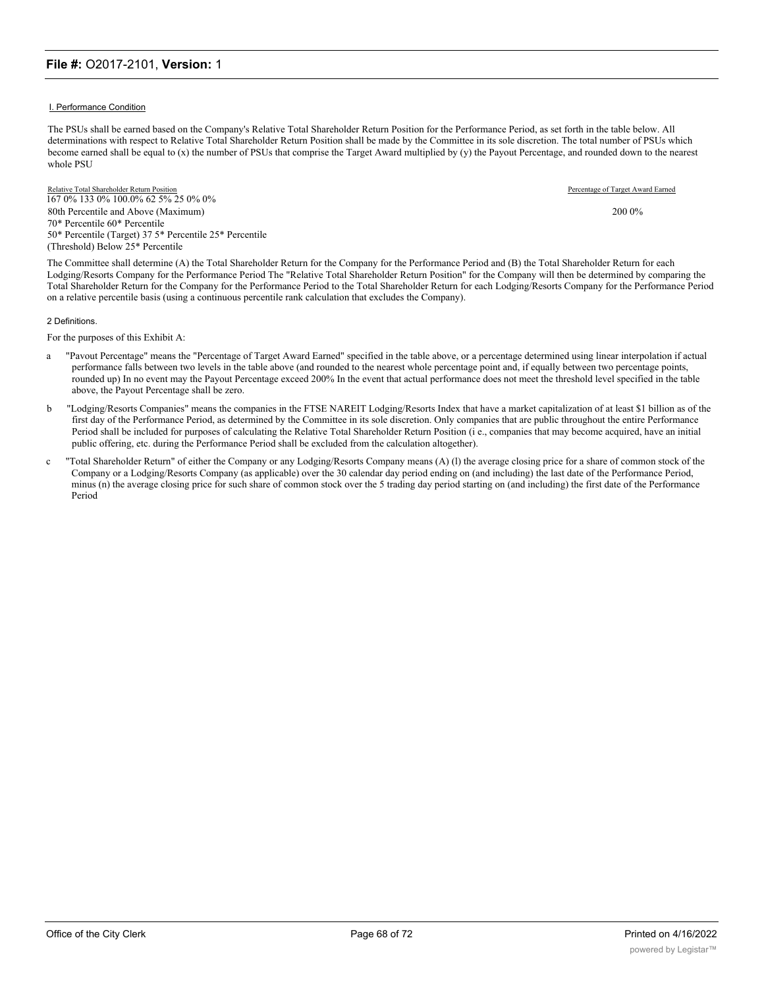#### I. Performance Condition

The PSUs shall be earned based on the Company's Relative Total Shareholder Return Position for the Performance Period, as set forth in the table below. All determinations with respect to Relative Total Shareholder Return Position shall be made by the Committee in its sole discretion. The total number of PSUs which become earned shall be equal to (x) the number of PSUs that comprise the Target Award multiplied by (y) the Payout Percentage, and rounded down to the nearest whole PSU

Relative Total Shareholder Return Position Percentage of Target Award Earned 167 0% 133 0% 100.0% 62 5% 25 0% 0% 80th Percentile and Above (Maximum) 2000% 70\* Percentile 60\* Percentile 50\* Percentile (Target) 37 5\* Percentile 25\* Percentile (Threshold) Below 25\* Percentile

The Committee shall determine (A) the Total Shareholder Return for the Company for the Performance Period and (B) the Total Shareholder Return for each Lodging/Resorts Company for the Performance Period The "Relative Total Shareholder Return Position" for the Company will then be determined by comparing the Total Shareholder Return for the Company for the Performance Period to the Total Shareholder Return for each Lodging/Resorts Company for the Performance Period on a relative percentile basis (using a continuous percentile rank calculation that excludes the Company).

#### 2 Definitions.

For the purposes of this Exhibit A:

- a "Pavout Percentage" means the "Percentage of Target Award Earned" specified in the table above, or a percentage determined using linear interpolation if actual performance falls between two levels in the table above (and rounded to the nearest whole percentage point and, if equally between two percentage points, rounded up) In no event may the Payout Percentage exceed 200% In the event that actual performance does not meet the threshold level specified in the table above, the Payout Percentage shall be zero.
- b "Lodging/Resorts Companies" means the companies in the FTSE NAREIT Lodging/Resorts Index that have a market capitalization of at least \$1 billion as of the first day of the Performance Period, as determined by the Committee in its sole discretion. Only companies that are public throughout the entire Performance Period shall be included for purposes of calculating the Relative Total Shareholder Return Position (i e., companies that may become acquired, have an initial public offering, etc. during the Performance Period shall be excluded from the calculation altogether).
- c "Total Shareholder Return" of either the Company or any Lodging/Resorts Company means (A) (l) the average closing price for a share of common stock of the Company or a Lodging/Resorts Company (as applicable) over the 30 calendar day period ending on (and including) the last date of the Performance Period, minus (n) the average closing price for such share of common stock over the 5 trading day period starting on (and including) the first date of the Performance Period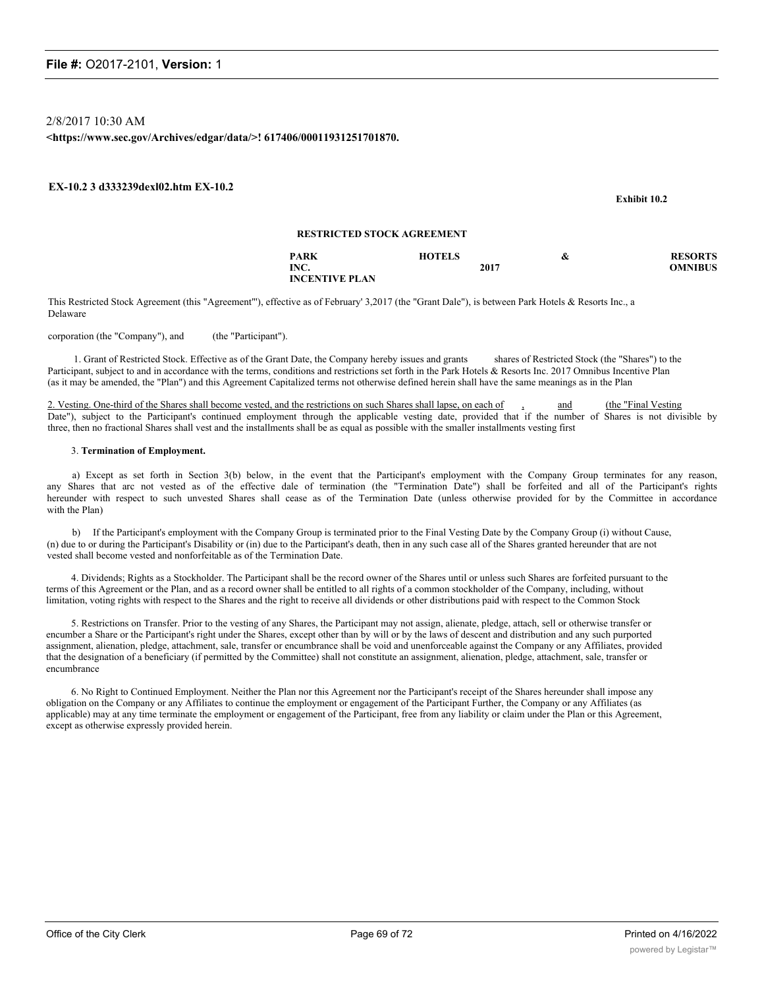2/8/2017 10:30 AM

**<https://www.sec.gov/Archives/edgar/data/>! 617406/00011931251701870.**

#### **EX-10.2 3 d333239dexl02.htm EX-10.2**

|                       |                                   |      | EXMIDIT 10.2   |
|-----------------------|-----------------------------------|------|----------------|
|                       | <b>RESTRICTED STOCK AGREEMENT</b> |      |                |
| <b>PARK</b>           | <b>HOTELS</b>                     | &    | <b>RESORTS</b> |
| INC.                  |                                   | 2017 | <b>OMNIBUS</b> |
| <b>INCENTIVE PLAN</b> |                                   |      |                |

This Restricted Stock Agreement (this "Agreement"'), effective as of February' 3,2017 (the "Grant Dale"), is between Park Hotels & Resorts Inc., a Delaware

corporation (the "Company"), and (the "Participant").

1. Grant of Restricted Stock. Effective as of the Grant Date, the Company hereby issues and grants shares of Restricted Stock (the "Shares") to the Participant, subject to and in accordance with the terms, conditions and restrictions set forth in the Park Hotels & Resorts Inc. 2017 Omnibus Incentive Plan (as it may be amended, the "Plan") and this Agreement Capitalized terms not otherwise defined herein shall have the same meanings as in the Plan

2. Vesting. One-third of the Shares shall become vested, and the restrictions on such Shares shall lapse, on each of and (the "Final Vesting") Date"), subject to the Participant's continued employment through the applicable vesting date, provided that if the number of Shares is not divisible by three, then no fractional Shares shall vest and the installments shall be as equal as possible with the smaller installments vesting first

#### 3. **Termination of Employment.**

a) Except as set forth in Section 3(b) below, in the event that the Participant's employment with the Company Group terminates for any reason, any Shares that arc not vested as of the effective dale of termination (the "Termination Date") shall be forfeited and all of the Participant's rights hereunder with respect to such unvested Shares shall cease as of the Termination Date (unless otherwise provided for by the Committee in accordance with the Plan)

b) If the Participant's employment with the Company Group is terminated prior to the Final Vesting Date by the Company Group (i) without Cause, (n) due to or during the Participant's Disability or (in) due to the Participant's death, then in any such case all of the Shares granted hereunder that are not vested shall become vested and nonforfeitable as of the Termination Date.

4. Dividends; Rights as a Stockholder. The Participant shall be the record owner of the Shares until or unless such Shares are forfeited pursuant to the terms of this Agreement or the Plan, and as a record owner shall be entitled to all rights of a common stockholder of the Company, including, without limitation, voting rights with respect to the Shares and the right to receive all dividends or other distributions paid with respect to the Common Stock

5. Restrictions on Transfer. Prior to the vesting of any Shares, the Participant may not assign, alienate, pledge, attach, sell or otherwise transfer or encumber a Share or the Participant's right under the Shares, except other than by will or by the laws of descent and distribution and any such purported assignment, alienation, pledge, attachment, sale, transfer or encumbrance shall be void and unenforceable against the Company or any Affiliates, provided that the designation of a beneficiary (if permitted by the Committee) shall not constitute an assignment, alienation, pledge, attachment, sale, transfer or encumbrance

6. No Right to Continued Employment. Neither the Plan nor this Agreement nor the Participant's receipt of the Shares hereunder shall impose any obligation on the Company or any Affiliates to continue the employment or engagement of the Participant Further, the Company or any Affiliates (as applicable) may at any time terminate the employment or engagement of the Participant, free from any liability or claim under the Plan or this Agreement, except as otherwise expressly provided herein.

**Exhibit 10.2**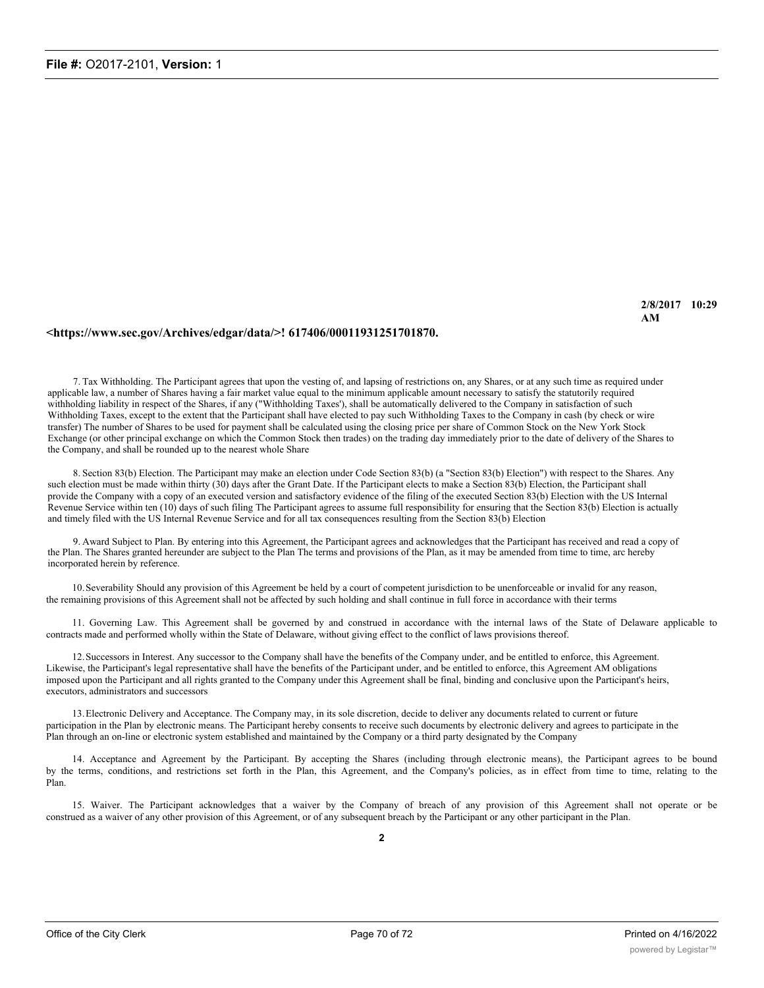#### **<https://www.sec.gov/Archives/edgar/data/>! 617406/00011931251701870.**

7. Tax Withholding. The Participant agrees that upon the vesting of, and lapsing of restrictions on, any Shares, or at any such time as required under applicable law, a number of Shares having a fair market value equal to the minimum applicable amount necessary to satisfy the statutorily required withholding liability in respect of the Shares, if any ("Withholding Taxes'), shall be automatically delivered to the Company in satisfaction of such Withholding Taxes, except to the extent that the Participant shall have elected to pay such Withholding Taxes to the Company in cash (by check or wire transfer) The number of Shares to be used for payment shall be calculated using the closing price per share of Common Stock on the New York Stock Exchange (or other principal exchange on which the Common Stock then trades) on the trading day immediately prior to the date of delivery of the Shares to the Company, and shall be rounded up to the nearest whole Share

8. Section 83(b) Election. The Participant may make an election under Code Section 83(b) (a "Section 83(b) Election") with respect to the Shares. Any such election must be made within thirty (30) days after the Grant Date. If the Participant elects to make a Section 83(b) Election, the Participant shall provide the Company with a copy of an executed version and satisfactory evidence of the filing of the executed Section 83(b) Election with the US Internal Revenue Service within ten (10) days of such filing The Participant agrees to assume full responsibility for ensuring that the Section 83(b) Election is actually and timely filed with the US Internal Revenue Service and for all tax consequences resulting from the Section 83(b) Election

9. Award Subject to Plan. By entering into this Agreement, the Participant agrees and acknowledges that the Participant has received and read a copy of the Plan. The Shares granted hereunder are subject to the Plan The terms and provisions of the Plan, as it may be amended from time to time, arc hereby incorporated herein by reference.

10.Severability Should any provision of this Agreement be held by a court of competent jurisdiction to be unenforceable or invalid for any reason, the remaining provisions of this Agreement shall not be affected by such holding and shall continue in full force in accordance with their terms

11. Governing Law. This Agreement shall be governed by and construed in accordance with the internal laws of the State of Delaware applicable to contracts made and performed wholly within the State of Delaware, without giving effect to the conflict of laws provisions thereof.

12.Successors in Interest. Any successor to the Company shall have the benefits of the Company under, and be entitled to enforce, this Agreement. Likewise, the Participant's legal representative shall have the benefits of the Participant under, and be entitled to enforce, this Agreement AM obligations imposed upon the Participant and all rights granted to the Company under this Agreement shall be final, binding and conclusive upon the Participant's heirs, executors, administrators and successors

13.Electronic Delivery and Acceptance. The Company may, in its sole discretion, decide to deliver any documents related to current or future participation in the Plan by electronic means. The Participant hereby consents to receive such documents by electronic delivery and agrees to participate in the Plan through an on-line or electronic system established and maintained by the Company or a third party designated by the Company

14. Acceptance and Agreement by the Participant. By accepting the Shares (including through electronic means), the Participant agrees to be bound by the terms, conditions, and restrictions set forth in the Plan, this Agreement, and the Company's policies, as in effect from time to time, relating to the Plan.

15. Waiver. The Participant acknowledges that a waiver by the Company of breach of any provision of this Agreement shall not operate or be construed as a waiver of any other provision of this Agreement, or of any subsequent breach by the Participant or any other participant in the Plan.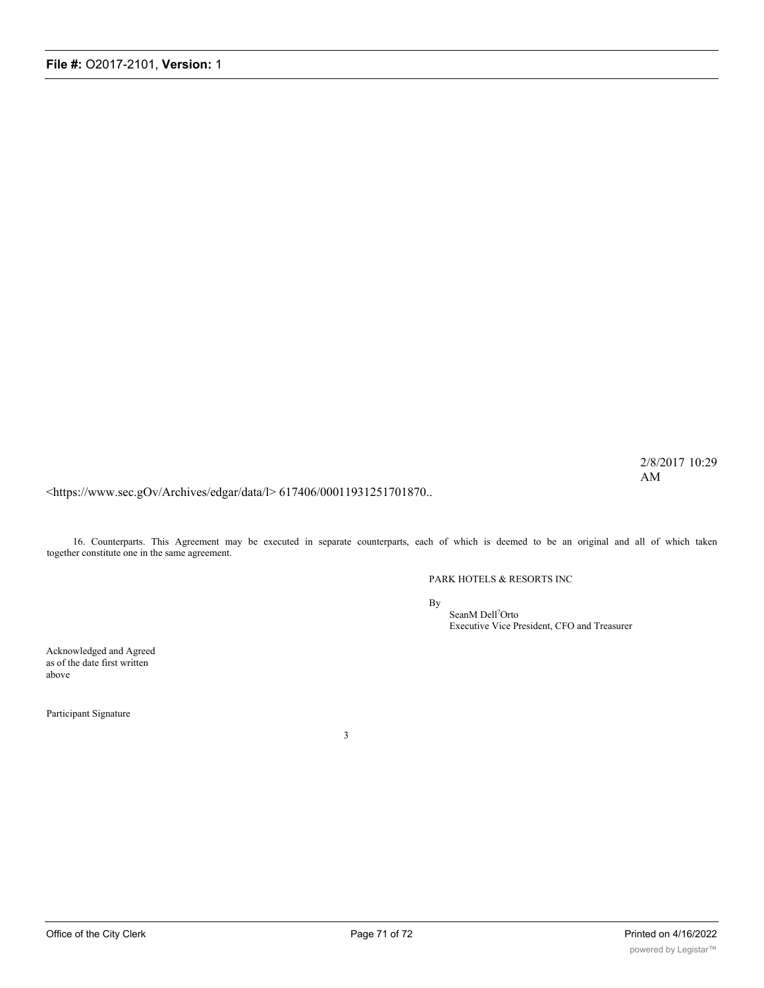2/8/2017 10:29 AM

<https://www.sec.gOv/Archives/edgar/data/l> 617406/00011931251701870..

16. Counterparts. This Agreement may be executed in separate counterparts, each of which is deemed to be an original and all of which taken together constitute one in the same agreement.

#### PARK HOTELS & RESORTS INC

By

SeanM Dell? Orto Executive Vice President, CFO and Treasurer

Acknowledged and Agreed as of the date first written above

Participant Signature

3